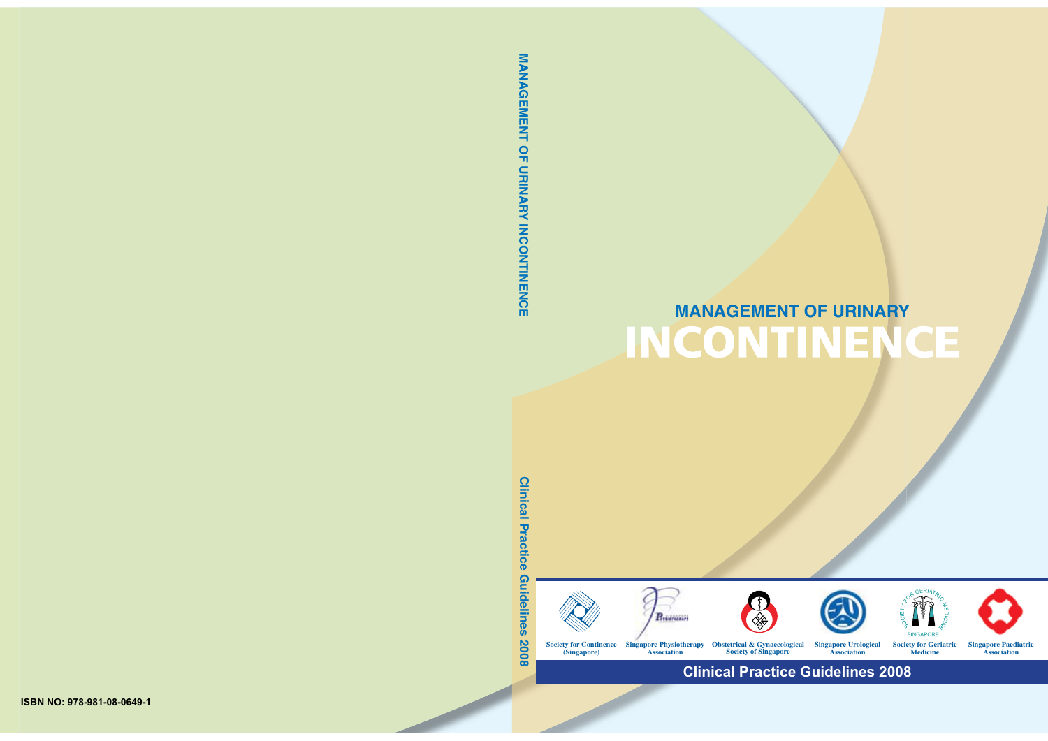# **MANAGEMENT OF URINARY**



**Clinical Practice Guidelines 2008**

MANAGEMENT OF URINARY INCONTINENCE **MANAGEMENT OF URINARY INCONTINENCE**

**Clinical Practice Guidelines 2008**

Guidelines

**2008** 

**Clinical Practice**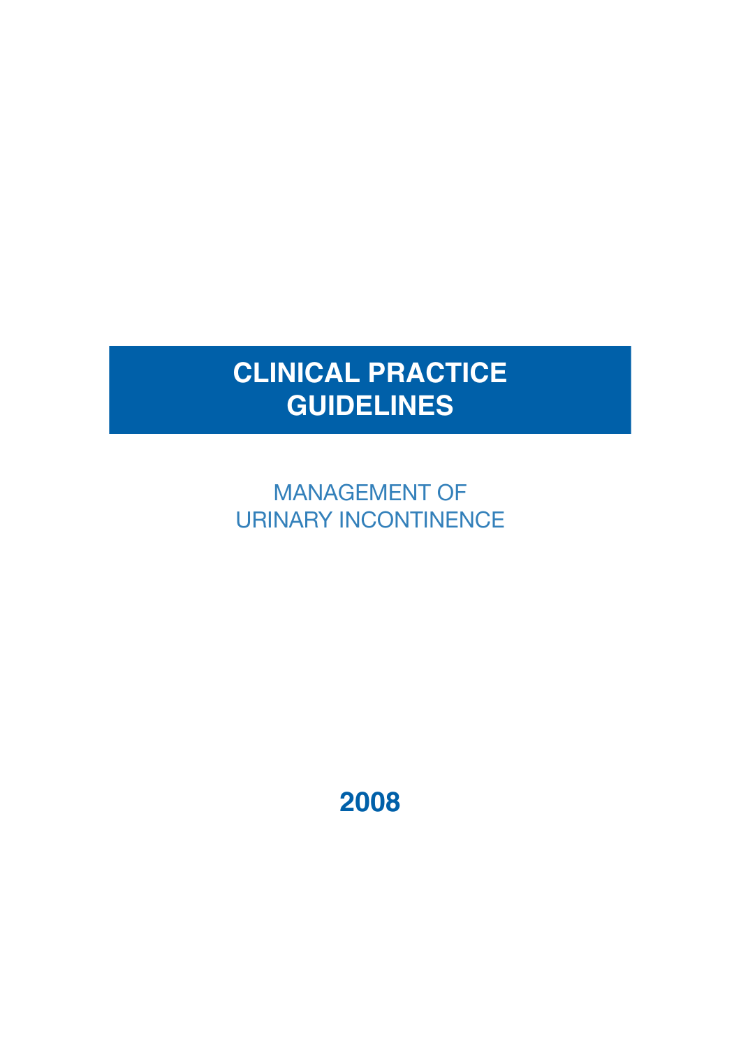# **CLINICAL PRACTICE GUIDELINES**

MANAGEMENT OF URINARY INCONTINENCE

**2008**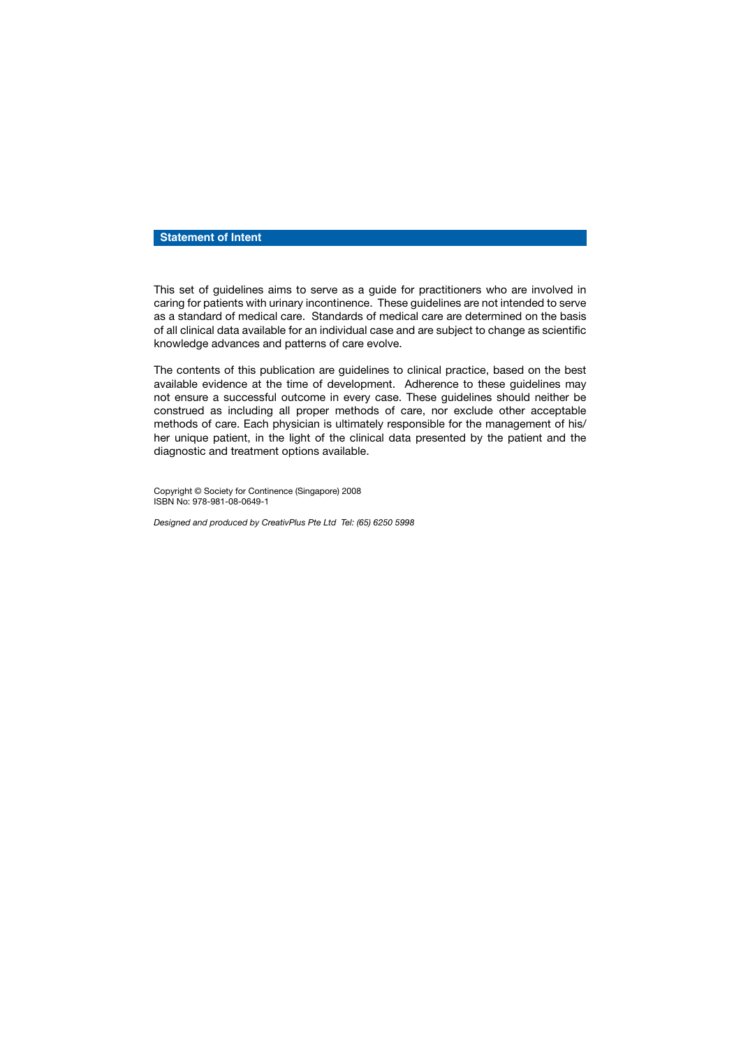#### **Statement of Intent**

This set of guidelines aims to serve as a guide for practitioners who are involved in caring for patients with urinary incontinence. These guidelines are not intended to serve as a standard of medical care. Standards of medical care are determined on the basis of all clinical data available for an individual case and are subject to change as scientific knowledge advances and patterns of care evolve.

The contents of this publication are guidelines to clinical practice, based on the best available evidence at the time of development. Adherence to these guidelines may not ensure a successful outcome in every case. These guidelines should neither be construed as including all proper methods of care, nor exclude other acceptable methods of care. Each physician is ultimately responsible for the management of his/ her unique patient, in the light of the clinical data presented by the patient and the diagnostic and treatment options available.

Copyright © Society for Continence (Singapore) 2008 ISBN No: 978-981-08-0649-1

*Designed and produced by CreativPlus Pte Ltd Tel: (65) 6250 5998*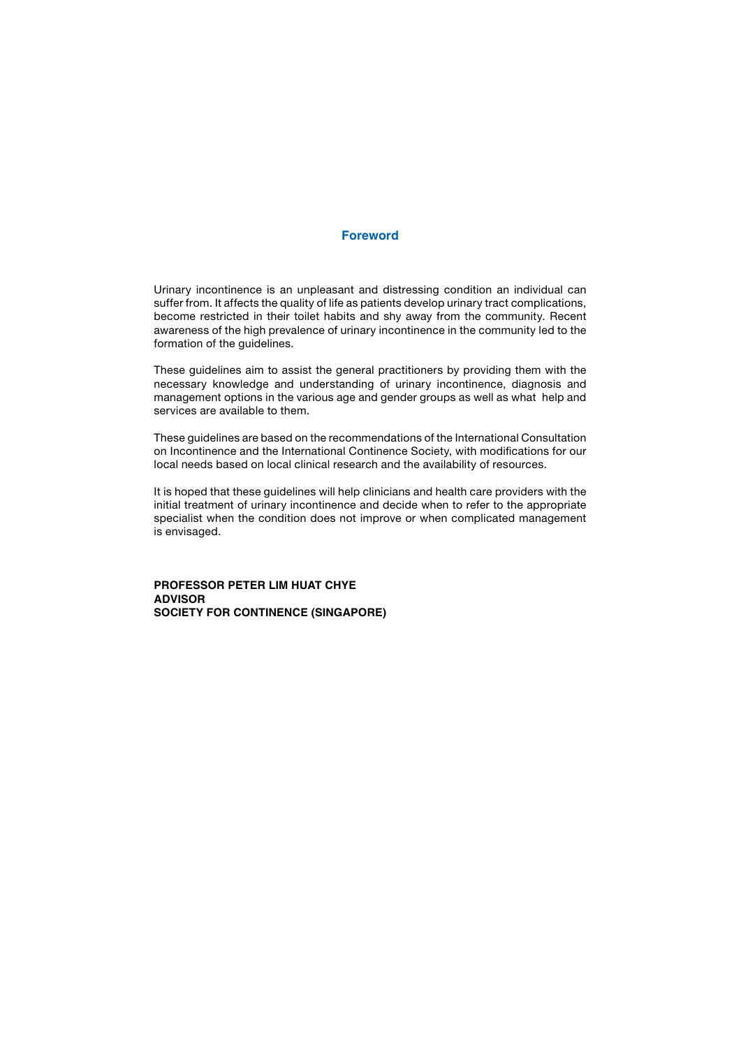#### **Foreword**

Urinary incontinence is an unpleasant and distressing condition an individual can suffer from. It affects the quality of life as patients develop urinary tract complications, become restricted in their toilet habits and shy away from the community. Recent awareness of the high prevalence of urinary incontinence in the community led to the formation of the quidelines.

These guidelines aim to assist the general practitioners by providing them with the necessary knowledge and understanding of urinary incontinence, diagnosis and management options in the various age and gender groups as well as what help and services are available to them.

These guidelines are based on the recommendations of the International Consultation on Incontinence and the International Continence Society, with modifications for our local needs based on local clinical research and the availability of resources.

It is hoped that these guidelines will help clinicians and health care providers with the initial treatment of urinary incontinence and decide when to refer to the appropriate specialist when the condition does not improve or when complicated management is envisaged.

**PROFESSOR PETER LIM HUAT CHYE ADVISOR SOCIETY FOR CONTINENCE (SINGAPORE)**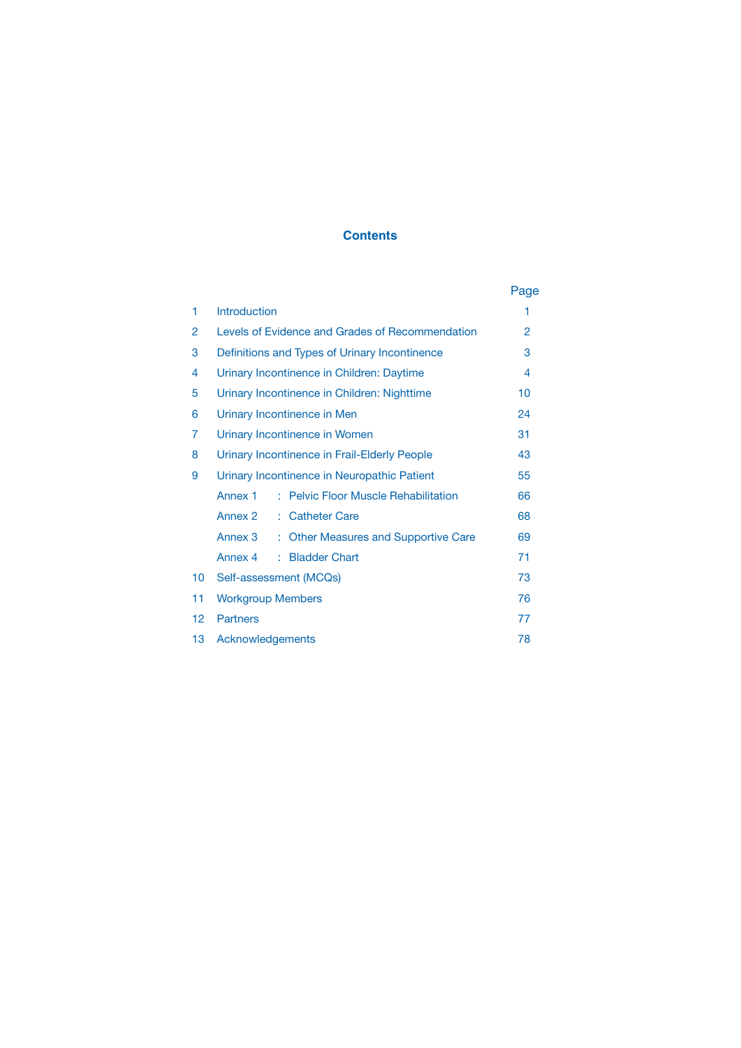#### **Contents**

|                   |                                                            | Page |  |
|-------------------|------------------------------------------------------------|------|--|
| 1                 | <b>Introduction</b>                                        | 1    |  |
| 2                 | Levels of Evidence and Grades of Recommendation            |      |  |
| 3                 | Definitions and Types of Urinary Incontinence              |      |  |
| 4                 | Urinary Incontinence in Children: Daytime                  |      |  |
| 5                 | Urinary Incontinence in Children: Nighttime                |      |  |
| 6                 | Urinary Incontinence in Men                                |      |  |
| 7                 | Urinary Incontinence in Women                              |      |  |
| 8                 | Urinary Incontinence in Frail-Elderly People               |      |  |
| 9                 | Urinary Incontinence in Neuropathic Patient                |      |  |
|                   | : Pelvic Floor Muscle Rehabilitation<br>Annex <sub>1</sub> | 66   |  |
|                   | Annex 2<br><b>Catheter Care</b><br>÷.                      | 68   |  |
|                   | Annex 3<br>: Other Measures and Supportive Care            | 69   |  |
|                   | <b>Bladder Chart</b><br>Annex 4<br>÷.                      | 71   |  |
| 10                | Self-assessment (MCQs)                                     | 73   |  |
| 11                | <b>Workgroup Members</b>                                   |      |  |
| $12 \overline{ }$ | <b>Partners</b>                                            | 77   |  |
| 13                | Acknowledgements                                           |      |  |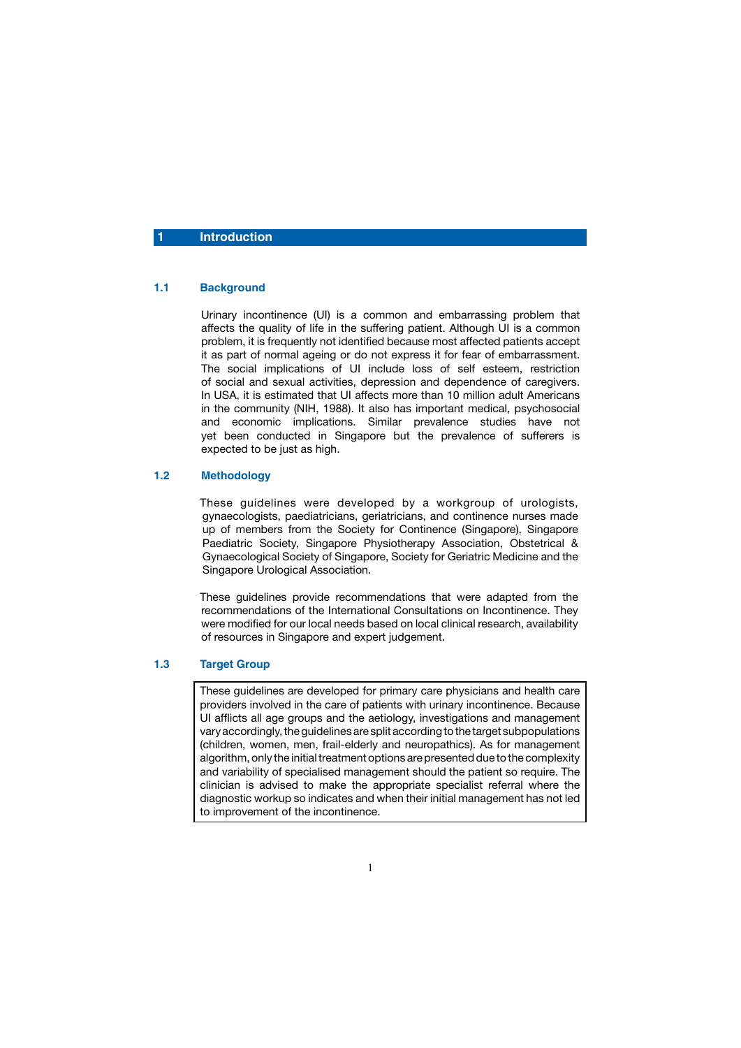#### **Introduction**

#### **1.1 Background**

 Urinary incontinence (UI) is a common and embarrassing problem that affects the quality of life in the suffering patient. Although UI is a common problem, it is frequently not identified because most affected patients accept it as part of normal ageing or do not express it for fear of embarrassment. The social implications of UI include loss of self esteem, restriction of social and sexual activities, depression and dependence of caregivers. In USA, it is estimated that UI affects more than 10 million adult Americans in the community (NIH, 1988). It also has important medical, psychosocial and economic implications. Similar prevalence studies have not yet been conducted in Singapore but the prevalence of sufferers is expected to be just as high.

#### **1.2 Methodology**

 These guidelines were developed by a workgroup of urologists, gynaecologists, paediatricians, geriatricians, and continence nurses made up of members from the Society for Continence (Singapore), Singapore Paediatric Society, Singapore Physiotherapy Association, Obstetrical & Gynaecological Society of Singapore, Society for Geriatric Medicine and the Singapore Urological Association.

 These guidelines provide recommendations that were adapted from the recommendations of the International Consultations on Incontinence. They were modified for our local needs based on local clinical research, availability of resources in Singapore and expert judgement.

#### **1.3 Target Group**

These guidelines are developed for primary care physicians and health care providers involved in the care of patients with urinary incontinence. Because UI afflicts all age groups and the aetiology, investigations and management vary accordingly, the guidelines are split according to the target subpopulations (children, women, men, frail-elderly and neuropathics). As for management algorithm, only the initial treatment options are presented due to the complexity and variability of specialised management should the patient so require. The clinician is advised to make the appropriate specialist referral where the diagnostic workup so indicates and when their initial management has not led to improvement of the incontinence.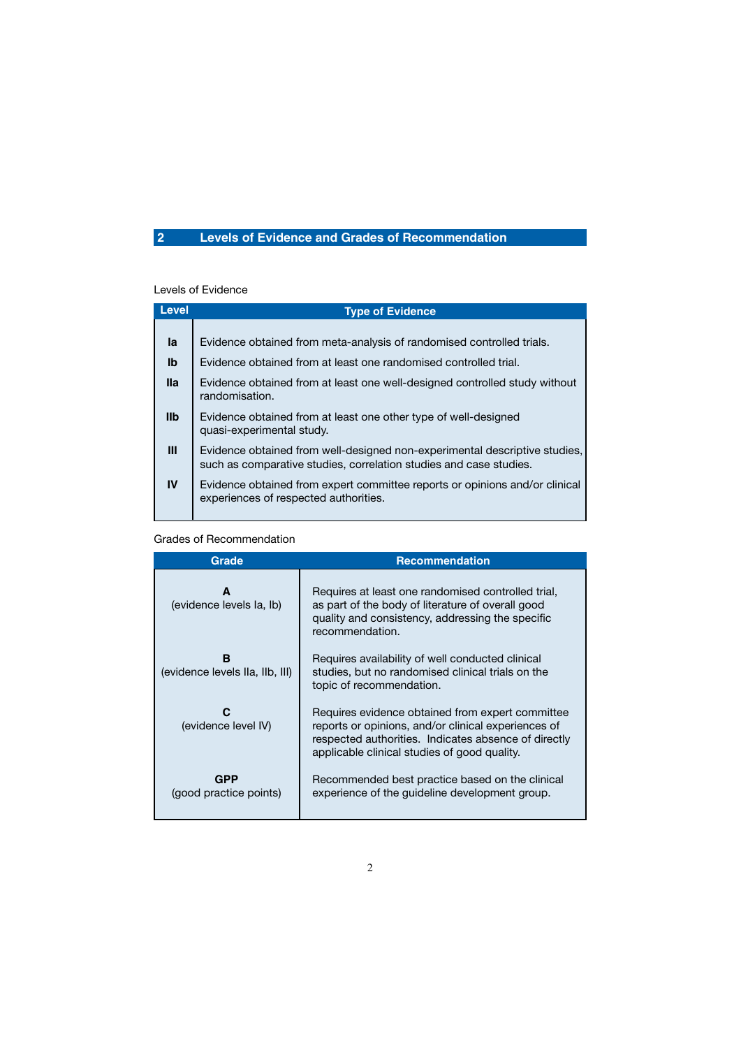## **2 Levels of Evidence and Grades of Recommendation**

#### Levels of Evidence

| <b>Level</b>   | <b>Type of Evidence</b>                                                                                                                          |  |  |
|----------------|--------------------------------------------------------------------------------------------------------------------------------------------------|--|--|
|                |                                                                                                                                                  |  |  |
| la             | Evidence obtained from meta-analysis of randomised controlled trials.                                                                            |  |  |
| $\mathbf{I}$   | Evidence obtained from at least one randomised controlled trial.                                                                                 |  |  |
| <b>Ila</b>     | Evidence obtained from at least one well-designed controlled study without<br>randomisation.                                                     |  |  |
| I <sub>1</sub> | Evidence obtained from at least one other type of well-designed<br>quasi-experimental study.                                                     |  |  |
| Ш              | Evidence obtained from well-designed non-experimental descriptive studies,<br>such as comparative studies, correlation studies and case studies. |  |  |
| IV             | Evidence obtained from expert committee reports or opinions and/or clinical<br>experiences of respected authorities.                             |  |  |
|                |                                                                                                                                                  |  |  |

#### Grades of Recommendation

| <b>Grade</b>                         | <b>Recommendation</b>                                                                                                                                                                                           |  |
|--------------------------------------|-----------------------------------------------------------------------------------------------------------------------------------------------------------------------------------------------------------------|--|
| A<br>(evidence levels la, lb)        | Requires at least one randomised controlled trial,<br>as part of the body of literature of overall good<br>quality and consistency, addressing the specific<br>recommendation.                                  |  |
| B<br>(evidence levels IIa, IIb, III) | Requires availability of well conducted clinical<br>studies, but no randomised clinical trials on the<br>topic of recommendation.                                                                               |  |
| C<br>(evidence level IV)             | Requires evidence obtained from expert committee<br>reports or opinions, and/or clinical experiences of<br>respected authorities. Indicates absence of directly<br>applicable clinical studies of good quality. |  |
| GPP<br>(good practice points)        | Recommended best practice based on the clinical<br>experience of the guideline development group.                                                                                                               |  |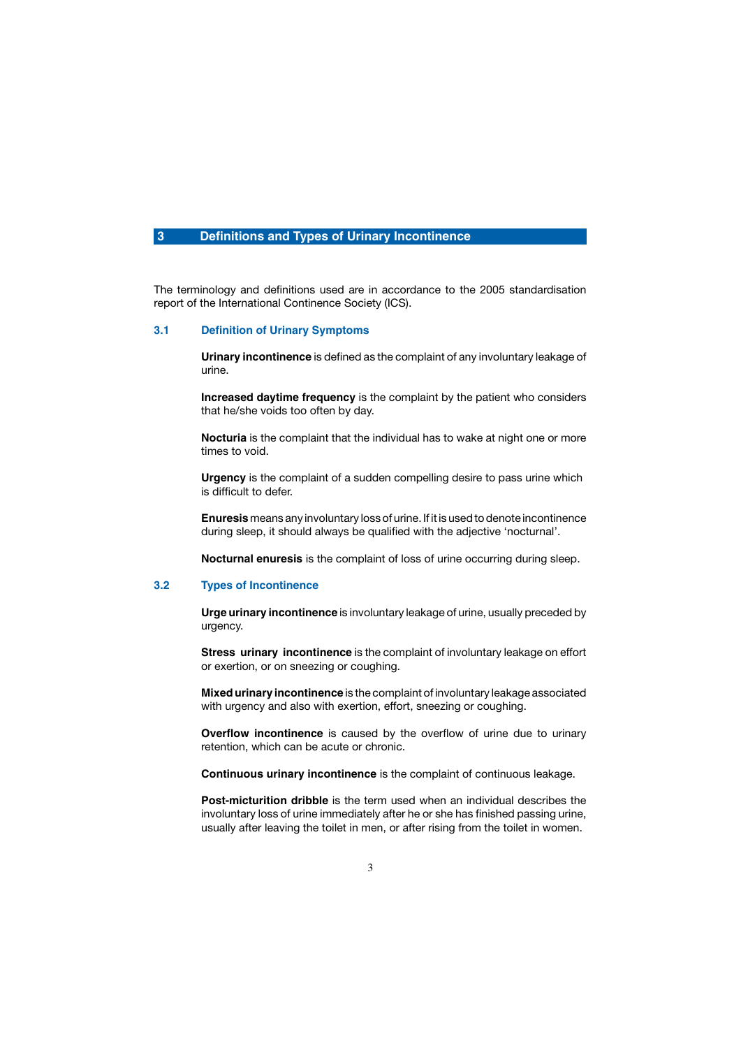#### **3 Definitions and Types of Urinary Incontinence**

The terminology and definitions used are in accordance to the 2005 standardisation report of the International Continence Society (ICS).

#### **3.1 Definition of Urinary Symptoms**

**Urinary incontinence** is defined as the complaint of any involuntary leakage of urine.

**Increased daytime frequency** is the complaint by the patient who considers that he/she voids too often by day.

**Nocturia** is the complaint that the individual has to wake at night one or more times to void.

**Urgency** is the complaint of a sudden compelling desire to pass urine which is difficult to defer.

**Enuresis** means any involuntary loss of urine. If it is used to denote incontinence during sleep, it should always be qualified with the adjective 'nocturnal'.

**Nocturnal enuresis** is the complaint of loss of urine occurring during sleep.

#### **3.2 Types of Incontinence**

**Urge urinary incontinence** is involuntary leakage of urine, usually preceded by urgency.

 **Stress urinary incontinence** is the complaint of involuntary leakage on effort or exertion, or on sneezing or coughing.

**Mixed urinary incontinence** is the complaint of involuntary leakage associated with urgency and also with exertion, effort, sneezing or coughing.

**Overflow incontinence** is caused by the overflow of urine due to urinary retention, which can be acute or chronic.

 **Continuous urinary incontinence** is the complaint of continuous leakage.

 **Post-micturition dribble** is the term used when an individual describes the involuntary loss of urine immediately after he or she has finished passing urine, usually after leaving the toilet in men, or after rising from the toilet in women.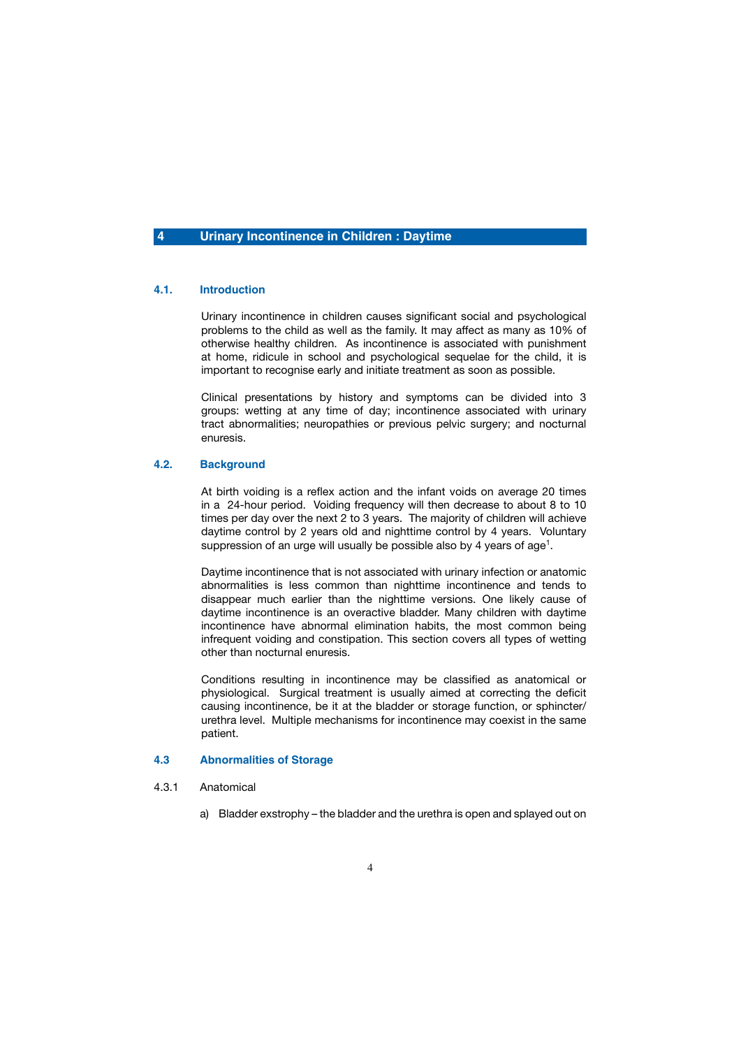#### **4 Urinary Incontinence in Children : Daytime**

#### **4.1. Introduction**

 Urinary incontinence in children causes significant social and psychological problems to the child as well as the family. It may affect as many as 10% of otherwise healthy children. As incontinence is associated with punishment at home, ridicule in school and psychological sequelae for the child, it is important to recognise early and initiate treatment as soon as possible.

 Clinical presentations by history and symptoms can be divided into 3 groups: wetting at any time of day; incontinence associated with urinary tract abnormalities; neuropathies or previous pelvic surgery; and nocturnal enuresis.

#### **4.2. Background**

 At birth voiding is a reflex action and the infant voids on average 20 times in a 24-hour period. Voiding frequency will then decrease to about 8 to 10 times per day over the next 2 to 3 years. The majority of children will achieve daytime control by 2 years old and nighttime control by 4 years. Voluntary suppression of an urge will usually be possible also by 4 years of age<sup>1</sup>.

 Daytime incontinence that is not associated with urinary infection or anatomic abnormalities is less common than nighttime incontinence and tends to disappear much earlier than the nighttime versions. One likely cause of daytime incontinence is an overactive bladder. Many children with daytime incontinence have abnormal elimination habits, the most common being infrequent voiding and constipation. This section covers all types of wetting other than nocturnal enuresis.

 Conditions resulting in incontinence may be classified as anatomical or physiological. Surgical treatment is usually aimed at correcting the deficit causing incontinence, be it at the bladder or storage function, or sphincter/ urethra level. Multiple mechanisms for incontinence may coexist in the same patient.

#### **4.3 Abnormalities of Storage**

- 4.3.1 Anatomical
	- a) Bladder exstrophy the bladder and the urethra is open and splayed out on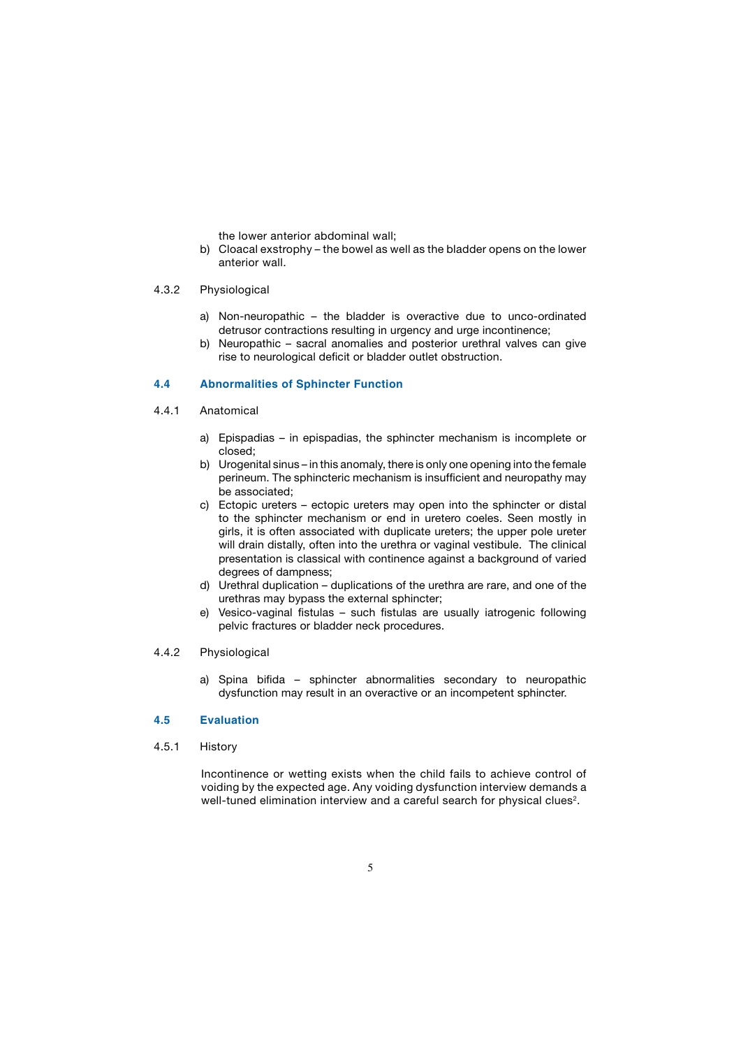the lower anterior abdominal wall;

b) Cloacal exstrophy – the bowel as well as the bladder opens on the lower anterior wall.

#### 4.3.2 Physiological

- a) Non-neuropathic the bladder is overactive due to unco-ordinated detrusor contractions resulting in urgency and urge incontinence;
- b) Neuropathic sacral anomalies and posterior urethral valves can give rise to neurological deficit or bladder outlet obstruction.

#### **4.4 Abnormalities of Sphincter Function**

- 4.4.1 Anatomical
	- a) Epispadias in epispadias, the sphincter mechanism is incomplete or closed;
	- b) Urogenital sinus in this anomaly, there is only one opening into the female perineum. The sphincteric mechanism is insufficient and neuropathy may be associated;
	- c) Ectopic ureters ectopic ureters may open into the sphincter or distal to the sphincter mechanism or end in uretero coeles. Seen mostly in girls, it is often associated with duplicate ureters; the upper pole ureter will drain distally, often into the urethra or vaginal vestibule. The clinical presentation is classical with continence against a background of varied degrees of dampness;
	- d) Urethral duplication duplications of the urethra are rare, and one of the urethras may bypass the external sphincter;
	- e) Vesico-vaginal fistulas such fistulas are usually iatrogenic following pelvic fractures or bladder neck procedures.

#### 4.4.2 Physiological

a) Spina bifida – sphincter abnormalities secondary to neuropathic dysfunction may result in an overactive or an incompetent sphincter.

#### **4.5 Evaluation**

4.5.1 History

 Incontinence or wetting exists when the child fails to achieve control of voiding by the expected age. Any voiding dysfunction interview demands a well-tuned elimination interview and a careful search for physical clues<sup>2</sup>.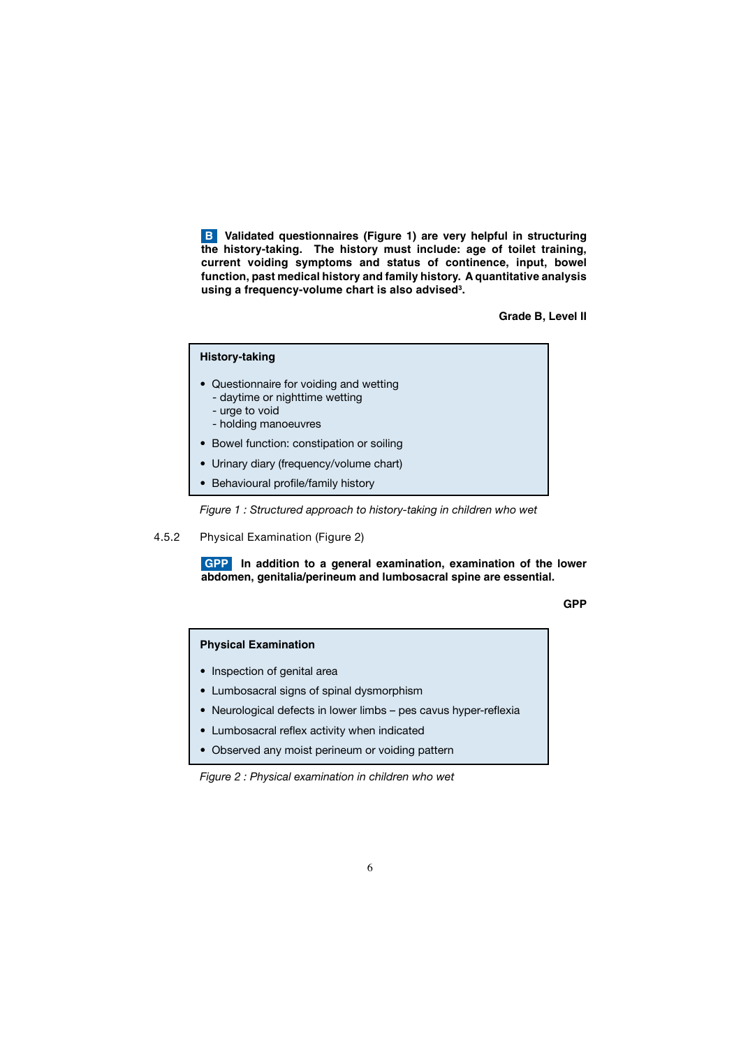**B** Validated questionnaires (Figure 1) are very helpful in structuring **the history-taking. The history must include: age of toilet training, current voiding symptoms and status of continence, input, bowel function, past medical history and family history. A quantitative analysis using a frequency-volume chart is also advised3 .** 

**Grade B, Level II**

### **History-taking** • Questionnaire for voiding and wetting - daytime or nighttime wetting - urge to void - holding manoeuvres • Bowel function: constipation or soiling • Urinary diary (frequency/volume chart) • Behavioural profile/family history

 *Figure 1 : Structured approach to history-taking in children who wet*

#### 4.5.2 Physical Examination (Figure 2)

**GPP** In addition to a general examination, examination of the lower **abdomen, genitalia/perineum and lumbosacral spine are essential.**

**GPP And the contract of the contract of the contract of the contract of the contract of the contract of the contract of the contract of the contract of the contract of the contract of the contract of the contract of the c** 

#### **Physical Examination**

- Inspection of genital area
- Lumbosacral signs of spinal dysmorphism
- Neurological defects in lower limbs pes cavus hyper-reflexia
- Lumbosacral reflex activity when indicated
- Observed any moist perineum or voiding pattern

*Figure 2 : Physical examination in children who wet*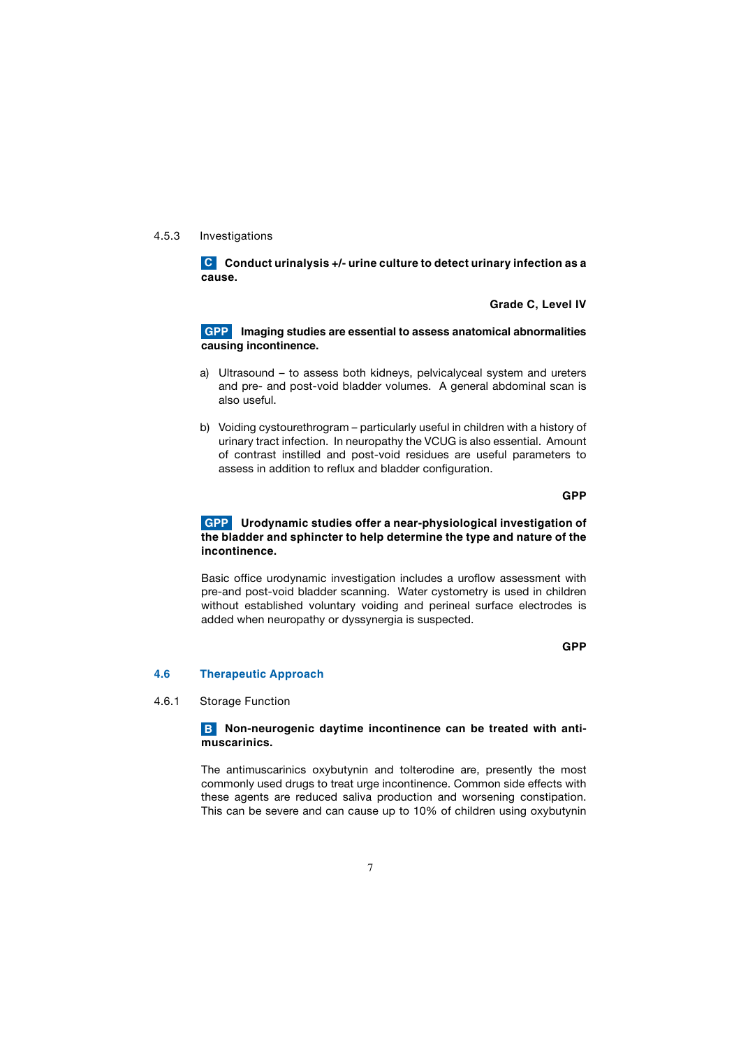#### 4.5.3 Investigations

**C** Conduct urinalysis +/- urine culture to detect urinary infection as a **cause.**

 **Grade C, Level IV**

 **Imaging studies are essential to assess anatomical abnormalities GPP causing incontinence.**

- a) Ultrasound to assess both kidneys, pelvicalyceal system and ureters and pre- and post-void bladder volumes. A general abdominal scan is also useful.
- b) Voiding cystourethrogram particularly useful in children with a history of urinary tract infection. In neuropathy the VCUG is also essential. Amount of contrast instilled and post-void residues are useful parameters to assess in addition to reflux and bladder configuration.

**GPP** and the contract of the contract of the contract of the contract of the contract of the contract of the contract of the contract of the contract of the contract of the contract of the contract of the contract of the

#### **Urodynamic studies offer a near-physiological investigation of GPP the bladder and sphincter to help determine the type and nature of the incontinence.**

 Basic office urodynamic investigation includes a uroflow assessment with pre-and post-void bladder scanning. Water cystometry is used in children without established voluntary voiding and perineal surface electrodes is added when neuropathy or dyssynergia is suspected.

**GPP** and the contract of the contract of the contract of the contract of the contract of the contract of the contract of the contract of the contract of the contract of the contract of the contract of the contract of the

#### **4.6 Therapeutic Approach**

4.6.1 Storage Function

#### **Non-neurogenic daytime incontinence can be treated with anti-Bmuscarinics.**

 The antimuscarinics oxybutynin and tolterodine are, presently the most commonly used drugs to treat urge incontinence. Common side effects with these agents are reduced saliva production and worsening constipation. This can be severe and can cause up to 10% of children using oxybutynin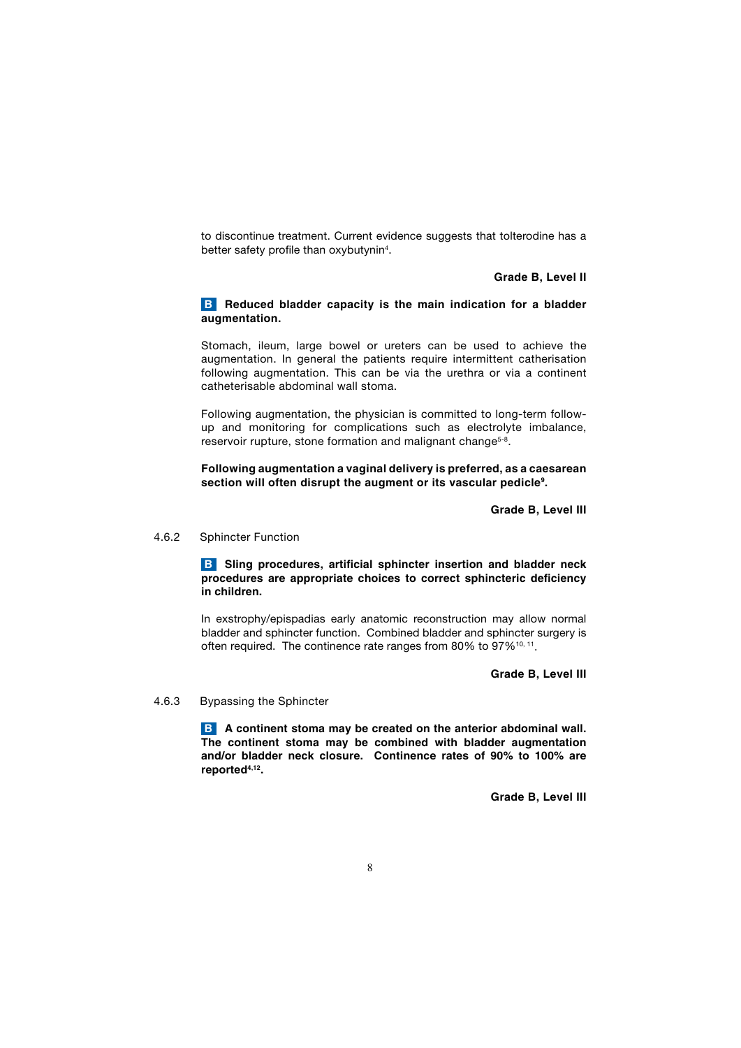to discontinue treatment. Current evidence suggests that tolterodine has a better safety profile than oxybutynin<sup>4</sup>.

#### **Grade B, Level II**

#### **B** Reduced bladder capacity is the main indication for a bladder **augmentation.**

 Stomach, ileum, large bowel or ureters can be used to achieve the augmentation. In general the patients require intermittent catherisation following augmentation. This can be via the urethra or via a continent catheterisable abdominal wall stoma.

 Following augmentation, the physician is committed to long-term followup and monitoring for complications such as electrolyte imbalance, reservoir rupture, stone formation and malignant change<sup>5-8</sup>.

#### **Following augmentation a vaginal delivery is preferred, as a caesarean section will often disrupt the augment or its vascular pedicle9.**

 **Grade B, Level III**

4.6.2 Sphincter Function

**B** Sling procedures, artificial sphincter insertion and bladder neck **procedures are appropriate choices to correct sphincteric deficiency in children.** 

 In exstrophy/epispadias early anatomic reconstruction may allow normal bladder and sphincter function. Combined bladder and sphincter surgery is often required. The continence rate ranges from 80% to 97%<sup>10, 11</sup>.

**Grade B, Level III**

4.6.3 Bypassing the Sphincter

**A continent stoma may be created on the anterior abdominal wall. BThe continent stoma may be combined with bladder augmentation and/or bladder neck closure. Continence rates of 90% to 100% are reported4,12.**

 **Grade B, Level III**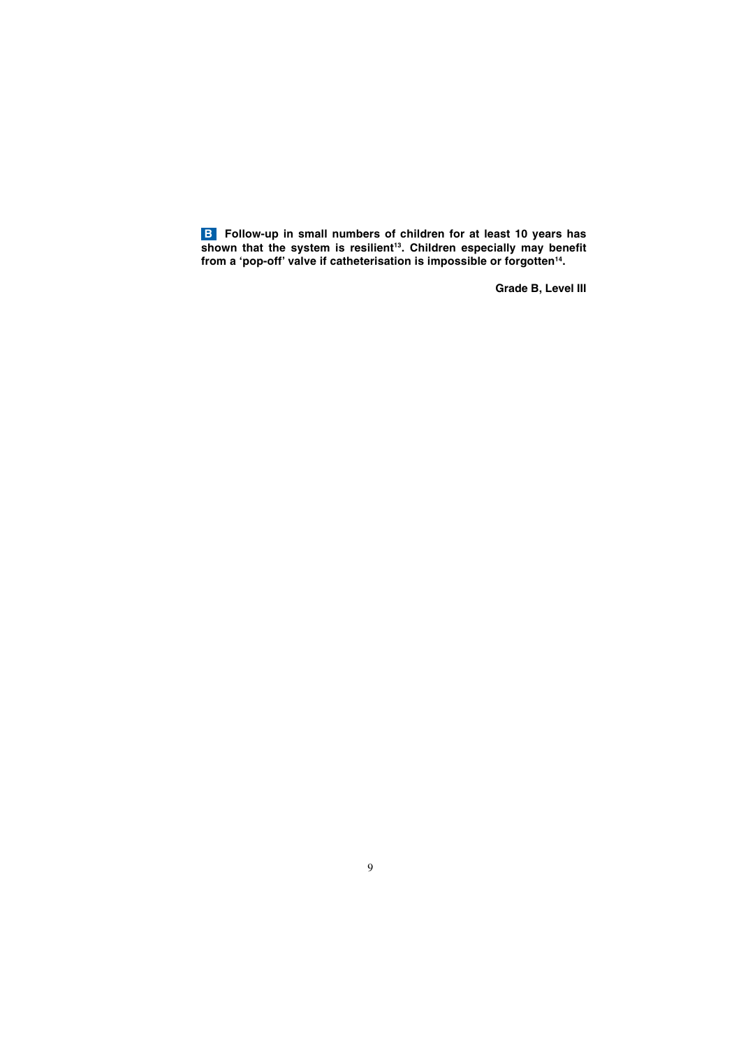**Follow-up in small numbers of children for at least 10 years has**  shown that the system is resilient<sup>13</sup>. Children especially may benefit **from a 'pop-off' valve if catheterisation is impossible or forgotten14. B**

 **Grade B, Level III**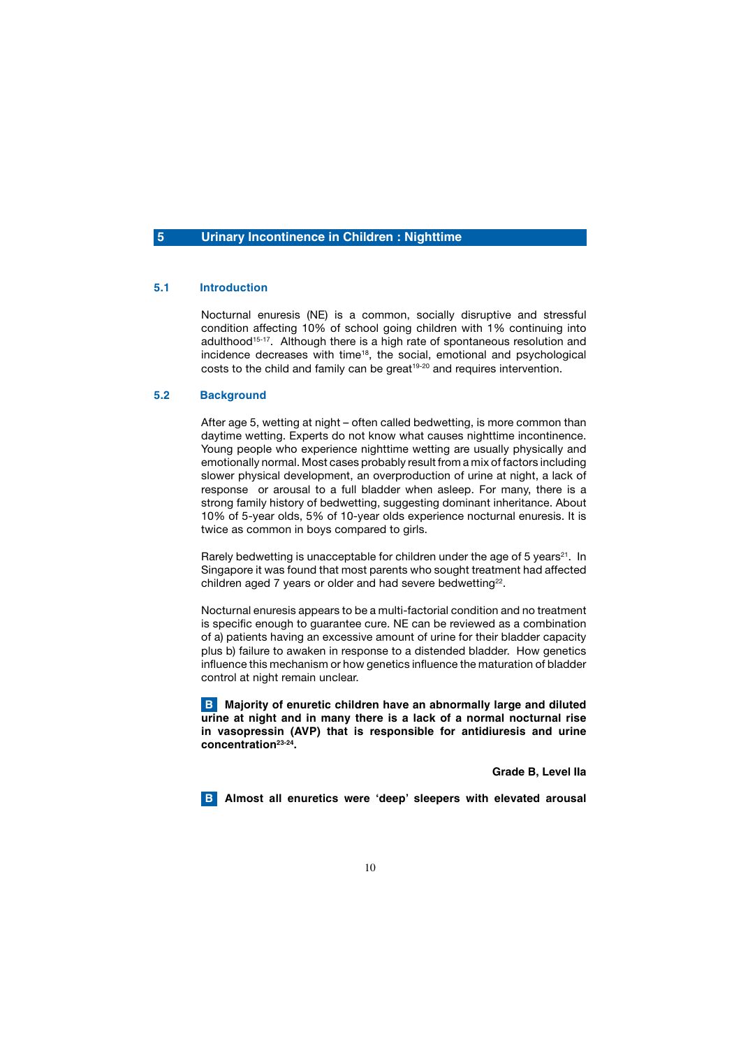#### **5 Urinary Incontinence in Children : Nighttime**

#### **5.1 Introduction**

 Nocturnal enuresis (NE) is a common, socially disruptive and stressful condition affecting 10% of school going children with 1% continuing into adulthood<sup>15-17</sup>. Although there is a high rate of spontaneous resolution and incidence decreases with time<sup>18</sup>, the social, emotional and psychological costs to the child and family can be great<sup>19-20</sup> and requires intervention.

#### **5.2 Background**

 After age 5, wetting at night – often called bedwetting, is more common than daytime wetting. Experts do not know what causes nighttime incontinence. Young people who experience nighttime wetting are usually physically and emotionally normal. Most cases probably result from a mix of factors including slower physical development, an overproduction of urine at night, a lack of response or arousal to a full bladder when asleep. For many, there is a strong family history of bedwetting, suggesting dominant inheritance. About 10% of 5-year olds, 5% of 10-year olds experience nocturnal enuresis. It is twice as common in boys compared to girls.

Rarely bedwetting is unacceptable for children under the age of 5 years<sup>21</sup>. In Singapore it was found that most parents who sought treatment had affected children aged 7 years or older and had severe bedwetting<sup>22</sup>.

 Nocturnal enuresis appears to be a multi-factorial condition and no treatment is specific enough to guarantee cure. NE can be reviewed as a combination of a) patients having an excessive amount of urine for their bladder capacity plus b) failure to awaken in response to a distended bladder. How genetics influence this mechanism or how genetics influence the maturation of bladder control at night remain unclear.

 **Majority of enuretic children have an abnormally large and diluted B urine at night and in many there is a lack of a normal nocturnal rise in vasopressin (AVP) that is responsible for antidiuresis and urine concentration23-24.**

 **Grade B, Level IIa**

**B** Almost all enuretics were 'deep' sleepers with elevated arousal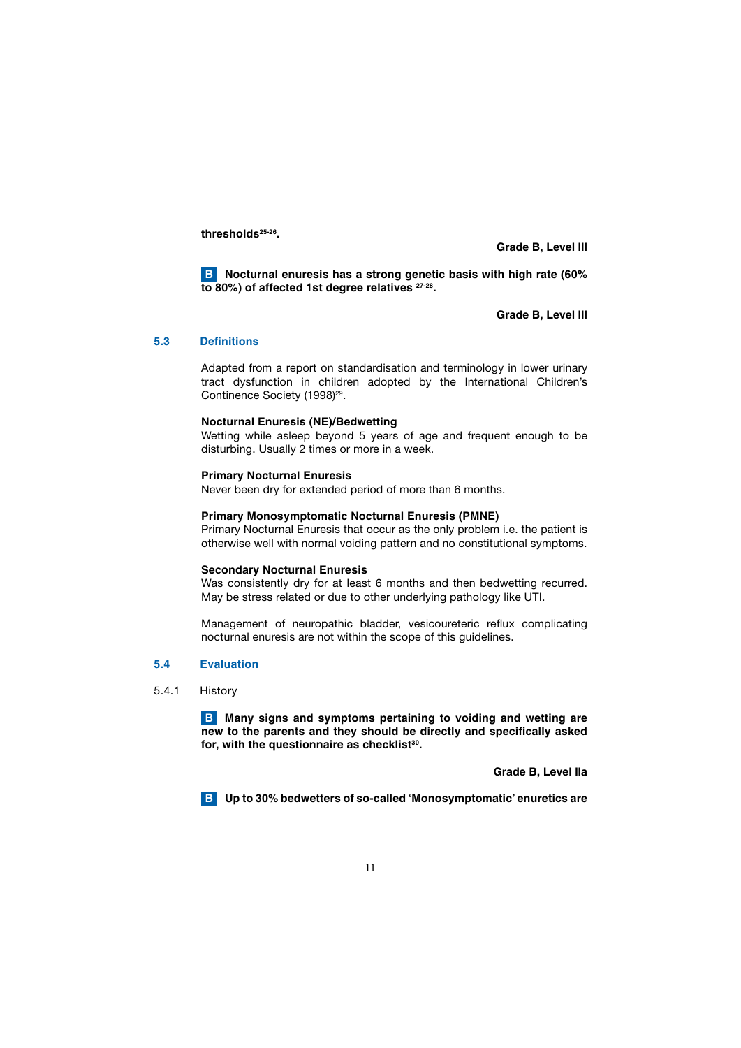**thresholds25-26.**

**Grade B, Level III**

 **Nocturnal enuresis has a strong genetic basis with high rate (60% B to 80%) of affected 1st degree relatives 27-28.**

 **Grade B, Level III**

#### **5.3 Definitions**

 Adapted from a report on standardisation and terminology in lower urinary tract dysfunction in children adopted by the International Children's Continence Society (1998)<sup>29</sup>.

#### **Nocturnal Enuresis (NE)/Bedwetting**

 Wetting while asleep beyond 5 years of age and frequent enough to be disturbing. Usually 2 times or more in a week.

#### **Primary Nocturnal Enuresis**

Never been dry for extended period of more than 6 months.

#### **Primary Monosymptomatic Nocturnal Enuresis (PMNE)**

 Primary Nocturnal Enuresis that occur as the only problem i.e. the patient is otherwise well with normal voiding pattern and no constitutional symptoms.

#### **Secondary Nocturnal Enuresis**

 Was consistently dry for at least 6 months and then bedwetting recurred. May be stress related or due to other underlying pathology like UTI.

 Management of neuropathic bladder, vesicoureteric reflux complicating nocturnal enuresis are not within the scope of this guidelines.

#### **5.4 Evaluation**

#### 5.4.1 History

**B** Many signs and symptoms pertaining to voiding and wetting are **new to the parents and they should be directly and specifically asked for, with the questionnaire as checklist30.**

 **Grade B, Level IIa**

 **Up to 30% bedwetters of so-called 'Monosymptomatic' enuretics are B**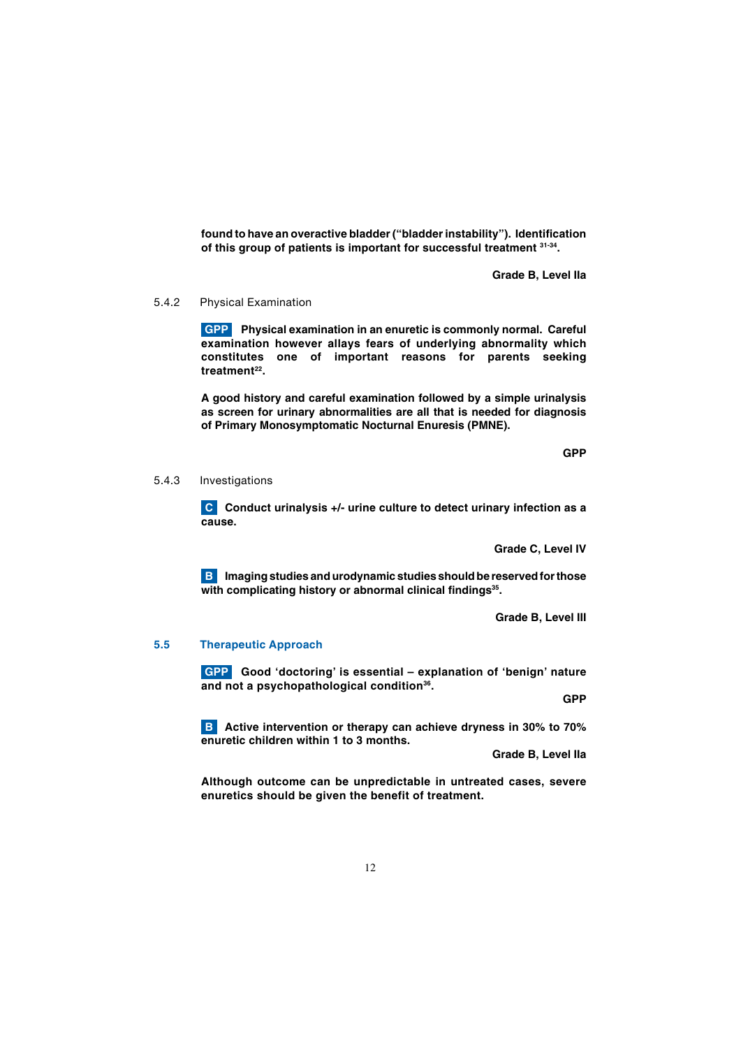**found to have an overactive bladder ("bladder instability"). Identification of this group of patients is important for successful treatment 31-34.**

 **Grade B, Level IIa**

5.4.2 Physical Examination

**GPP** Physical examination in an enuretic is commonly normal. Careful **examination however allays fears of underlying abnormality which constitutes one of important reasons for parents seeking**  treatment<sup>22</sup>.

**A good history and careful examination followed by a simple urinalysis as screen for urinary abnormalities are all that is needed for diagnosis of Primary Monosymptomatic Nocturnal Enuresis (PMNE).**

 **GPP STATE STATE STATE STATE STATE STATE STATE STATE STATE STATE STATE STATE** 

5.4.3 Investigations

**C** Conduct urinalysis +/- urine culture to detect urinary infection as a **cause.**

 **Grade C, Level IV**

**B** Imaging studies and urodynamic studies should be reserved for those with complicating history or abnormal clinical findings<sup>35</sup>.

 **Grade B, Level III**

#### **5.5 Therapeutic Approach**

**GPP** Good 'doctoring' is essential – explanation of 'benign' nature **and not a psychopathological condition36.**

 **GPP STATE OF A STATE OF A STATE OF A STATE OF A STATE OF A STATE OF A STATE OF A STATE OF A STATE OF A STATE** 

 **Active intervention or therapy can achieve dryness in 30% to 70% B enuretic children within 1 to 3 months.**

 **Grade B, Level IIa**

**Although outcome can be unpredictable in untreated cases, severe enuretics should be given the benefit of treatment.**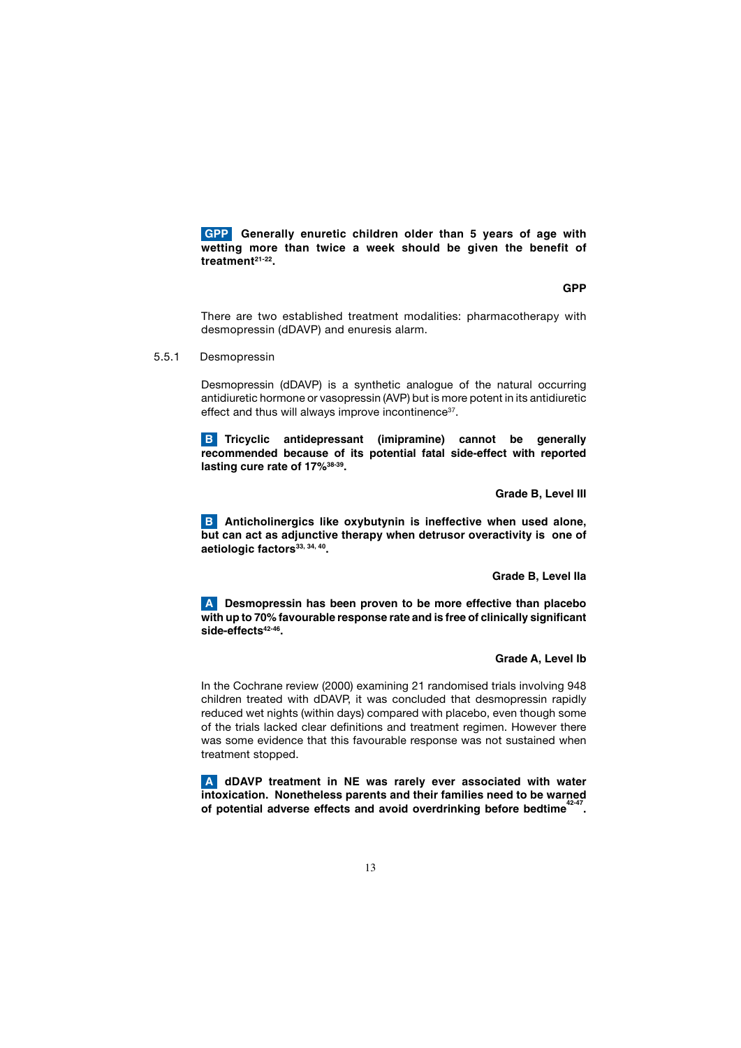**GPP** Generally enuretic children older than 5 years of age with **wetting more than twice a week should be given the benefit of treatment21-22.**

 **GPP STATE STATE STATE STATE STATE STATE STATE STATE STATE STATE STATE STATE** 

 There are two established treatment modalities: pharmacotherapy with desmopressin (dDAVP) and enuresis alarm.

5.5.1 Desmopressin

 Desmopressin (dDAVP) is a synthetic analogue of the natural occurring antidiuretic hormone or vasopressin (AVP) but is more potent in its antidiuretic effect and thus will always improve incontinence<sup>37</sup>.

**B** Tricyclic antidepressant (imipramine) cannot be generally **recommended because of its potential fatal side-effect with reported lasting cure rate of 17%38-39.**

 **Grade B, Level III**

**B** Anticholinergics like oxybutynin is ineffective when used alone, **but can act as adjunctive therapy when detrusor overactivity is one of**  aetiologic factors<sup>33, 34, 40</sup>.

 **Grade B, Level IIa**

 **Desmopressin has been proven to be more effective than placebo A with up to 70% favourable response rate and is free of clinically significant**  side-effects<sup>42-46</sup>.

#### **Grade A, Level Ib**

 In the Cochrane review (2000) examining 21 randomised trials involving 948 children treated with dDAVP, it was concluded that desmopressin rapidly reduced wet nights (within days) compared with placebo, even though some of the trials lacked clear definitions and treatment regimen. However there was some evidence that this favourable response was not sustained when treatment stopped.

 **dDAVP treatment in NE was rarely ever associated with water A intoxication. Nonetheless parents and their families need to be warned**  of potential adverse effects and avoid overdrinking before bedtime<sup>42-4</sup> **.**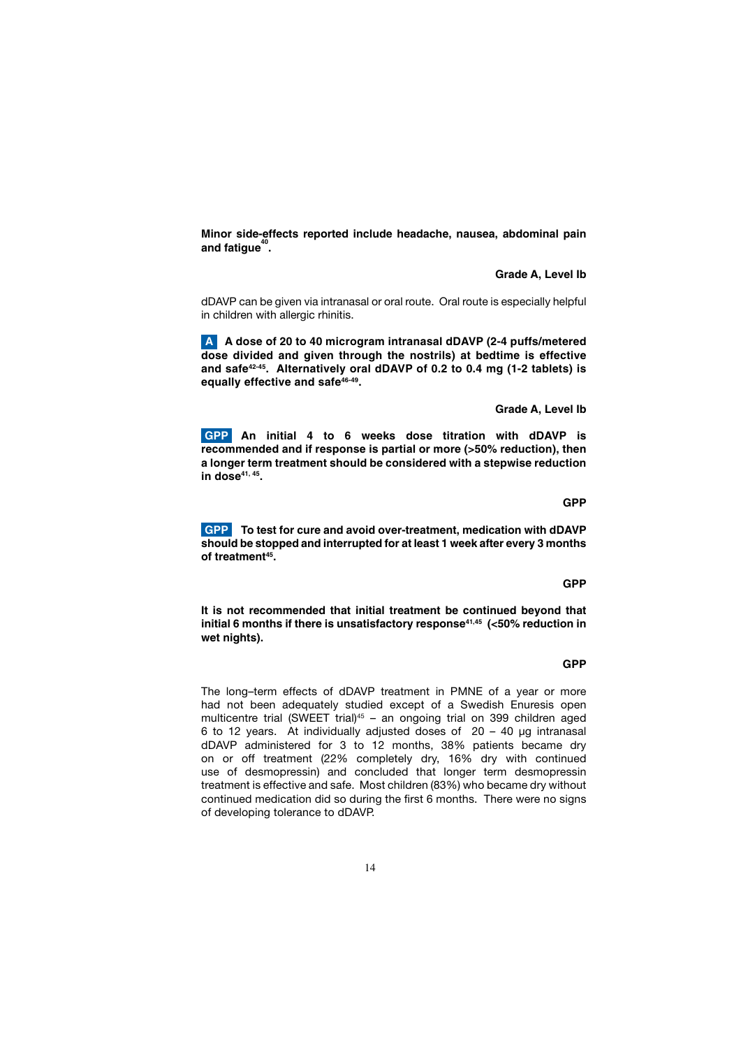**Minor side-effects reported include headache, nausea, abdominal pain and fatigue<sup>40</sup> .**

 **Grade A, Level Ib**

 dDAVP can be given via intranasal or oral route. Oral route is especially helpful in children with allergic rhinitis.

 **A dose of 20 to 40 microgram intranasal dDAVP (2-4 puffs/metered Adose divided and given through the nostrils) at bedtime is effective and safe42-45. Alternatively oral dDAVP of 0.2 to 0.4 mg (1-2 tablets) is equally effective and safe46-49.**

 **Grade A, Level Ib**

 **An initial 4 to 6 weeks dose titration with dDAVP is GPP recommended and if response is partial or more (>50% reduction), then a longer term treatment should be considered with a stepwise reduction in dose41, 45.**

 **To test for cure and avoid over-treatment, medication with dDAVP GPP should be stopped and interrupted for at least 1 week after every 3 months of treatment45.**

**It is not recommended that initial treatment be continued beyond that**  initial 6 months if there is unsatisfactory response<sup>41,45</sup> (<50% reduction in **wet nights).**

 **GPP STATE OF A STATE OF A STATE OF A STATE OF A STATE OF A STATE OF A STATE OF A STATE OF A STATE OF A STATE** 

 **GPP STATE OF A STATE OF A STATE OF A STATE OF A STATE OF A STATE OF A STATE OF A STATE OF A STATE OF A STATE** 

 The long–term effects of dDAVP treatment in PMNE of a year or more had not been adequately studied except of a Swedish Enuresis open multicentre trial (SWEET trial)<sup>45</sup> - an ongoing trial on 399 children aged 6 to 12 years. At individually adjusted doses of 20 – 40 μg intranasal dDAVP administered for 3 to 12 months, 38% patients became dry on or off treatment (22% completely dry, 16% dry with continued use of desmopressin) and concluded that longer term desmopressin treatment is effective and safe. Most children (83%) who became dry without continued medication did so during the first 6 months. There were no signs of developing tolerance to dDAVP.

 **GPP STATE STATE STATE STATE STATE STATE STATE STATE STATE STATE STATE STATE**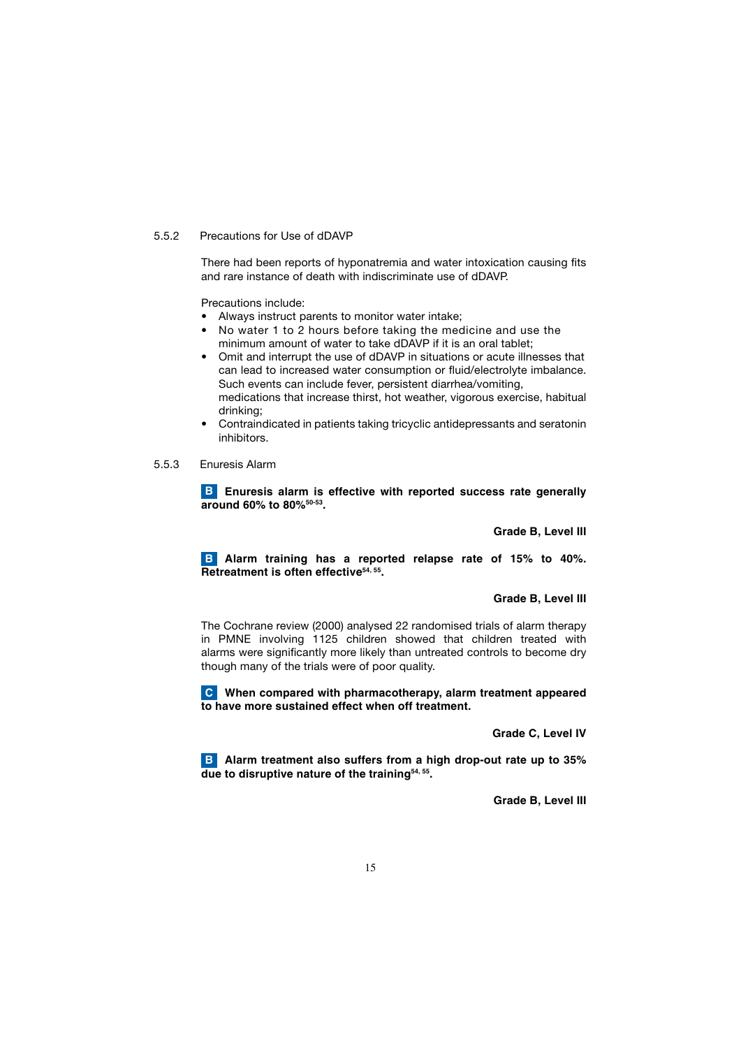#### 5.5.2 Precautions for Use of dDAVP

 There had been reports of hyponatremia and water intoxication causing fits and rare instance of death with indiscriminate use of dDAVP.

Precautions include:

- Always instruct parents to monitor water intake;
- No water 1 to 2 hours before taking the medicine and use the minimum amount of water to take dDAVP if it is an oral tablet;
- Omit and interrupt the use of dDAVP in situations or acute illnesses that can lead to increased water consumption or fluid/electrolyte imbalance. Such events can include fever, persistent diarrhea/vomiting, medications that increase thirst, hot weather, vigorous exercise, habitual drinking;
- Contraindicated in patients taking tricyclic antidepressants and seratonin inhibitors.
- 5.5.3 Enuresis Alarm

**B** Enuresis alarm is effective with reported success rate generally **around 60% to 80%50-53.**

 **Grade B, Level III**

**B** Alarm training has a reported relapse rate of 15% to 40%. **Retreatment is often effective54, 55.**

#### **Grade B, Level III**

 The Cochrane review (2000) analysed 22 randomised trials of alarm therapy in PMNE involving 1125 children showed that children treated with alarms were significantly more likely than untreated controls to become dry though many of the trials were of poor quality.

 **When compared with pharmacotherapy, alarm treatment appeared C to have more sustained effect when off treatment.**

 **Grade C, Level IV**

 **Alarm treatment also suffers from a high drop-out rate up to 35% B due to disruptive nature of the training54, 55.**

 **Grade B, Level III**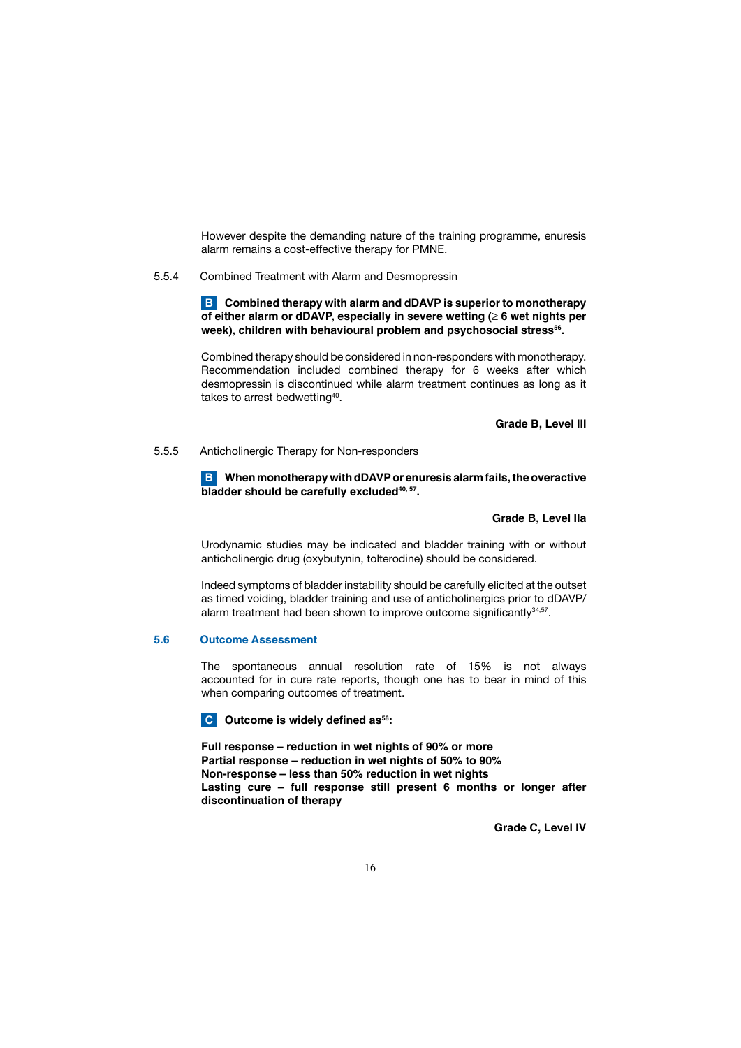However despite the demanding nature of the training programme, enuresis alarm remains a cost-effective therapy for PMNE.

5.5.4 Combined Treatment with Alarm and Desmopressin

 **Combined therapy with alarm and dDAVP is superior to monotherapy B of either alarm or dDAVP, especially in severe wetting (≥ 6 wet nights per**  week), children with behavioural problem and psychosocial stress<sup>56</sup>.

 Combined therapy should be considered in non-responders with monotherapy. Recommendation included combined therapy for 6 weeks after which desmopressin is discontinued while alarm treatment continues as long as it takes to arrest bedwetting<sup>40</sup>.

 **Grade B, Level III**

5.5.5 Anticholinergic Therapy for Non-responders

 **When monotherapy with dDAVP or enuresis alarm fails, the overactive B** bladder should be carefully excluded<sup>40, 57</sup>.

 **Grade B, Level IIa**

 Urodynamic studies may be indicated and bladder training with or without anticholinergic drug (oxybutynin, tolterodine) should be considered.

 Indeed symptoms of bladder instability should be carefully elicited at the outset as timed voiding, bladder training and use of anticholinergics prior to dDAVP/ alarm treatment had been shown to improve outcome significantly<sup>34,57</sup>.

#### **5.6 Outcome Assessment**

The spontaneous annual resolution rate of 15% is not always accounted for in cure rate reports, though one has to bear in mind of this when comparing outcomes of treatment.

**C** Outcome is widely defined as<sup>58</sup>:

**Full response – reduction in wet nights of 90% or more Partial response – reduction in wet nights of 50% to 90% Non-response – less than 50% reduction in wet nights Lasting cure – full response still present 6 months or longer after discontinuation of therapy**

 **Grade C, Level IV**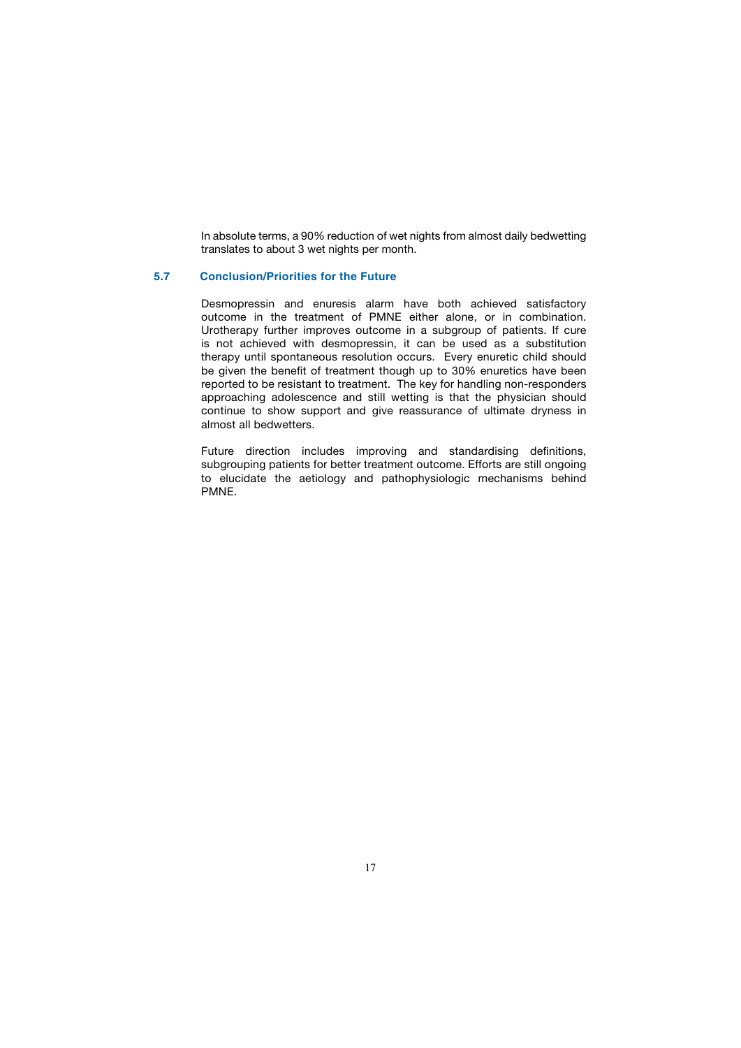In absolute terms, a 90% reduction of wet nights from almost daily bedwetting translates to about 3 wet nights per month.

#### **5.7 Conclusion/Priorities for the Future**

 Desmopressin and enuresis alarm have both achieved satisfactory outcome in the treatment of PMNE either alone, or in combination. Urotherapy further improves outcome in a subgroup of patients. If cure is not achieved with desmopressin, it can be used as a substitution therapy until spontaneous resolution occurs. Every enuretic child should be given the benefit of treatment though up to 30% enuretics have been reported to be resistant to treatment. The key for handling non-responders approaching adolescence and still wetting is that the physician should continue to show support and give reassurance of ultimate dryness in almost all bedwetters.

 Future direction includes improving and standardising definitions, subgrouping patients for better treatment outcome. Efforts are still ongoing to elucidate the aetiology and pathophysiologic mechanisms behind PMNE.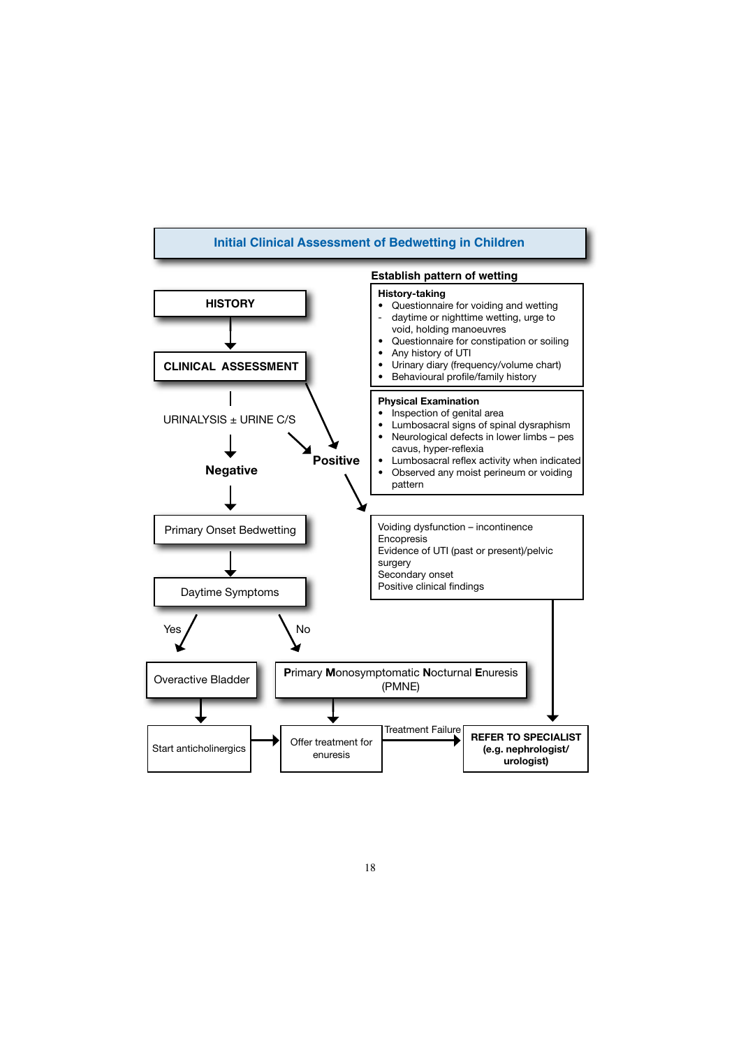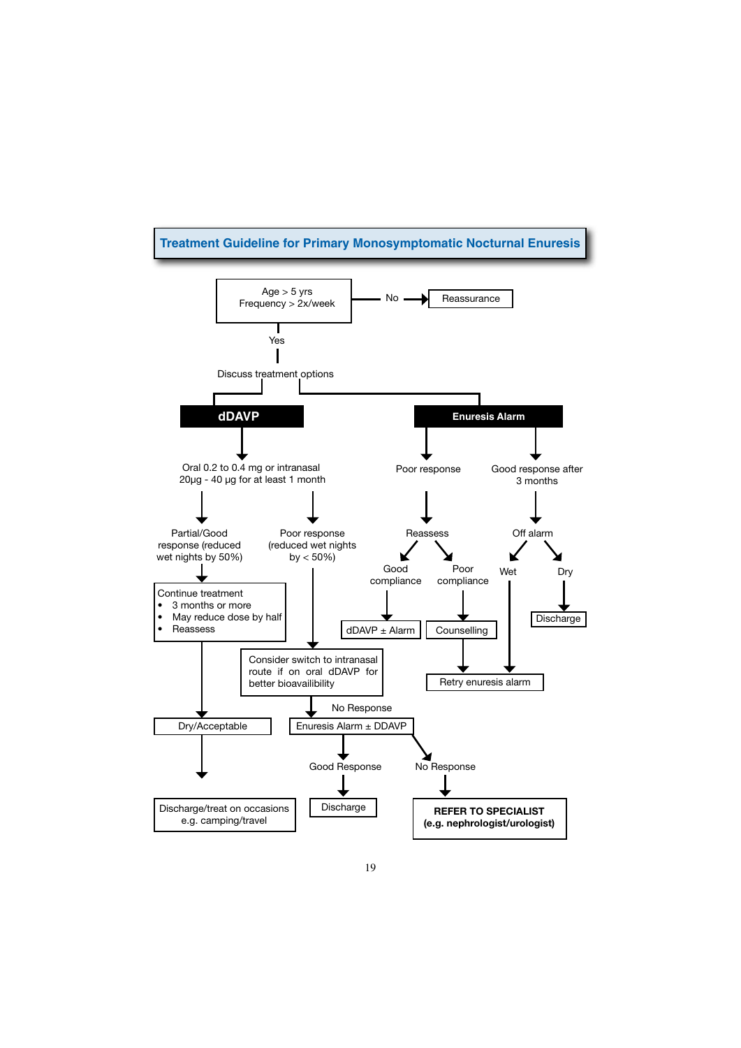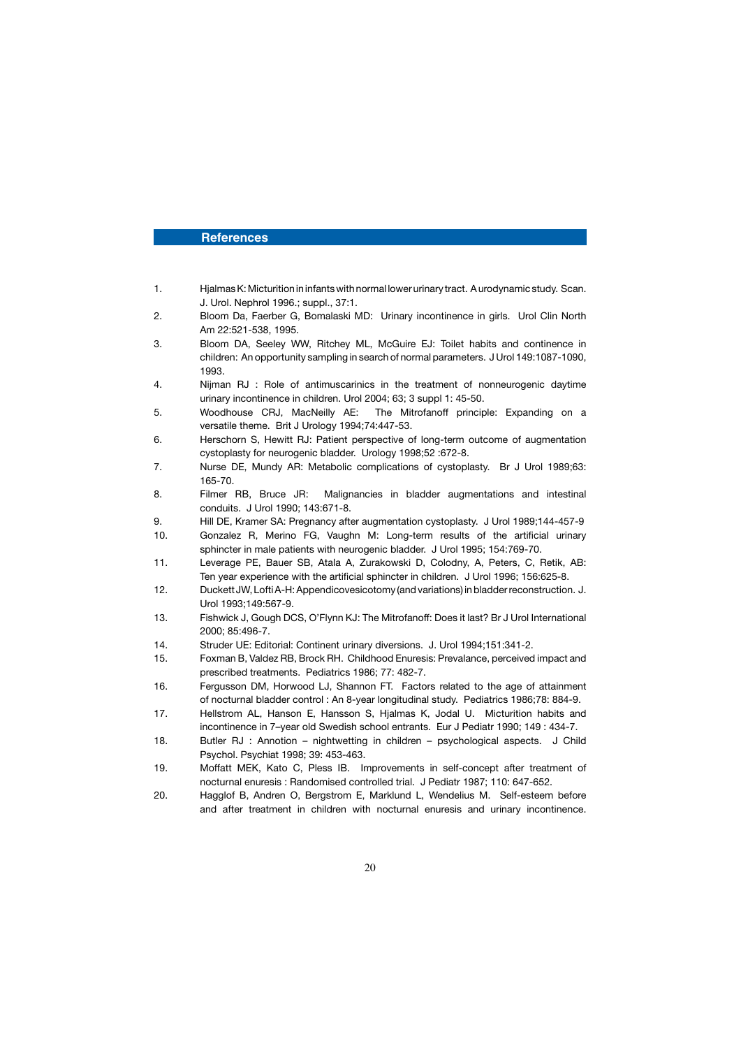#### **References**

- 1. Hjalmas K: Micturition in infants with normal lower urinary tract. A urodynamic study. Scan. J. Urol. Nephrol 1996.; suppl., 37:1.
- 2. Bloom Da, Faerber G, Bomalaski MD: Urinary incontinence in girls. Urol Clin North Am 22:521-538, 1995.
- 3. Bloom DA, Seeley WW, Ritchey ML, McGuire EJ: Toilet habits and continence in children: An opportunity sampling in search of normal parameters. J Urol 149:1087-1090, 1993.
- 4. Nijman RJ : Role of antimuscarinics in the treatment of nonneurogenic daytime urinary incontinence in children. Urol 2004; 63; 3 suppl 1: 45-50.
- 5. Woodhouse CRJ, MacNeilly AE: The Mitrofanoff principle: Expanding on a versatile theme. Brit J Urology 1994;74:447-53.
- 6. Herschorn S, Hewitt RJ: Patient perspective of long-term outcome of augmentation cystoplasty for neurogenic bladder. Urology 1998;52 :672-8.
- 7. Nurse DE, Mundy AR: Metabolic complications of cystoplasty. Br J Urol 1989;63: 165-70.
- 8. Filmer RB, Bruce JR: Malignancies in bladder augmentations and intestinal conduits. J Urol 1990; 143:671-8.
- 9. Hill DE, Kramer SA: Pregnancy after augmentation cystoplasty. J Urol 1989;144-457-9
- 10. Gonzalez R, Merino FG, Vaughn M: Long-term results of the artificial urinary sphincter in male patients with neurogenic bladder. J Urol 1995; 154:769-70.
- 11. Leverage PE, Bauer SB, Atala A, Zurakowski D, Colodny, A, Peters, C, Retik, AB: Ten year experience with the artificial sphincter in children. J Urol 1996; 156:625-8.
- 12. Duckett JW, Lofti A-H: Appendicovesicotomy (and variations) in bladder reconstruction. J. Urol 1993;149:567-9.
- 13. Fishwick J, Gough DCS, O'Flynn KJ: The Mitrofanoff: Does it last? Br J Urol International 2000; 85:496-7.
- 14. Struder UE: Editorial: Continent urinary diversions. J. Urol 1994;151:341-2.
- 15. Foxman B, Valdez RB, Brock RH. Childhood Enuresis: Prevalance, perceived impact and prescribed treatments. Pediatrics 1986; 77: 482-7.
- 16. Fergusson DM, Horwood LJ, Shannon FT. Factors related to the age of attainment of nocturnal bladder control : An 8-year longitudinal study. Pediatrics 1986;78: 884-9.
- 17. Hellstrom AL, Hanson E, Hansson S, Hjalmas K, Jodal U. Micturition habits and incontinence in 7–year old Swedish school entrants. Eur J Pediatr 1990; 149 : 434-7.
- 18. Butler RJ : Annotion nightwetting in children psychological aspects. J Child Psychol. Psychiat 1998; 39: 453-463.
- 19. Moffatt MEK, Kato C, Pless IB. Improvements in self-concept after treatment of nocturnal enuresis : Randomised controlled trial. J Pediatr 1987; 110: 647-652.
- 20. Hagglof B, Andren O, Bergstrom E, Marklund L, Wendelius M. Self-esteem before and after treatment in children with nocturnal enuresis and urinary incontinence.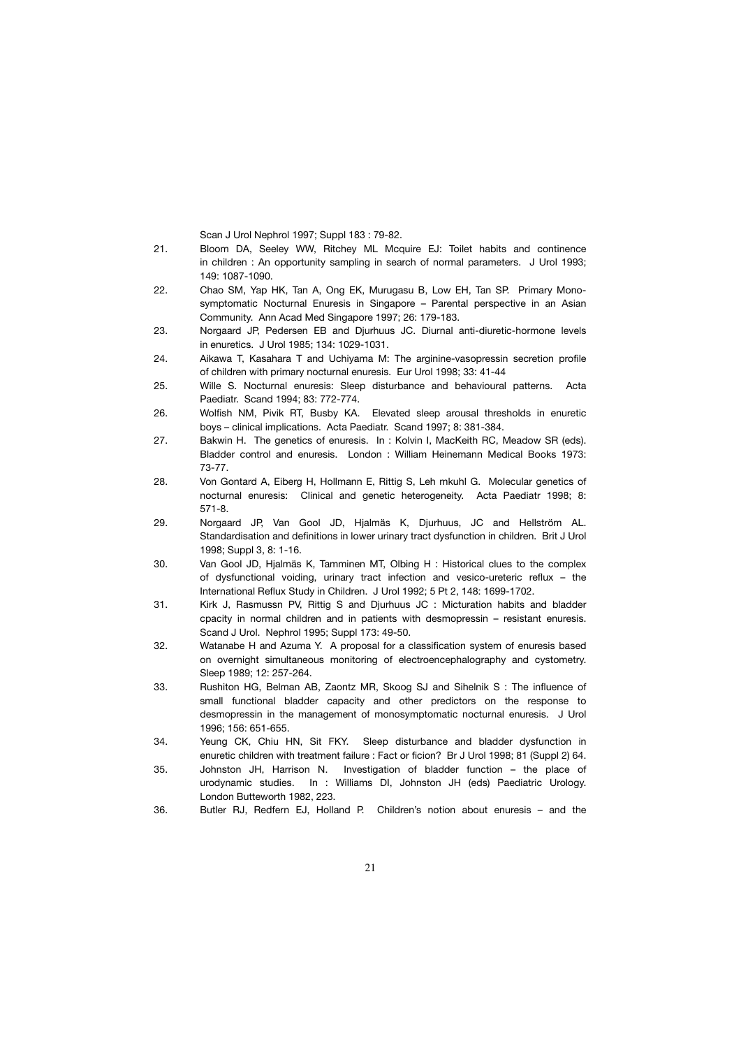Scan J Urol Nephrol 1997; Suppl 183 : 79-82.

- 21. Bloom DA, Seeley WW, Ritchey ML Mcquire EJ: Toilet habits and continence in children : An opportunity sampling in search of normal parameters. J Urol 1993; 149: 1087-1090.
- 22. Chao SM, Yap HK, Tan A, Ong EK, Murugasu B, Low EH, Tan SP. Primary Mono symptomatic Nocturnal Enuresis in Singapore – Parental perspective in an Asian Community. Ann Acad Med Singapore 1997; 26: 179-183.
- 23. Norgaard JP, Pedersen EB and Djurhuus JC. Diurnal anti-diuretic-hormone levels in enuretics. J Urol 1985; 134: 1029-1031.
- 24. Aikawa T, Kasahara T and Uchiyama M: The arginine-vasopressin secretion profile of children with primary nocturnal enuresis. Eur Urol 1998; 33: 41-44
- 25. Wille S. Nocturnal enuresis: Sleep disturbance and behavioural patterns. Acta Paediatr. Scand 1994; 83: 772-774.
- 26. Wolfish NM, Pivik RT, Busby KA. Elevated sleep arousal thresholds in enuretic boys – clinical implications. Acta Paediatr. Scand 1997; 8: 381-384.
- 27. Bakwin H. The genetics of enuresis. In : Kolvin I, MacKeith RC, Meadow SR (eds). Bladder control and enuresis. London : William Heinemann Medical Books 1973: 73-77.
- 28. Von Gontard A, Eiberg H, Hollmann E, Rittig S, Leh mkuhl G. Molecular genetics of nocturnal enuresis: Clinical and genetic heterogeneity. Acta Paediatr 1998; 8: 571-8.
- 29. Norgaard JP, Van Gool JD, Hjalmäs K, Djurhuus, JC and Hellström AL. Standardisation and definitions in lower urinary tract dysfunction in children. Brit J Urol 1998; Suppl 3, 8: 1-16.
- 30. Van Gool JD, Hjalmäs K, Tamminen MT, Olbing H : Historical clues to the complex of dysfunctional voiding, urinary tract infection and vesico-ureteric reflux – the International Reflux Study in Children. J Urol 1992; 5 Pt 2, 148: 1699-1702.
- 31. Kirk J, Rasmussn PV, Rittig S and Djurhuus JC : Micturation habits and bladder cpacity in normal children and in patients with desmopressin – resistant enuresis. Scand J Urol. Nephrol 1995; Suppl 173: 49-50.
- 32. Watanabe H and Azuma Y. A proposal for a classification system of enuresis based on overnight simultaneous monitoring of electroencephalography and cystometry. Sleep 1989; 12: 257-264.
- 33. Rushiton HG, Belman AB, Zaontz MR, Skoog SJ and Sihelnik S : The influence of small functional bladder capacity and other predictors on the response to desmopressin in the management of monosymptomatic nocturnal enuresis. J Urol 1996; 156: 651-655.
- 34. Yeung CK, Chiu HN, Sit FKY. Sleep disturbance and bladder dysfunction in enuretic children with treatment failure : Fact or ficion? Br J Urol 1998; 81 (Suppl 2) 64.
- 35. Johnston JH, Harrison N. Investigation of bladder function the place of urodynamic studies. In : Williams DI, Johnston JH (eds) Paediatric Urology. London Butteworth 1982, 223.
- 36. Butler RJ, Redfern EJ, Holland P. Children's notion about enuresis and the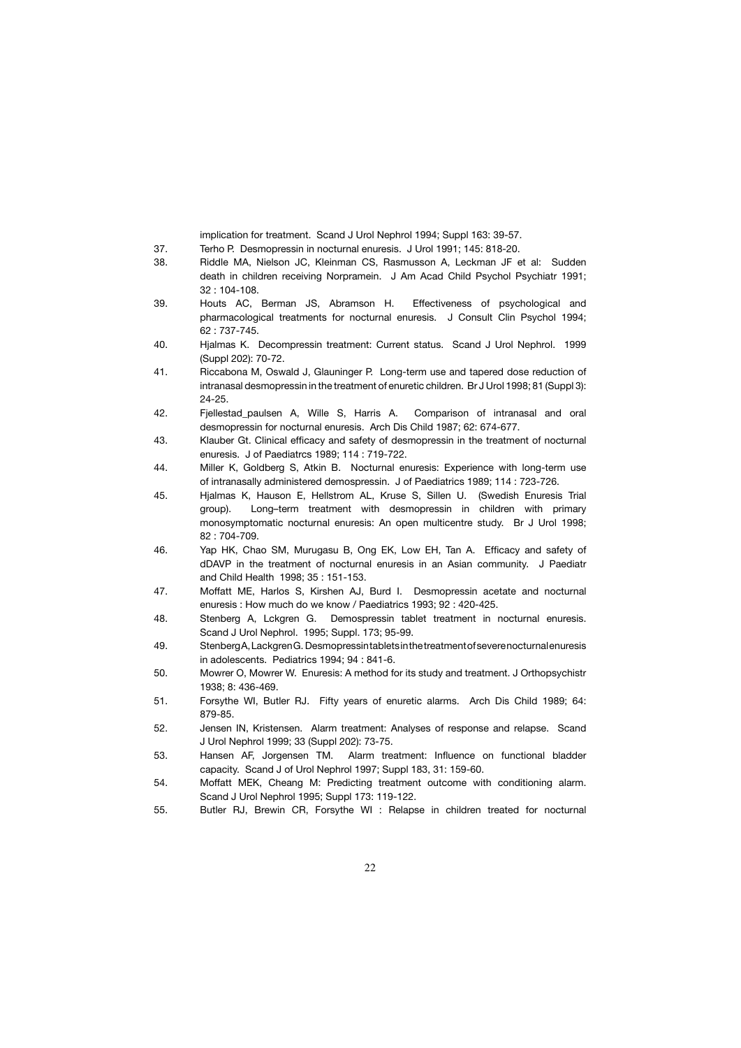implication for treatment. Scand J Urol Nephrol 1994; Suppl 163: 39-57.

- 37. Terho P. Desmopressin in nocturnal enuresis. J Urol 1991; 145: 818-20.
- 38. Riddle MA, Nielson JC, Kleinman CS, Rasmusson A, Leckman JF et al: Sudden death in children receiving Norpramein. J Am Acad Child Psychol Psychiatr 1991; 32 : 104-108.
- 39. Houts AC, Berman JS, Abramson H. Effectiveness of psychological and pharmacological treatments for nocturnal enuresis. J Consult Clin Psychol 1994; 62 : 737-745.
- 40. Hjalmas K. Decompressin treatment: Current status. Scand J Urol Nephrol. 1999 (Suppl 202): 70-72.
- 41. Riccabona M, Oswald J, Glauninger P. Long-term use and tapered dose reduction of intranasal desmopressin in the treatment of enuretic children. Br J Urol 1998; 81 (Suppl 3): 24-25.
- 42. Fjellestad\_paulsen A, Wille S, Harris A. Comparison of intranasal and oral desmopressin for nocturnal enuresis. Arch Dis Child 1987; 62: 674-677.
- 43. Klauber Gt. Clinical efficacy and safety of desmopressin in the treatment of nocturnal enuresis. J of Paediatrcs 1989; 114 : 719-722.
- 44. Miller K, Goldberg S, Atkin B. Nocturnal enuresis: Experience with long-term use of intranasally administered demospressin. J of Paediatrics 1989; 114 : 723-726.
- 45. Hjalmas K, Hauson E, Hellstrom AL, Kruse S, Sillen U. (Swedish Enuresis Trial group). Long–term treatment with desmopressin in children with primary monosymptomatic nocturnal enuresis: An open multicentre study. Br J Urol 1998; 82 : 704-709.
- 46. Yap HK, Chao SM, Murugasu B, Ong EK, Low EH, Tan A. Efficacy and safety of dDAVP in the treatment of nocturnal enuresis in an Asian community. J Paediatr and Child Health 1998; 35 : 151-153.
- 47. Moffatt ME, Harlos S, Kirshen AJ, Burd I. Desmopressin acetate and nocturnal enuresis : How much do we know / Paediatrics 1993; 92 : 420-425.
- 48. Stenberg A, Lckgren G. Demospressin tablet treatment in nocturnal enuresis. Scand J Urol Nephrol. 1995; Suppl. 173; 95-99.
- 49. Stenberg A, Lackgren G. Desmopressin tablets in the treatment of severe nocturnal enuresis in adolescents. Pediatrics 1994; 94 : 841-6.
- 50. Mowrer O, Mowrer W. Enuresis: A method for its study and treatment. J Orthopsychistr 1938; 8: 436-469.
- 51. Forsythe WI, Butler RJ. Fifty years of enuretic alarms. Arch Dis Child 1989; 64: 879-85.
- 52. Jensen IN, Kristensen. Alarm treatment: Analyses of response and relapse. Scand J Urol Nephrol 1999; 33 (Suppl 202): 73-75.
- 53. Hansen AF, Jorgensen TM. Alarm treatment: Influence on functional bladder capacity. Scand J of Urol Nephrol 1997; Suppl 183, 31: 159-60.
- 54. Moffatt MEK, Cheang M: Predicting treatment outcome with conditioning alarm. Scand J Urol Nephrol 1995; Suppl 173: 119-122.
- 55. Butler RJ, Brewin CR, Forsythe WI : Relapse in children treated for nocturnal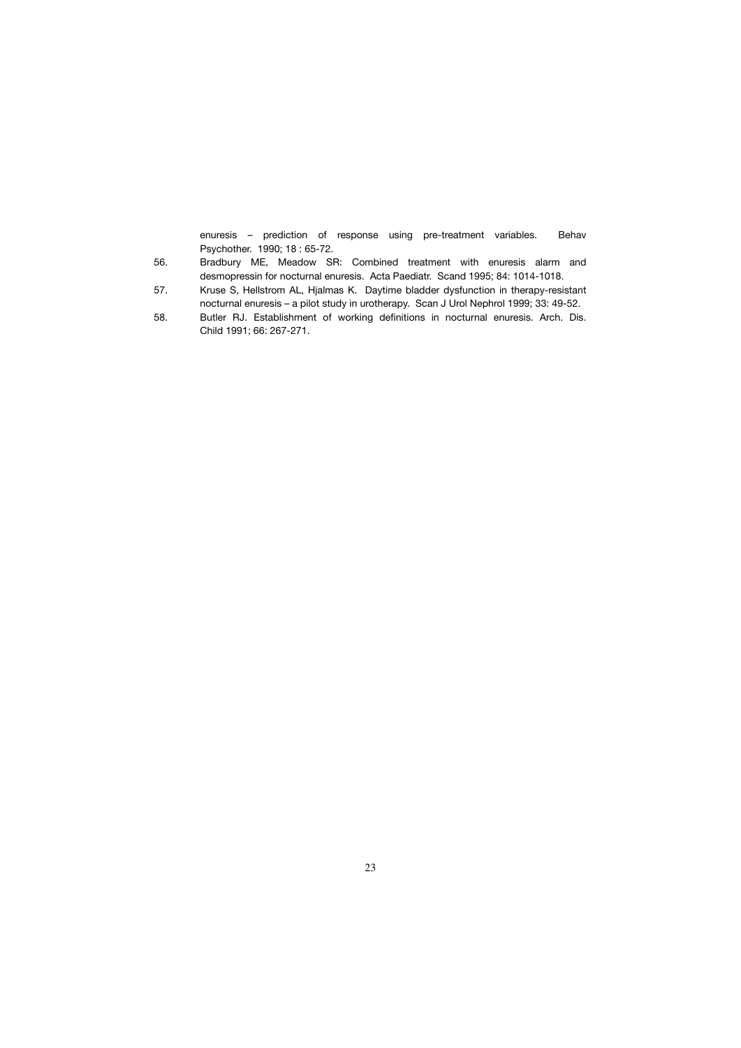enuresis – prediction of response using pre-treatment variables. Behav Psychother. 1990; 18 : 65-72.

- 56. Bradbury ME, Meadow SR: Combined treatment with enuresis alarm and desmopressin for nocturnal enuresis. Acta Paediatr. Scand 1995; 84: 1014-1018.
- 57. Kruse S, Hellstrom AL, Hjalmas K. Daytime bladder dysfunction in therapy-resistant nocturnal enuresis – a pilot study in urotherapy. Scan J Urol Nephrol 1999; 33: 49-52.
- 58. Butler RJ. Establishment of working definitions in nocturnal enuresis. Arch. Dis. Child 1991; 66: 267-271.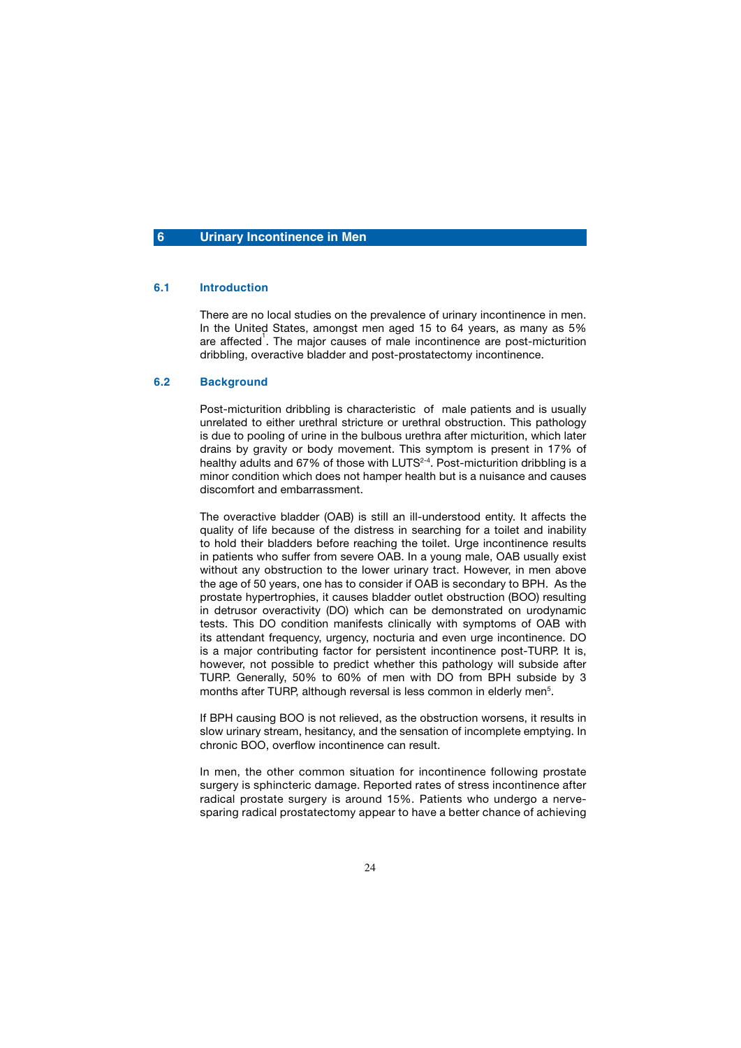#### **6 Urinary Incontinence in Men**

#### **6.1 Introduction**

 There are no local studies on the prevalence of urinary incontinence in men. In the United States, amongst men aged 15 to 64 years, as many as 5% are affected<sup>1</sup>. The major causes of male incontinence are post-micturition dribbling, overactive bladder and post-prostatectomy incontinence.

#### **6.2 Background**

 Post-micturition dribbling is characteristic of male patients and is usually unrelated to either urethral stricture or urethral obstruction. This pathology is due to pooling of urine in the bulbous urethra after micturition, which later drains by gravity or body movement. This symptom is present in 17% of healthy adults and 67% of those with LUTS<sup>2-4</sup>. Post-micturition dribbling is a minor condition which does not hamper health but is a nuisance and causes discomfort and embarrassment.

 The overactive bladder (OAB) is still an ill-understood entity. It affects the quality of life because of the distress in searching for a toilet and inability to hold their bladders before reaching the toilet. Urge incontinence results in patients who suffer from severe OAB. In a young male, OAB usually exist without any obstruction to the lower urinary tract. However, in men above the age of 50 years, one has to consider if OAB is secondary to BPH. As the prostate hypertrophies, it causes bladder outlet obstruction (BOO) resulting in detrusor overactivity (DO) which can be demonstrated on urodynamic tests. This DO condition manifests clinically with symptoms of OAB with its attendant frequency, urgency, nocturia and even urge incontinence. DO is a major contributing factor for persistent incontinence post-TURP. It is, however, not possible to predict whether this pathology will subside after TURP. Generally, 50% to 60% of men with DO from BPH subside by 3 months after TURP, although reversal is less common in elderly men<sup>5</sup>.

 If BPH causing BOO is not relieved, as the obstruction worsens, it results in slow urinary stream, hesitancy, and the sensation of incomplete emptying. In chronic BOO, overflow incontinence can result.

In men, the other common situation for incontinence following prostate surgery is sphincteric damage. Reported rates of stress incontinence after radical prostate surgery is around 15%. Patients who undergo a nervesparing radical prostatectomy appear to have a better chance of achieving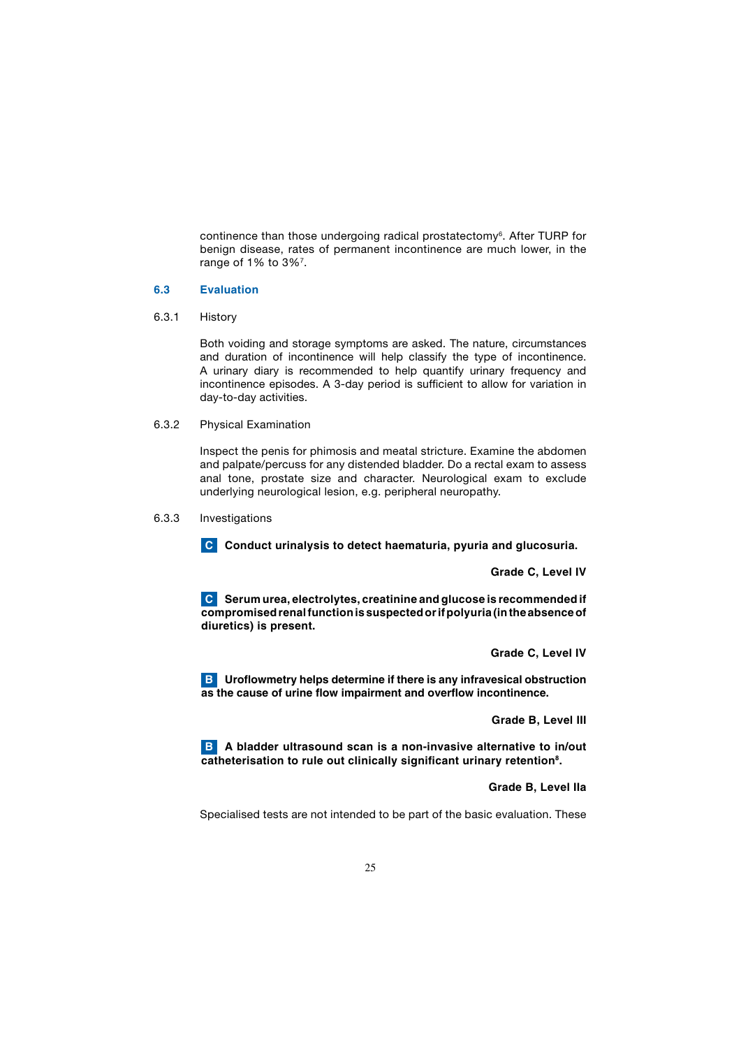continence than those undergoing radical prostatectomy<sup>6</sup>. After TURP for benign disease, rates of permanent incontinence are much lower, in the range of 1% to 3%<sup>7</sup>.

#### **6.3 Evaluation**

6.3.1 History

 Both voiding and storage symptoms are asked. The nature, circumstances and duration of incontinence will help classify the type of incontinence. A urinary diary is recommended to help quantify urinary frequency and incontinence episodes. A 3-day period is sufficient to allow for variation in day-to-day activities.

6.3.2 Physical Examination

 Inspect the penis for phimosis and meatal stricture. Examine the abdomen and palpate/percuss for any distended bladder. Do a rectal exam to assess anal tone, prostate size and character. Neurological exam to exclude underlying neurological lesion, e.g. peripheral neuropathy.

#### 6.3.3 Investigations

**C** Conduct urinalysis to detect haematuria, pyuria and glucosuria.

 **Grade C, Level IV**

 **Serum urea, electrolytes, creatinine and glucose is recommended if C compromised renal function is suspected or if polyuria (in the absence of diuretics) is present.**

 **Grade C, Level IV**

**B** Uroflowmetry helps determine if there is any infravesical obstruction **as the cause of urine flow impairment and overflow incontinence.** 

 **Grade B, Level III**

**B** A bladder ultrasound scan is a non-invasive alternative to in/out **catheterisation to rule out clinically significant urinary retention8.** 

#### **Grade B, Level IIa**

Specialised tests are not intended to be part of the basic evaluation. These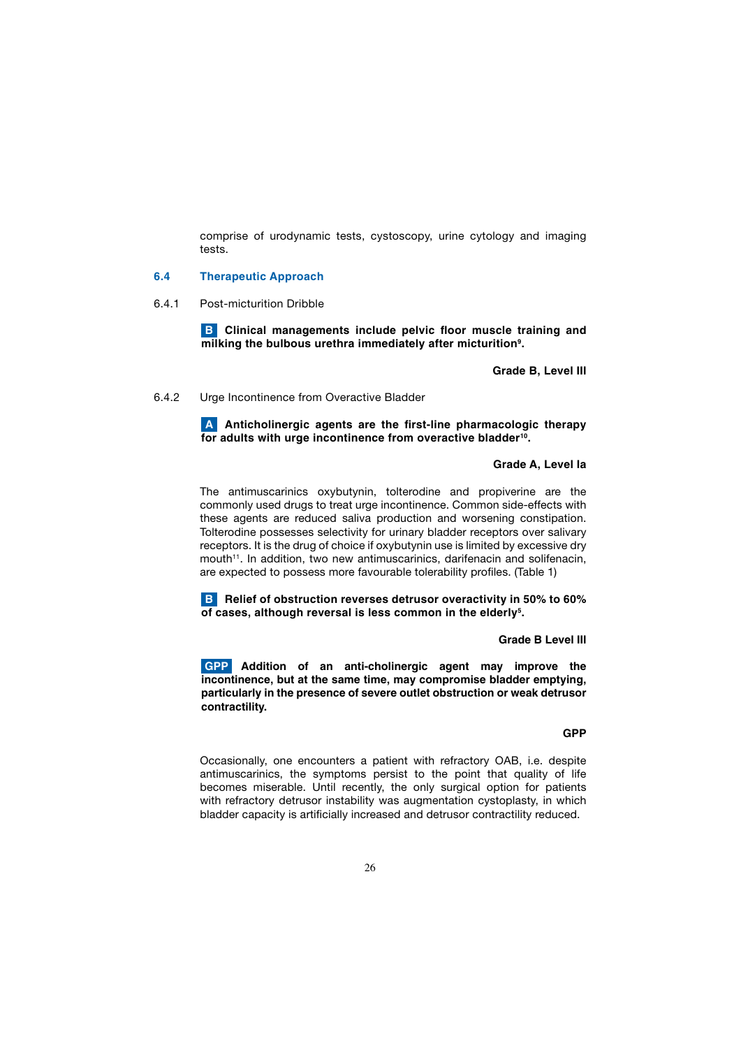comprise of urodynamic tests, cystoscopy, urine cytology and imaging tests.

#### **6.4 Therapeutic Approach**

6.4.1 Post-micturition Dribble

**B** Clinical managements include pelvic floor muscle training and **milking the bulbous urethra immediately after micturition9.**

 **Grade B, Level III**

#### 6.4.2 Urge Incontinence from Overactive Bladder

 **Anticholinergic agents are the first-line pharmacologic therapy A for adults with urge incontinence from overactive bladder10.** 

#### **Grade A, Level Ia**

The antimuscarinics oxybutynin, tolterodine and propiverine are the commonly used drugs to treat urge incontinence. Common side-effects with these agents are reduced saliva production and worsening constipation. Tolterodine possesses selectivity for urinary bladder receptors over salivary receptors. It is the drug of choice if oxybutynin use is limited by excessive dry mouth<sup>11</sup>. In addition, two new antimuscarinics, darifenacin and solifenacin, are expected to possess more favourable tolerability profiles. (Table 1)

**B** Relief of obstruction reverses detrusor overactivity in 50% to 60% **of cases, although reversal is less common in the elderly5.**

#### **Grade B Level III**

 **Addition of an anti-cholinergic agent may improve the GPP incontinence, but at the same time, may compromise bladder emptying, particularly in the presence of severe outlet obstruction or weak detrusor contractility.** 

#### **GPP STATE STATE STATE STATE STATE STATE STATE STATE STATE STATE STATE STATE**

 Occasionally, one encounters a patient with refractory OAB, i.e. despite antimuscarinics, the symptoms persist to the point that quality of life becomes miserable. Until recently, the only surgical option for patients with refractory detrusor instability was augmentation cystoplasty, in which bladder capacity is artificially increased and detrusor contractility reduced.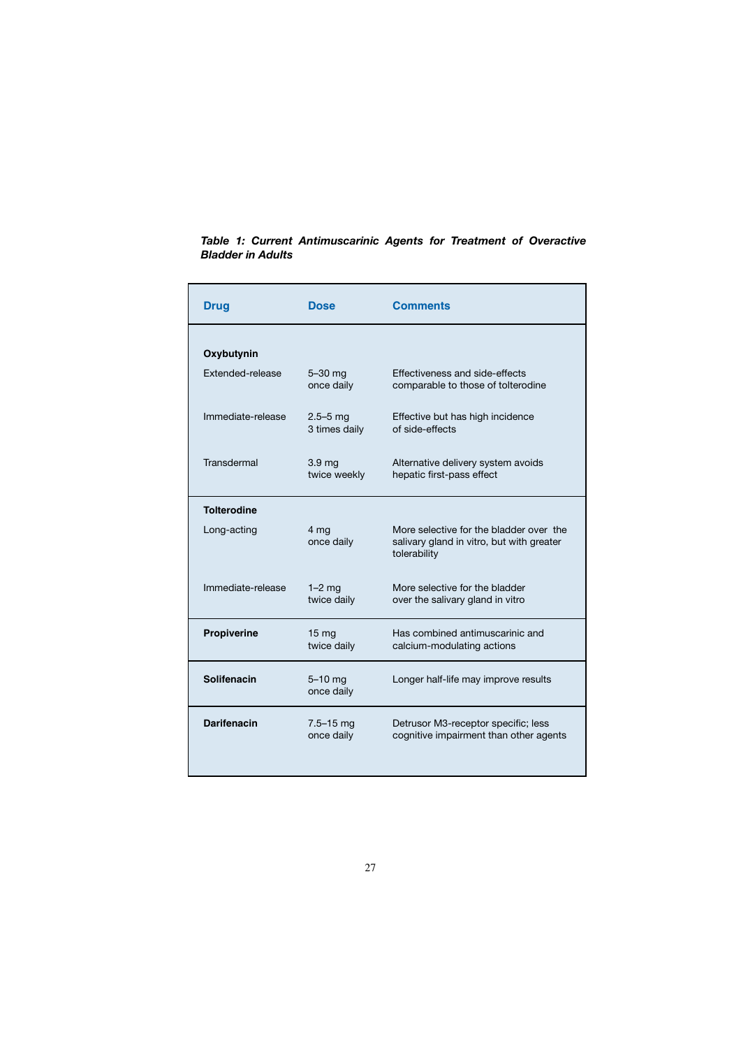| <b>Drug</b>             | <b>Dose</b>                       | <b>Comments</b>                                                                                      |
|-------------------------|-----------------------------------|------------------------------------------------------------------------------------------------------|
| Oxybutynin              |                                   |                                                                                                      |
| <b>Extended-release</b> | $5-30$ mg<br>once daily           | Effectiveness and side-effects<br>comparable to those of tolterodine                                 |
| Immediate-release       | $2.5 - 5$ mg<br>3 times daily     | Effective but has high incidence<br>of side-effects                                                  |
| Transdermal             | 3.9 <sub>mg</sub><br>twice weekly | Alternative delivery system avoids<br>hepatic first-pass effect                                      |
| <b>Tolterodine</b>      |                                   |                                                                                                      |
| Long-acting             | 4 mg<br>once daily                | More selective for the bladder over the<br>salivary gland in vitro, but with greater<br>tolerability |
| Immediate-release       | $1-2$ mg<br>twice daily           | More selective for the bladder<br>over the salivary gland in vitro                                   |
| Propiverine             | 15 <sub>mg</sub><br>twice daily   | Has combined antimuscarinic and<br>calcium-modulating actions                                        |
| Solifenacin             | $5-10$ mg<br>once daily           | Longer half-life may improve results                                                                 |
| <b>Darifenacin</b>      | $7.5 - 15$ mg<br>once daily       | Detrusor M3-receptor specific; less<br>cognitive impairment than other agents                        |

*Table 1: Current Antimuscarinic Agents for Treatment of Overactive Bladder in Adults*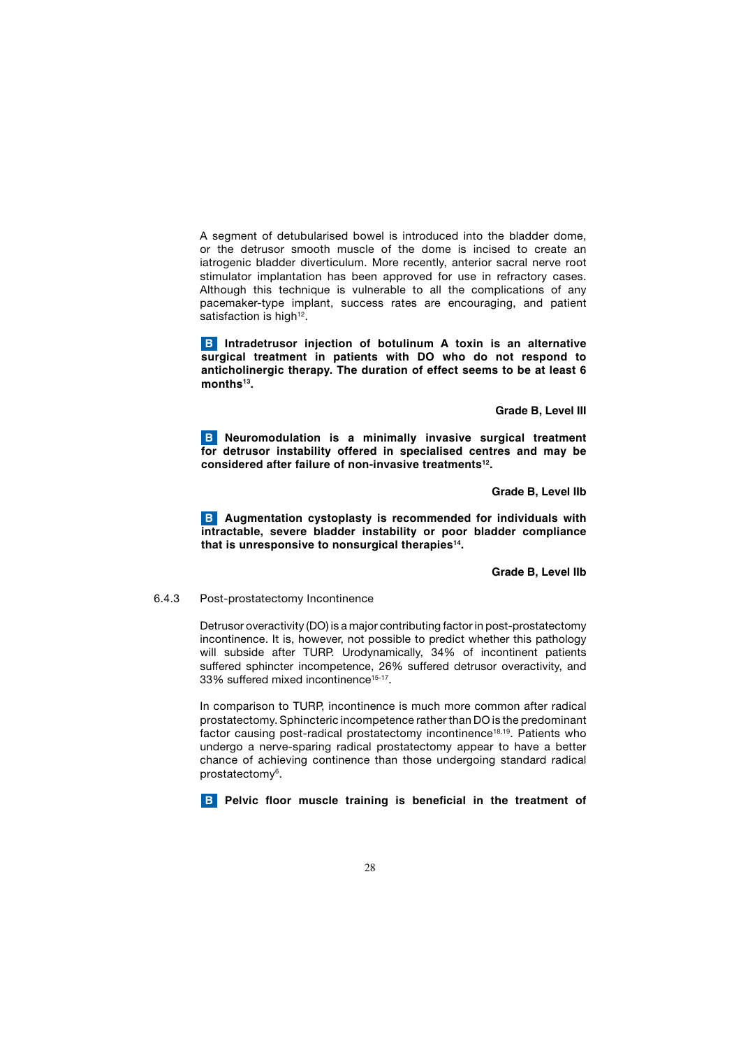A segment of detubularised bowel is introduced into the bladder dome, or the detrusor smooth muscle of the dome is incised to create an iatrogenic bladder diverticulum. More recently, anterior sacral nerve root stimulator implantation has been approved for use in refractory cases. Although this technique is vulnerable to all the complications of any pacemaker-type implant, success rates are encouraging, and patient satisfaction is high<sup>12</sup>.

**B** Intradetrusor injection of botulinum A toxin is an alternative **surgical treatment in patients with DO who do not respond to anticholinergic therapy. The duration of effect seems to be at least 6**  months<sup>13</sup>.

**Grade B, Level III**

**B** Neuromodulation is a minimally invasive surgical treatment **for detrusor instability offered in specialised centres and may be considered after failure of non-invasive treatments12.**

 **Grade B, Level IIb**

**B** Augmentation cystoplasty is recommended for individuals with **intractable, severe bladder instability or poor bladder compliance that is unresponsive to nonsurgical therapies14.** 

#### **Grade B, Level IIb**

#### 6.4.3 Post-prostatectomy Incontinence

 Detrusor overactivity (DO) is a major contributing factor in post-prostatectomy incontinence. It is, however, not possible to predict whether this pathology will subside after TURP. Urodynamically, 34% of incontinent patients suffered sphincter incompetence, 26% suffered detrusor overactivity, and 33% suffered mixed incontinence<sup>15-17</sup>.

 In comparison to TURP, incontinence is much more common after radical prostatectomy. Sphincteric incompetence rather than DO is the predominant factor causing post-radical prostatectomy incontinence<sup>18,19</sup>. Patients who undergo a nerve-sparing radical prostatectomy appear to have a better chance of achieving continence than those undergoing standard radical prostatectomy<sup>6</sup>.

**B** Pelvic floor muscle training is beneficial in the treatment of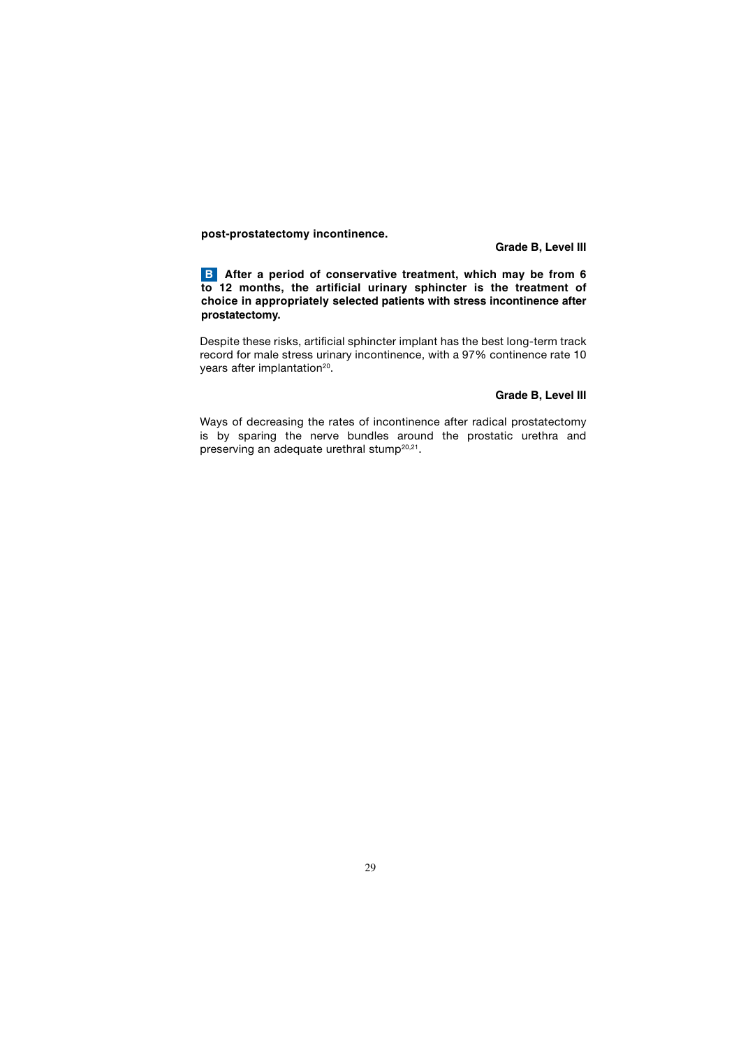**post-prostatectomy incontinence.**

**Grade B, Level III**

**B** After a period of conservative treatment, which may be from 6 **to 12 months, the artificial urinary sphincter is the treatment of choice in appropriately selected patients with stress incontinence after prostatectomy.** 

 Despite these risks, artificial sphincter implant has the best long-term track record for male stress urinary incontinence, with a 97% continence rate 10 years after implantation<sup>20</sup>.

#### **Grade B, Level III**

 Ways of decreasing the rates of incontinence after radical prostatectomy is by sparing the nerve bundles around the prostatic urethra and preserving an adequate urethral stump<sup>20,21</sup>.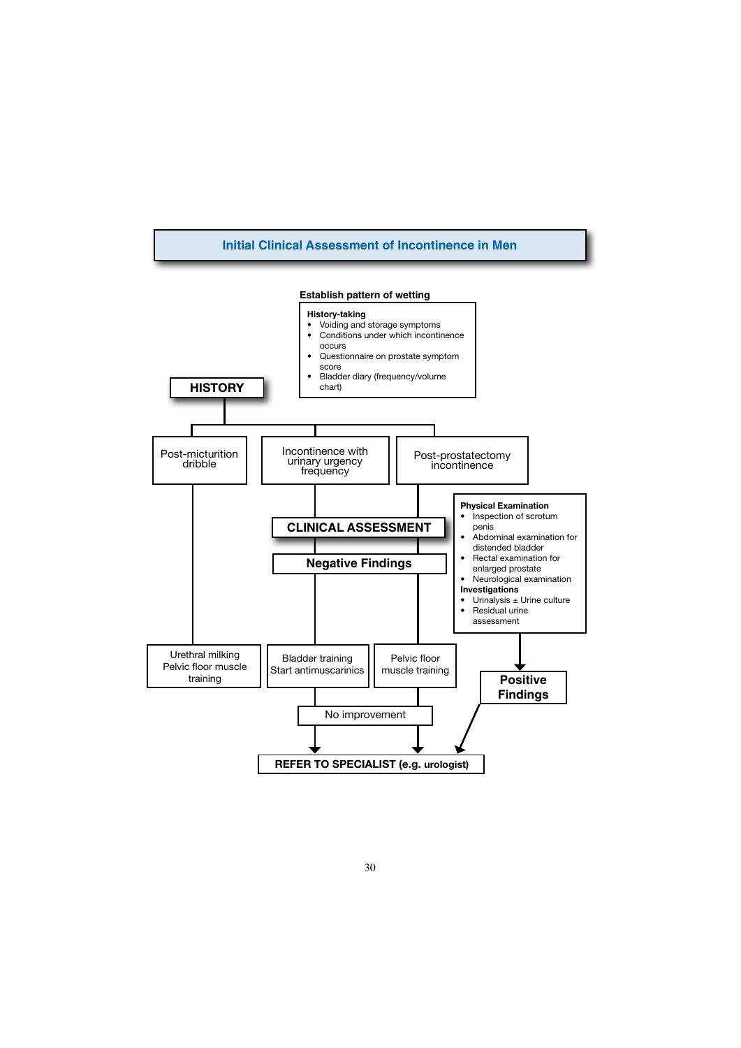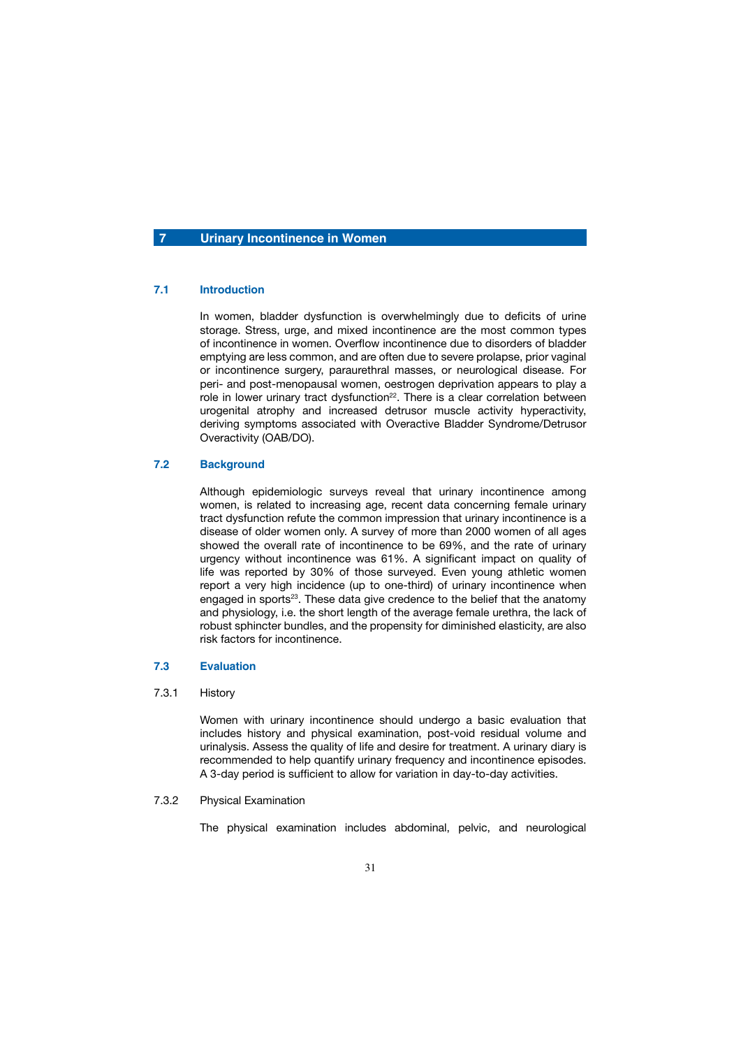# **7 Urinary Incontinence in Women**

# **7.1 Introduction**

 In women, bladder dysfunction is overwhelmingly due to deficits of urine storage. Stress, urge, and mixed incontinence are the most common types of incontinence in women. Overflow incontinence due to disorders of bladder emptying are less common, and are often due to severe prolapse, prior vaginal or incontinence surgery, paraurethral masses, or neurological disease. For peri- and post-menopausal women, oestrogen deprivation appears to play a role in lower urinary tract dysfunction<sup>22</sup>. There is a clear correlation between urogenital atrophy and increased detrusor muscle activity hyperactivity, deriving symptoms associated with Overactive Bladder Syndrome/Detrusor Overactivity (OAB/DO).

### **7.2 Background**

 Although epidemiologic surveys reveal that urinary incontinence among women, is related to increasing age, recent data concerning female urinary tract dysfunction refute the common impression that urinary incontinence is a disease of older women only. A survey of more than 2000 women of all ages showed the overall rate of incontinence to be 69%, and the rate of urinary urgency without incontinence was 61%. A significant impact on quality of life was reported by 30% of those surveyed. Even young athletic women report a very high incidence (up to one-third) of urinary incontinence when engaged in sports<sup>23</sup>. These data give credence to the belief that the anatomy and physiology, i.e. the short length of the average female urethra, the lack of robust sphincter bundles, and the propensity for diminished elasticity, are also risk factors for incontinence.

## **7.3 Evaluation**

# 7.3.1 History

 Women with urinary incontinence should undergo a basic evaluation that includes history and physical examination, post-void residual volume and urinalysis. Assess the quality of life and desire for treatment. A urinary diary is recommended to help quantify urinary frequency and incontinence episodes. A 3-day period is sufficient to allow for variation in day-to-day activities.

# 7.3.2 Physical Examination

The physical examination includes abdominal, pelvic, and neurological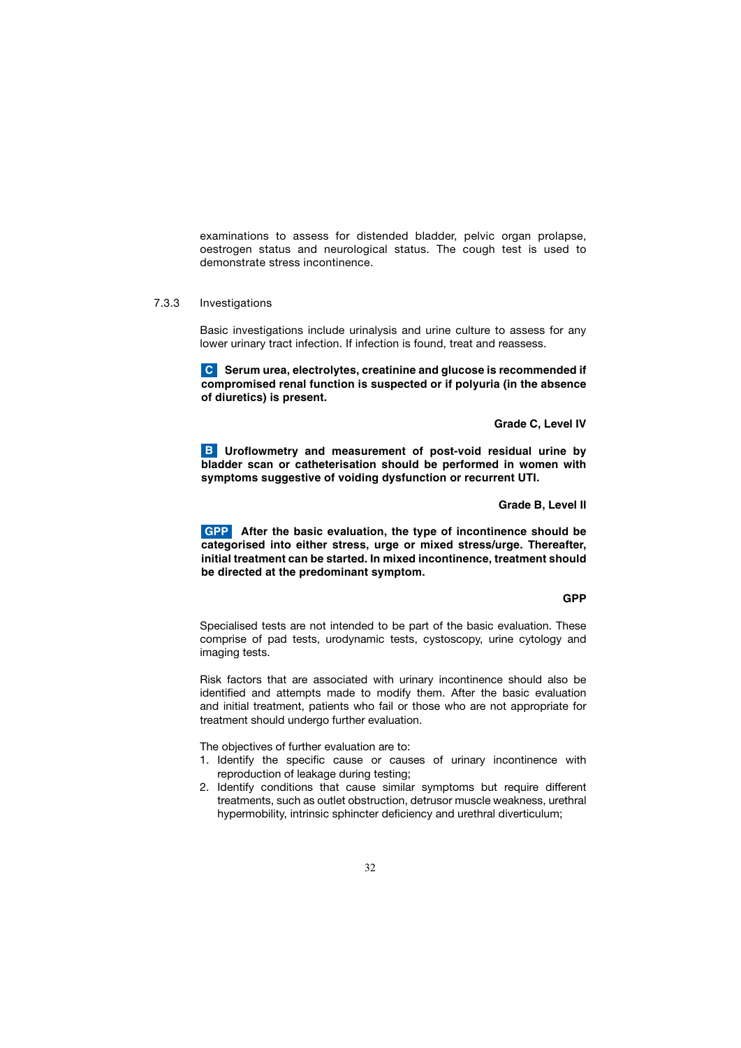examinations to assess for distended bladder, pelvic organ prolapse, oestrogen status and neurological status. The cough test is used to demonstrate stress incontinence.

### 7.3.3 Investigations

 Basic investigations include urinalysis and urine culture to assess for any lower urinary tract infection. If infection is found, treat and reassess.

**C** Serum urea, electrolytes, creatinine and glucose is recommended if **compromised renal function is suspected or if polyuria (in the absence of diuretics) is present.**

# **Grade C, Level IV**

**B** Uroflowmetry and measurement of post-void residual urine by **bladder scan or catheterisation should be performed in women with symptoms suggestive of voiding dysfunction or recurrent UTI.**

## **Grade B, Level II**

 **After the basic evaluation, the type of incontinence should be GPP categorised into either stress, urge or mixed stress/urge. Thereafter, initial treatment can be started. In mixed incontinence, treatment should be directed at the predominant symptom.** 

### **GPP STATE STATE STATE STATE STATE STATE STATE STATE STATE STATE STATE STATE**

 Specialised tests are not intended to be part of the basic evaluation. These comprise of pad tests, urodynamic tests, cystoscopy, urine cytology and imaging tests.

 Risk factors that are associated with urinary incontinence should also be identified and attempts made to modify them. After the basic evaluation and initial treatment, patients who fail or those who are not appropriate for treatment should undergo further evaluation.

The objectives of further evaluation are to:

- 1. Identify the specific cause or causes of urinary incontinence with reproduction of leakage during testing;
- 2. Identify conditions that cause similar symptoms but require different treatments, such as outlet obstruction, detrusor muscle weakness, urethral hypermobility, intrinsic sphincter deficiency and urethral diverticulum;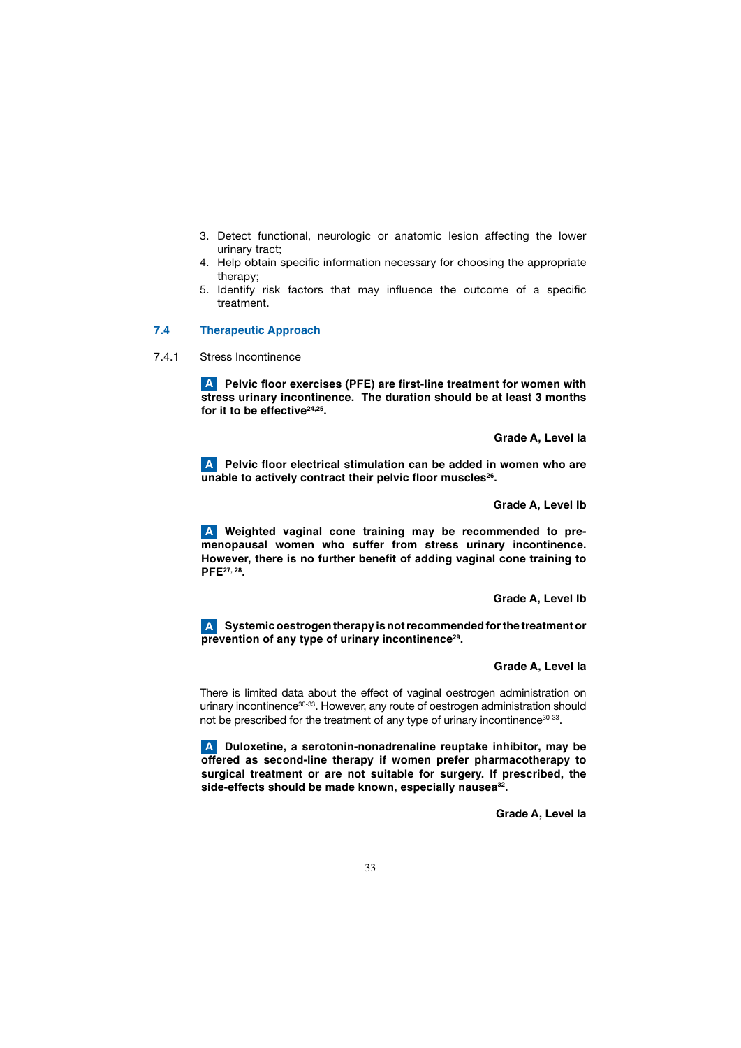- 3. Detect functional, neurologic or anatomic lesion affecting the lower urinary tract;
- 4. Help obtain specific information necessary for choosing the appropriate therapy;
- 5. Identify risk factors that may influence the outcome of a specific treatment.

# **7.4 Therapeutic Approach**

7.4.1 Stress Incontinence

**A** Pelvic floor exercises (PFE) are first-line treatment for women with **stress urinary incontinence. The duration should be at least 3 months**  for it to be effective<sup>24,25</sup>.

 **Grade A, Level Ia**

 **Pelvic floor electrical stimulation can be added in women who are A unable to actively contract their pelvic floor muscles26.**

 **Grade A, Level Ib**

 **Weighted vaginal cone training may be recommended to pre-A menopausal women who suffer from stress urinary incontinence. However, there is no further benefit of adding vaginal cone training to PFE27, 28.**

 **Grade A, Level Ib**

 **Systemic oestrogen therapy is not recommended for the treatment or A prevention of any type of urinary incontinence29.** 

## **Grade A, Level Ia**

 There is limited data about the effect of vaginal oestrogen administration on urinary incontinence<sup>30-33</sup>. However, any route of oestrogen administration should not be prescribed for the treatment of any type of urinary incontinence<sup>30-33</sup>.

 **Duloxetine, a serotonin-nonadrenaline reuptake inhibitor, may be A offered as second-line therapy if women prefer pharmacotherapy to surgical treatment or are not suitable for surgery. If prescribed, the**  side-effects should be made known, especially nausea<sup>32</sup>.

 **Grade A, Level Ia**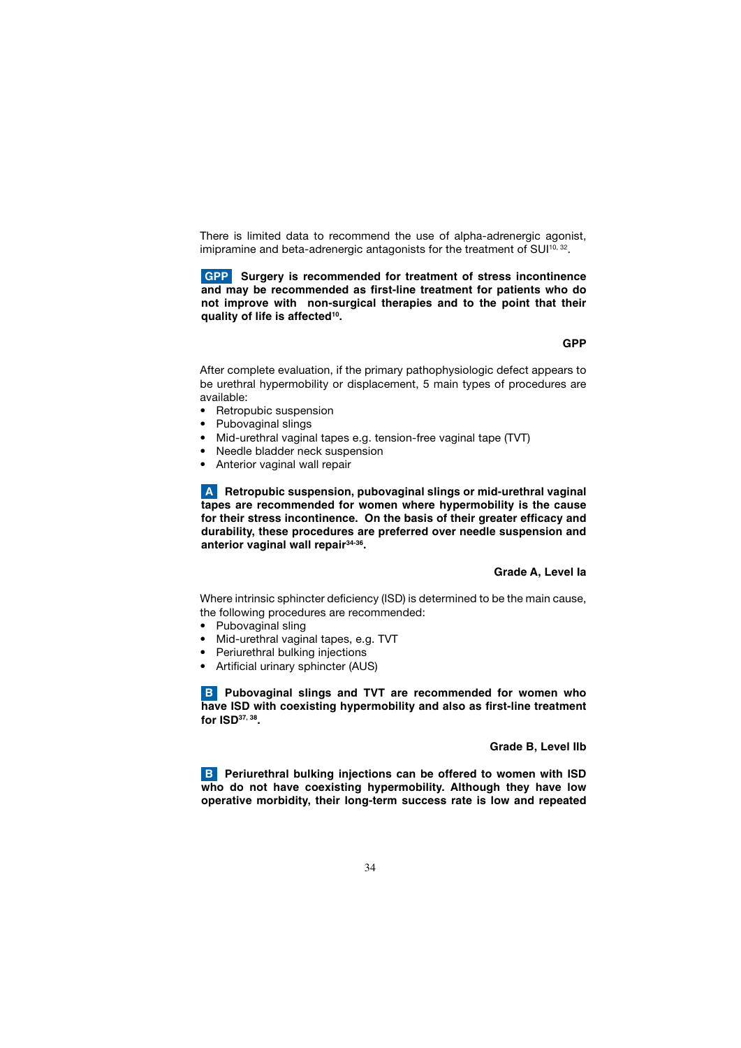There is limited data to recommend the use of alpha-adrenergic agonist, imipramine and beta-adrenergic antagonists for the treatment of SUI<sup>10, 32</sup>.

**Surgery is recommended for treatment of stress incontinence GPP and may be recommended as first-line treatment for patients who do not improve with non-surgical therapies and to the point that their quality of life is affected10.** 

 **GPP STATE OF A STATE OF A STATE OF A STATE OF A STATE OF A STATE OF A STATE OF A STATE OF A STATE OF A STATE** 

 After complete evaluation, if the primary pathophysiologic defect appears to be urethral hypermobility or displacement, 5 main types of procedures are available:

- Retropubic suspension
- Pubovaginal slings
- Mid-urethral vaginal tapes e.g. tension-free vaginal tape (TVT)
- Needle bladder neck suspension
- Anterior vaginal wall repair

 **Retropubic suspension, pubovaginal slings or mid-urethral vaginal A tapes are recommended for women where hypermobility is the cause for their stress incontinence. On the basis of their greater efficacy and durability, these procedures are preferred over needle suspension and anterior vaginal wall repair34-36.** 

### **Grade A, Level Ia**

 Where intrinsic sphincter deficiency (ISD) is determined to be the main cause, the following procedures are recommended:

- Pubovaginal sling
- Mid-urethral vaginal tapes, e.g. TVT
- Periurethral bulking injections
- Artificial urinary sphincter (AUS)

**B** Pubovaginal slings and TVT are recommended for women who **have ISD with coexisting hypermobility and also as first-line treatment for ISD37, 38.** 

### **Grade B, Level IIb**

**B** Periurethral bulking injections can be offered to women with ISD **who do not have coexisting hypermobility. Although they have low operative morbidity, their long-term success rate is low and repeated**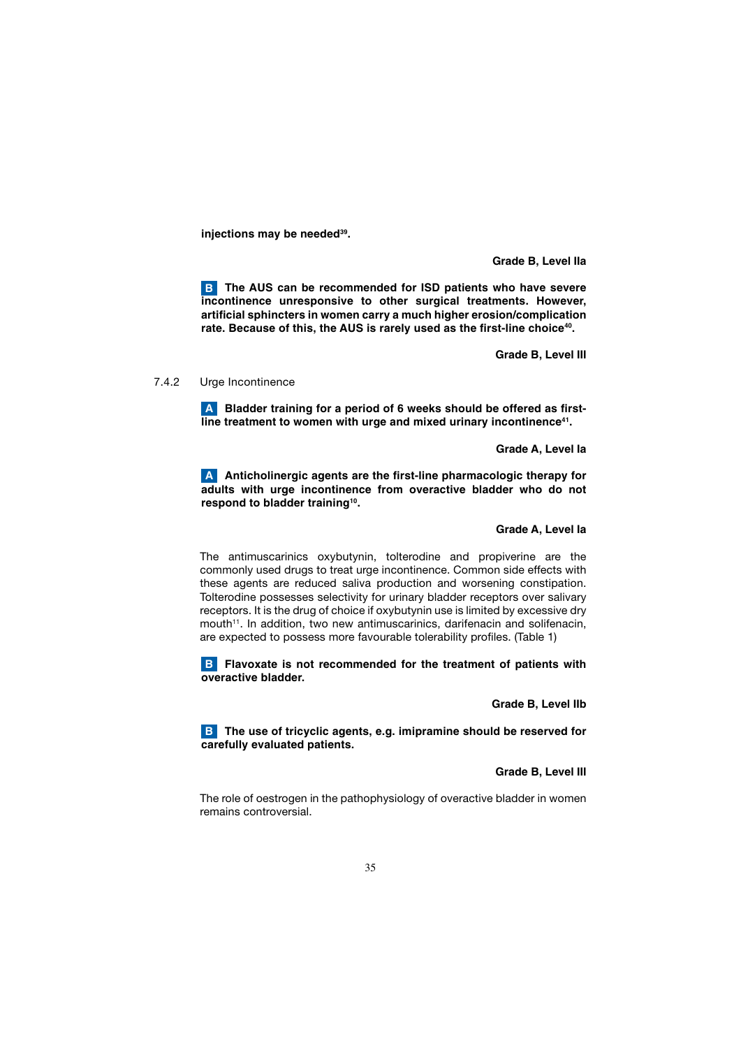**injections may be needed39.** 

 **Grade B, Level IIa**

**B** The AUS can be recommended for ISD patients who have severe **incontinence unresponsive to other surgical treatments. However, artificial sphincters in women carry a much higher erosion/complication**  rate. Because of this, the AUS is rarely used as the first-line choice<sup>40</sup>.

 **Grade B, Level III**

7.4.2 Urge Incontinence

 **Bladder training for a period of 6 weeks should be offered as first-A** line treatment to women with urge and mixed urinary incontinence<sup>41</sup>.

 **Grade A, Level Ia**

 **Anticholinergic agents are the first-line pharmacologic therapy for A adults with urge incontinence from overactive bladder who do not respond to bladder training10.**

## **Grade A, Level Ia**

 The antimuscarinics oxybutynin, tolterodine and propiverine are the commonly used drugs to treat urge incontinence. Common side effects with these agents are reduced saliva production and worsening constipation. Tolterodine possesses selectivity for urinary bladder receptors over salivary receptors. It is the drug of choice if oxybutynin use is limited by excessive dry mouth<sup>11</sup>. In addition, two new antimuscarinics, darifenacin and solifenacin, are expected to possess more favourable tolerability profiles. (Table 1)

**B** Flavoxate is not recommended for the treatment of patients with **overactive bladder.** 

 **Grade B, Level IIb**

**B** The use of tricyclic agents, e.g. imipramine should be reserved for **carefully evaluated patients.** 

 **Grade B, Level III**

 The role of oestrogen in the pathophysiology of overactive bladder in women remains controversial.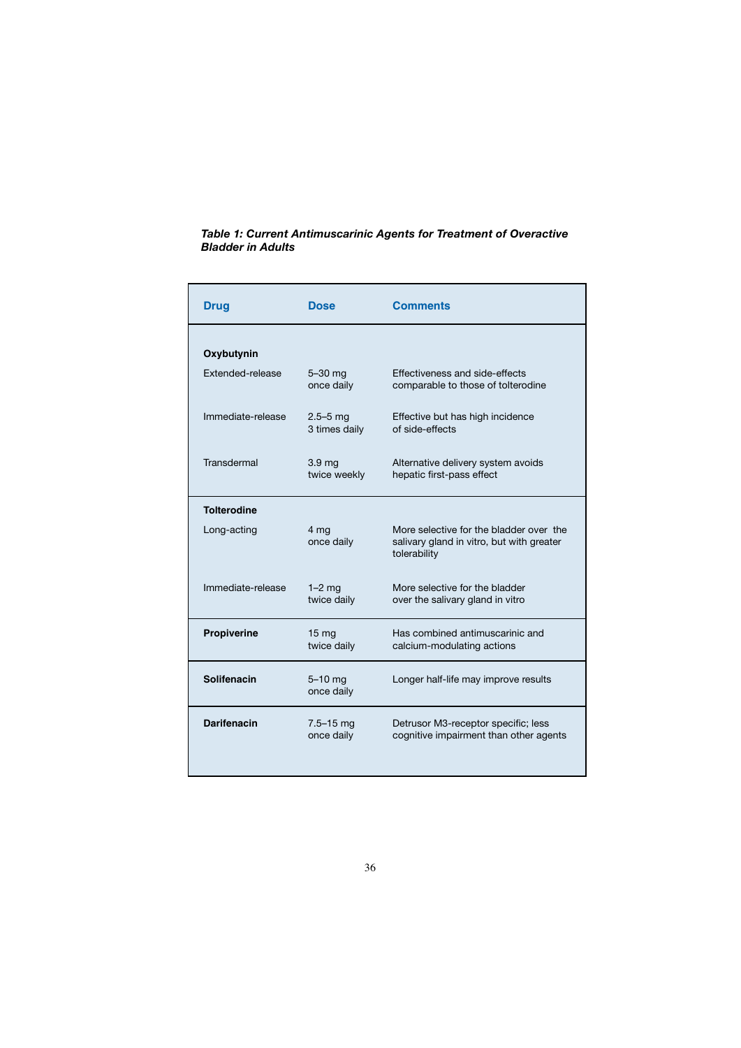# *Table 1: Current Antimuscarinic Agents for Treatment of Overactive Bladder in Adults*

| <b>Drug</b>             | <b>Dose</b>                       | <b>Comments</b>                                                                                      |
|-------------------------|-----------------------------------|------------------------------------------------------------------------------------------------------|
| Oxybutynin              |                                   |                                                                                                      |
| <b>Extended-release</b> | $5-30$ mg<br>once daily           | Effectiveness and side-effects<br>comparable to those of tolterodine                                 |
| Immediate-release       | $2.5 - 5$ mg<br>3 times daily     | Effective but has high incidence<br>of side-effects                                                  |
| Transdermal             | 3.9 <sub>mg</sub><br>twice weekly | Alternative delivery system avoids<br>hepatic first-pass effect                                      |
| <b>Tolterodine</b>      |                                   |                                                                                                      |
| Long-acting             | 4 mg<br>once daily                | More selective for the bladder over the<br>salivary gland in vitro, but with greater<br>tolerability |
| Immediate-release       | $1-2$ mg<br>twice daily           | More selective for the bladder<br>over the salivary gland in vitro                                   |
| Propiverine             | 15 <sub>mg</sub><br>twice daily   | Has combined antimuscarinic and<br>calcium-modulating actions                                        |
| Solifenacin             | $5-10$ mg<br>once daily           | Longer half-life may improve results                                                                 |
| <b>Darifenacin</b>      | $7.5 - 15$ mg<br>once daily       | Detrusor M3-receptor specific; less<br>cognitive impairment than other agents                        |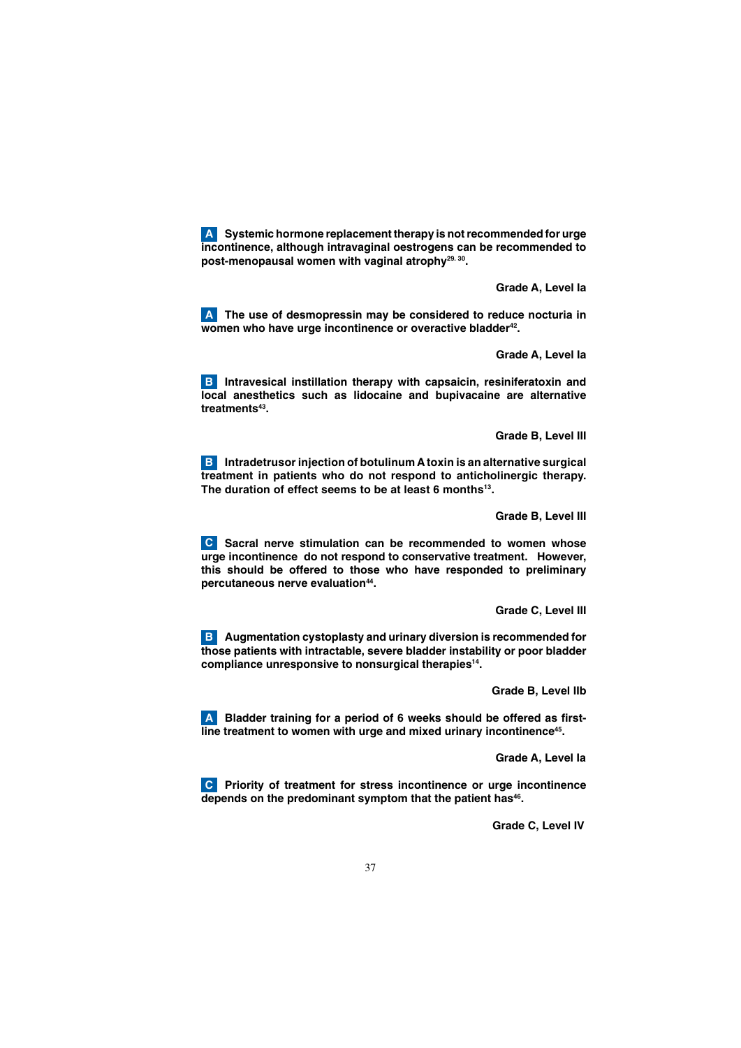**Systemic hormone replacement therapy is not recommended for urge A incontinence, although intravaginal oestrogens can be recommended to post-menopausal women with vaginal atrophy29. 30.**

 **Grade A, Level Ia**

**A** The use of desmopressin may be considered to reduce nocturia in **women who have urge incontinence or overactive bladder42.**

 **Grade A, Level Ia**

**B** Intravesical instillation therapy with capsaicin, resiniferatoxin and **local anesthetics such as lidocaine and bupivacaine are alternative treatments43.**

**Grade B, Level III**

**B** Intradetrusor injection of botulinum A toxin is an alternative surgical **treatment in patients who do not respond to anticholinergic therapy.**  The duration of effect seems to be at least 6 months<sup>13</sup>.

**Grade B, Level III**

 **Sacral nerve stimulation can be recommended to women whose C urge incontinence do not respond to conservative treatment. However, this should be offered to those who have responded to preliminary percutaneous nerve evaluation44.** 

 **Grade C, Level III**

**B** Augmentation cystoplasty and urinary diversion is recommended for **those patients with intractable, severe bladder instability or poor bladder compliance unresponsive to nonsurgical therapies14.** 

 **Grade B, Level IIb**

 **Bladder training for a period of 6 weeks should be offered as first-A line treatment to women with urge and mixed urinary incontinence45.**

 **Grade A, Level Ia**

 **Priority of treatment for stress incontinence or urge incontinence C** depends on the predominant symptom that the patient has<sup>46</sup>.

 **Grade C, Level IV**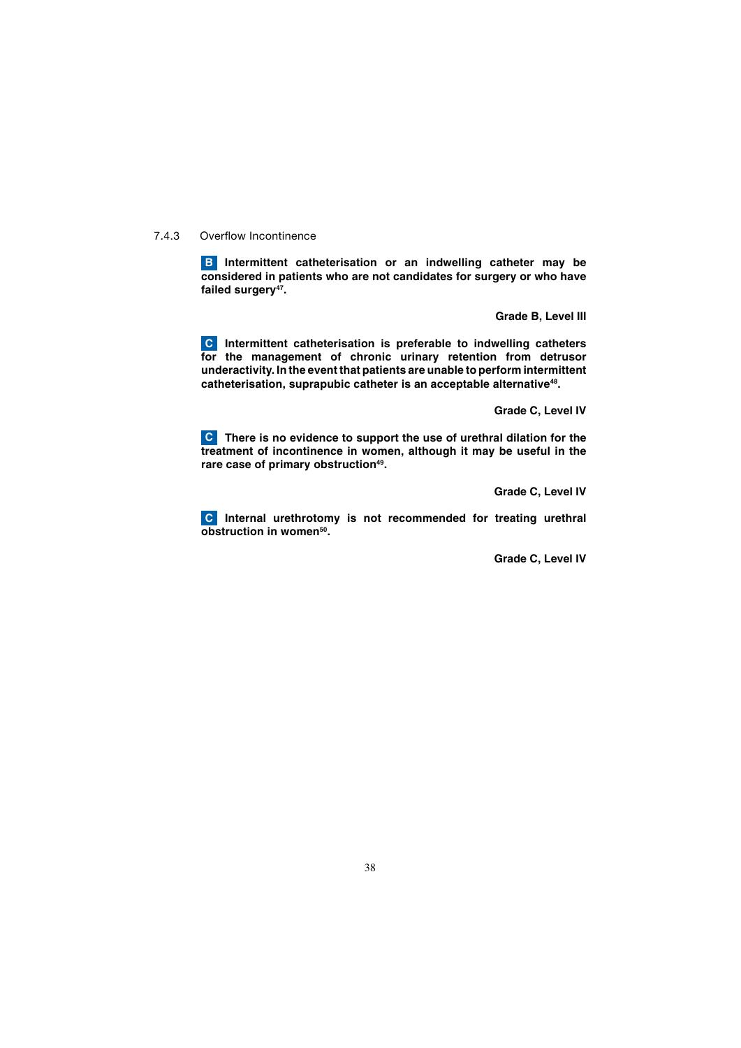7.4.3 Overflow Incontinence

**B** Intermittent catheterisation or an indwelling catheter may be **considered in patients who are not candidates for surgery or who have**  failed surgery<sup>47</sup>.

 **Grade B, Level III**

**C** Intermittent catheterisation is preferable to indwelling catheters **for the management of chronic urinary retention from detrusor underactivity. In the event that patients are unable to perform intermittent catheterisation, suprapubic catheter is an acceptable alternative48.**

 **Grade C, Level IV**

 **There is no evidence to support the use of urethral dilation for the C treatment of incontinence in women, although it may be useful in the**  rare case of primary obstruction<sup>49</sup>.

 **Grade C, Level IV**

**C** Internal urethrotomy is not recommended for treating urethral **obstruction in women50.**

**Grade C, Level IV**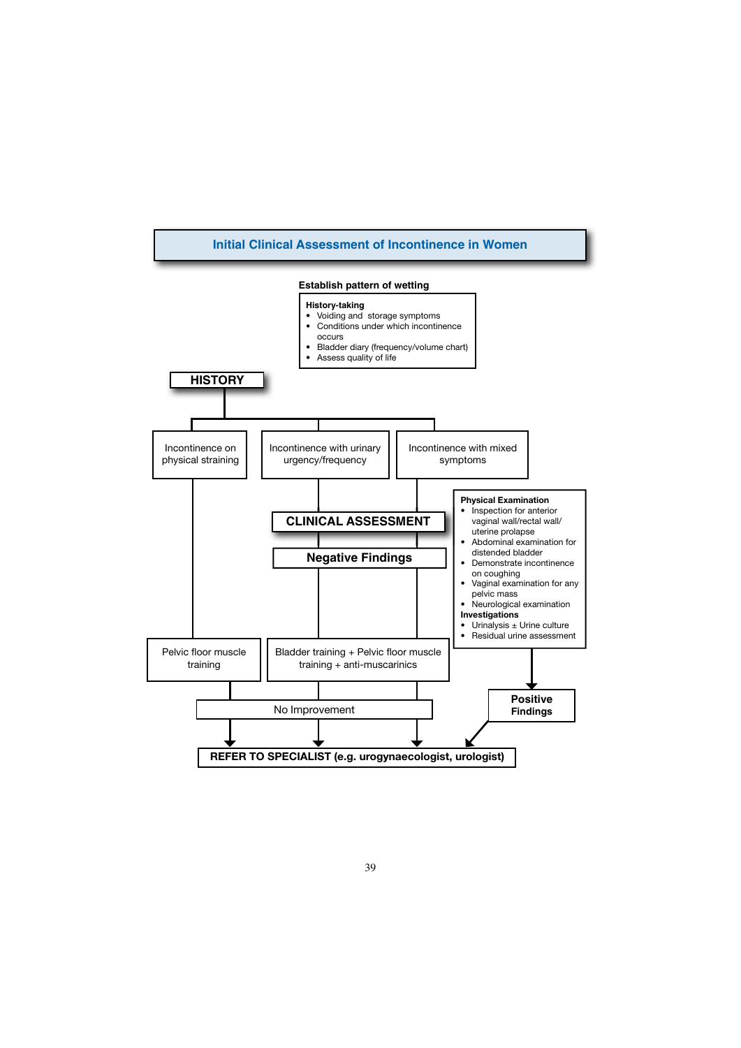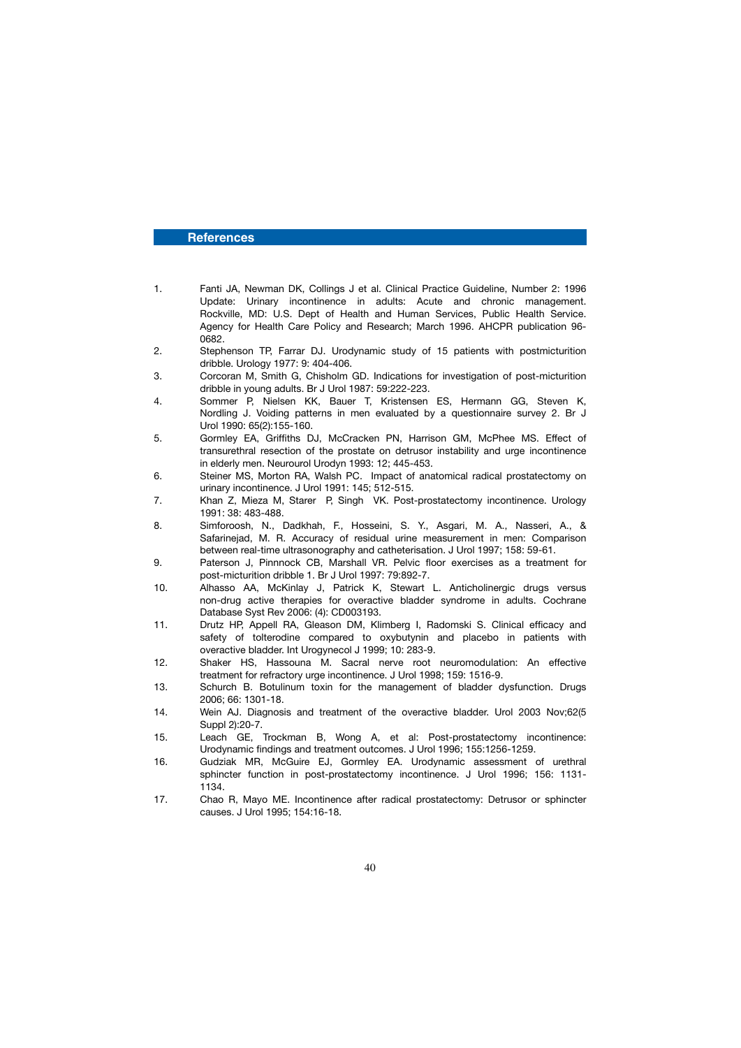# **References**

- 1. Fanti JA, Newman DK, Collings J et al. Clinical Practice Guideline, Number 2: 1996 Update: Urinary incontinence in adults: Acute and chronic management. Rockville, MD: U.S. Dept of Health and Human Services, Public Health Service. Agency for Health Care Policy and Research; March 1996. AHCPR publication 96- 0682.<br>2. Steph
- Stephenson TP, Farrar DJ. Urodynamic study of 15 patients with postmicturition dribble. Urology 1977: 9: 404-406.
- 3. Corcoran M, Smith G, Chisholm GD. Indications for investigation of post-micturition dribble in young adults. Br J Urol 1987: 59:222-223.
- 4. Sommer P, Nielsen KK, Bauer T, Kristensen ES, Hermann GG, Steven K, Nordling J. Voiding patterns in men evaluated by a questionnaire survey 2. Br J Urol 1990: 65(2):155-160.
- 5. Gormley EA, Griffiths DJ, McCracken PN, Harrison GM, McPhee MS. Effect of transurethral resection of the prostate on detrusor instability and urge incontinence in elderly men. Neurourol Urodyn 1993: 12; 445-453.
- 6. Steiner MS, Morton RA, Walsh PC. Impact of anatomical radical prostatectomy on urinary incontinence. J Urol 1991: 145; 512-515.<br>Khan Z. Mieza M. Starer P. Singh VK. Post
- 7. Khan Z, Mieza M, Starer P, Singh VK. Post-prostatectomy incontinence. Urology 1991: 38: 483-488.
- 8. Simforoosh, N., Dadkhah, F., Hosseini, S. Y., Asgari, M. A., Nasseri, A., & Safarinejad, M. R. Accuracy of residual urine measurement in men: Comparison between real-time ultrasonography and catheterisation. J Urol 1997; 158: 59-61.<br>9. Paterson J. Pinnnock CB. Marshall VR. Pelvic floor exercises as a treatme
- Paterson J, Pinnnock CB, Marshall VR. Pelvic floor exercises as a treatment for post-micturition dribble 1. Br J Urol 1997: 79:892-7.
- 10. Alhasso AA, McKinlay J, Patrick K, Stewart L. Anticholinergic drugs versus non-drug active therapies for overactive bladder syndrome in adults. Cochrane Database Syst Rev 2006: (4): CD003193.
- 11. Drutz HP, Appell RA, Gleason DM, Klimberg I, Radomski S. Clinical efficacy and safety of tolterodine compared to oxybutynin and placebo in patients with overactive bladder. Int Urogynecol J 1999; 10: 283-9.
- 12. Shaker HS, Hassouna M. Sacral nerve root neuromodulation: An effective treatment for refractory urge incontinence. J Urol 1998; 159: 1516-9.
- 13. Schurch B. Botulinum toxin for the management of bladder dysfunction. Drugs 2006; 66: 1301-18.
- 14. Wein AJ. Diagnosis and treatment of the overactive bladder. Urol 2003 Nov;62(5 Suppl 2):20-7.
- 15. Leach GE, Trockman B, Wong A, et al: Post-prostatectomy incontinence: Urodynamic findings and treatment outcomes. J Urol 1996; 155:1256-1259.
- 16. Gudziak MR, McGuire EJ, Gormley EA. Urodynamic assessment of urethral sphincter function in post-prostatectomy incontinence. J Urol 1996; 156: 1131- 1134.
- 17. Chao R, Mayo ME. Incontinence after radical prostatectomy: Detrusor or sphincter causes. J Urol 1995; 154:16-18.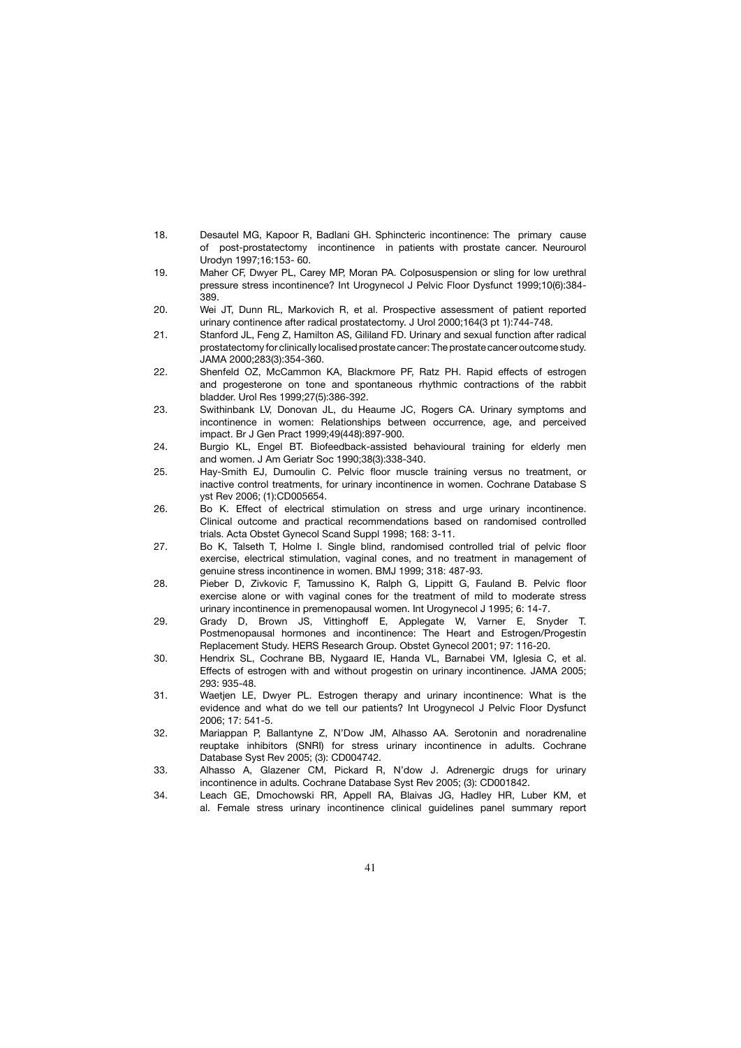- 18. Desautel MG, Kapoor R, Badlani GH. Sphincteric incontinence: The primary cause of post-prostatectomy incontinence in patients with prostate cancer. Neurourol Urodyn 1997;16:153- 60.
- 19. Maher CF, Dwyer PL, Carey MP, Moran PA. Colposuspension or sling for low urethral pressure stress incontinence? Int Urogynecol J Pelvic Floor Dysfunct 1999;10(6):384- 389.
- 20. Wei JT, Dunn RL, Markovich R, et al. Prospective assessment of patient reported urinary continence after radical prostatectomy. J Urol 2000;164(3 pt 1):744-748.
- 21. Stanford JL, Feng Z, Hamilton AS, Gililand FD. Urinary and sexual function after radical prostatectomy for clinically localised prostate cancer: The prostate cancer outcome study. JAMA 2000;283(3):354-360.
- 22. Shenfeld OZ, McCammon KA, Blackmore PF, Ratz PH. Rapid effects of estrogen and progesterone on tone and spontaneous rhythmic contractions of the rabbit bladder. Urol Res 1999;27(5):386-392.
- 23. Swithinbank LV, Donovan JL, du Heaume JC, Rogers CA. Urinary symptoms and incontinence in women: Relationships between occurrence, age, and perceived impact. Br J Gen Pract 1999;49(448):897-900.
- 24. Burgio KL, Engel BT. Biofeedback-assisted behavioural training for elderly men and women. J Am Geriatr Soc 1990;38(3):338-340.
- 25. Hay-Smith EJ, Dumoulin C. Pelvic floor muscle training versus no treatment, or inactive control treatments, for urinary incontinence in women. Cochrane Database S yst Rev 2006; (1):CD005654.
- 26. Bo K. Effect of electrical stimulation on stress and urge urinary incontinence. Clinical outcome and practical recommendations based on randomised controlled trials. Acta Obstet Gynecol Scand Suppl 1998; 168: 3-11.
- 27. Bo K, Talseth T, Holme I. Single blind, randomised controlled trial of pelvic floor exercise, electrical stimulation, vaginal cones, and no treatment in management of genuine stress incontinence in women. BMJ 1999; 318: 487-93.
- 28. Pieber D, Zivkovic F, Tamussino K, Ralph G, Lippitt G, Fauland B. Pelvic floor exercise alone or with vaginal cones for the treatment of mild to moderate stress urinary incontinence in premenopausal women. Int Urogynecol J 1995; 6: 14-7.
- 29. Grady D, Brown JS, Vittinghoff E, Applegate W, Varner E, Snyder T. Postmenopausal hormones and incontinence: The Heart and Estrogen/Progestin Replacement Study. HERS Research Group. Obstet Gynecol 2001; 97: 116-20.
- 30. Hendrix SL, Cochrane BB, Nygaard IE, Handa VL, Barnabei VM, Iglesia C, et al. Effects of estrogen with and without progestin on urinary incontinence. JAMA 2005; 293: 935-48.
- 31. Waetjen LE, Dwyer PL. Estrogen therapy and urinary incontinence: What is the evidence and what do we tell our patients? Int Urogynecol J Pelvic Floor Dysfunct 2006; 17: 541-5.
- 32. Mariappan P, Ballantyne Z, N'Dow JM, Alhasso AA. Serotonin and noradrenaline reuptake inhibitors (SNRI) for stress urinary incontinence in adults. Cochrane Database Syst Rev 2005; (3): CD004742.<br>Albasso, A. Glazener, CM. Pickard, B.
- Alhasso A, Glazener CM, Pickard R, N'dow J. Adrenergic drugs for urinary incontinence in adults. Cochrane Database Syst Rev 2005; (3): CD001842.
- 34. Leach GE, Dmochowski RR, Appell RA, Blaivas JG, Hadley HR, Luber KM, et al. Female stress urinary incontinence clinical guidelines panel summary report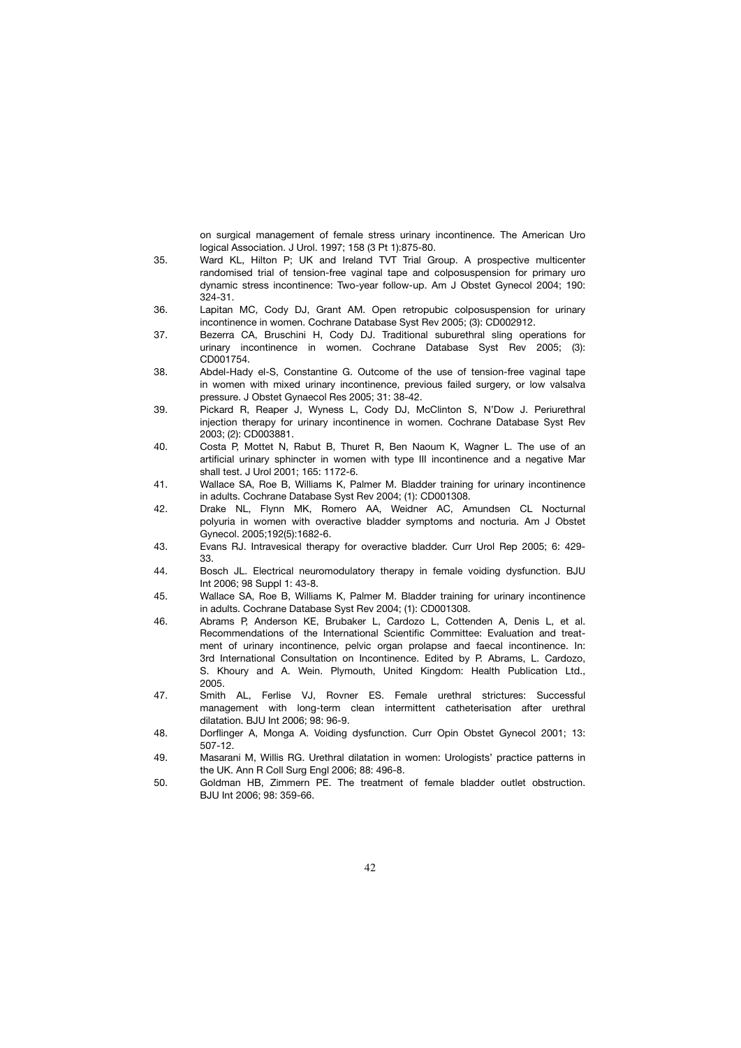on surgical management of female stress urinary incontinence. The American Uro logical Association. J Urol. 1997; 158 (3 Pt 1):875-80.

- 35. Ward KL, Hilton P; UK and Ireland TVT Trial Group. A prospective multicenter randomised trial of tension-free vaginal tape and colposuspension for primary uro dynamic stress incontinence: Two-year follow-up. Am J Obstet Gynecol 2004; 190: 324-31.
- 36. Lapitan MC, Cody DJ, Grant AM. Open retropubic colposuspension for urinary incontinence in women. Cochrane Database Syst Rev 2005; (3): CD002912.
- 37. Bezerra CA, Bruschini H, Cody DJ. Traditional suburethral sling operations for urinary incontinence in women. Cochrane Database Syst Rev 2005; (3): CD001754.
- 38. Abdel-Hady el-S, Constantine G. Outcome of the use of tension-free vaginal tape in women with mixed urinary incontinence, previous failed surgery, or low valsalva pressure. J Obstet Gynaecol Res 2005; 31: 38-42.
- 39. Pickard R, Reaper J, Wyness L, Cody DJ, McClinton S, N'Dow J. Periurethral injection therapy for urinary incontinence in women. Cochrane Database Syst Rev 2003; (2): CD003881.
- 40. Costa P, Mottet N, Rabut B, Thuret R, Ben Naoum K, Wagner L. The use of an artificial urinary sphincter in women with type III incontinence and a negative Mar shall test. J Urol 2001; 165: 1172-6.
- 41. Wallace SA, Roe B, Williams K, Palmer M. Bladder training for urinary incontinence in adults. Cochrane Database Syst Rev 2004; (1): CD001308.
- 42. Drake NL, Flynn MK, Romero AA, Weidner AC, Amundsen CL Nocturnal polyuria in women with overactive bladder symptoms and nocturia. Am J Obstet Gynecol. 2005;192(5):1682-6.
- 43. Evans RJ. Intravesical therapy for overactive bladder. Curr Urol Rep 2005; 6: 429- 33.
- 44. Bosch JL. Electrical neuromodulatory therapy in female voiding dysfunction. BJU Int 2006; 98 Suppl 1: 43-8.
- 45. Wallace SA, Roe B, Williams K, Palmer M. Bladder training for urinary incontinence in adults. Cochrane Database Syst Rev 2004; (1): CD001308.
- 46. Abrams P, Anderson KE, Brubaker L, Cardozo L, Cottenden A, Denis L, et al. Recommendations of the International Scientific Committee: Evaluation and treat ment of urinary incontinence, pelvic organ prolapse and faecal incontinence. In: 3rd International Consultation on Incontinence. Edited by P. Abrams, L. Cardozo, S. Khoury and A. Wein. Plymouth, United Kingdom: Health Publication Ltd., 2005.
- 47. Smith AL, Ferlise VJ, Rovner ES. Female urethral strictures: Successful management with long-term clean intermittent catheterisation after urethral dilatation. BJU Int 2006; 98: 96-9.
- 48. Dorflinger A, Monga A. Voiding dysfunction. Curr Opin Obstet Gynecol 2001; 13: 507-12.
- 49. Masarani M, Willis RG. Urethral dilatation in women: Urologists' practice patterns in the UK. Ann R Coll Surg Engl 2006; 88: 496-8.
- 50. Goldman HB, Zimmern PE. The treatment of female bladder outlet obstruction. BJU Int 2006; 98: 359-66.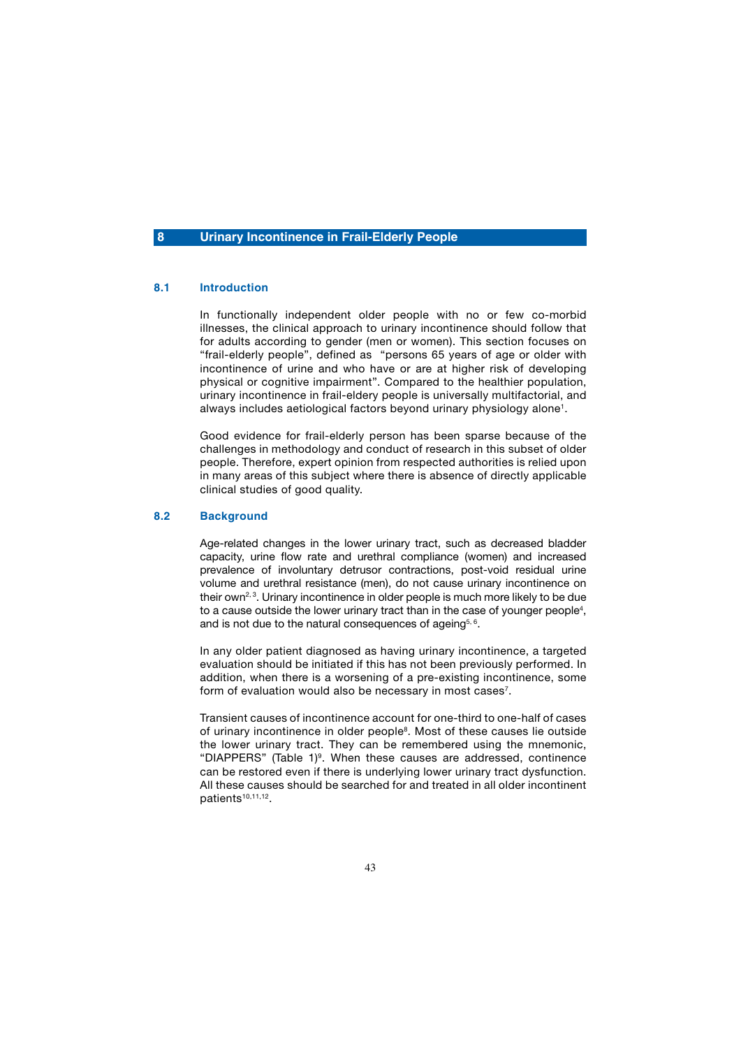# **8 Urinary Incontinence in Frail-Elderly People**

# **8.1 Introduction**

 In functionally independent older people with no or few co-morbid illnesses, the clinical approach to urinary incontinence should follow that for adults according to gender (men or women). This section focuses on "frail-elderly people", defined as "persons 65 years of age or older with incontinence of urine and who have or are at higher risk of developing physical or cognitive impairment". Compared to the healthier population, urinary incontinence in frail-eldery people is universally multifactorial, and always includes aetiological factors beyond urinary physiology alone<sup>1</sup>.

 Good evidence for frail-elderly person has been sparse because of the challenges in methodology and conduct of research in this subset of older people. Therefore, expert opinion from respected authorities is relied upon in many areas of this subject where there is absence of directly applicable clinical studies of good quality.

### **8.2 Background**

 Age-related changes in the lower urinary tract, such as decreased bladder capacity, urine flow rate and urethral compliance (women) and increased prevalence of involuntary detrusor contractions, post-void residual urine volume and urethral resistance (men), do not cause urinary incontinence on their own<sup>2, 3</sup>. Urinary incontinence in older people is much more likely to be due to a cause outside the lower urinary tract than in the case of younger people<sup>4</sup>, and is not due to the natural consequences of ageing $5,6$ .

 In any older patient diagnosed as having urinary incontinence, a targeted evaluation should be initiated if this has not been previously performed. In addition, when there is a worsening of a pre-existing incontinence, some form of evaluation would also be necessary in most cases<sup>7</sup>.

 Transient causes of incontinence account for one-third to one-half of cases of urinary incontinence in older people<sup>8</sup>. Most of these causes lie outside the lower urinary tract. They can be remembered using the mnemonic, "DIAPPERS" (Table 1)<sup>9</sup>. When these causes are addressed, continence can be restored even if there is underlying lower urinary tract dysfunction. All these causes should be searched for and treated in all older incontinent patients10,11,12.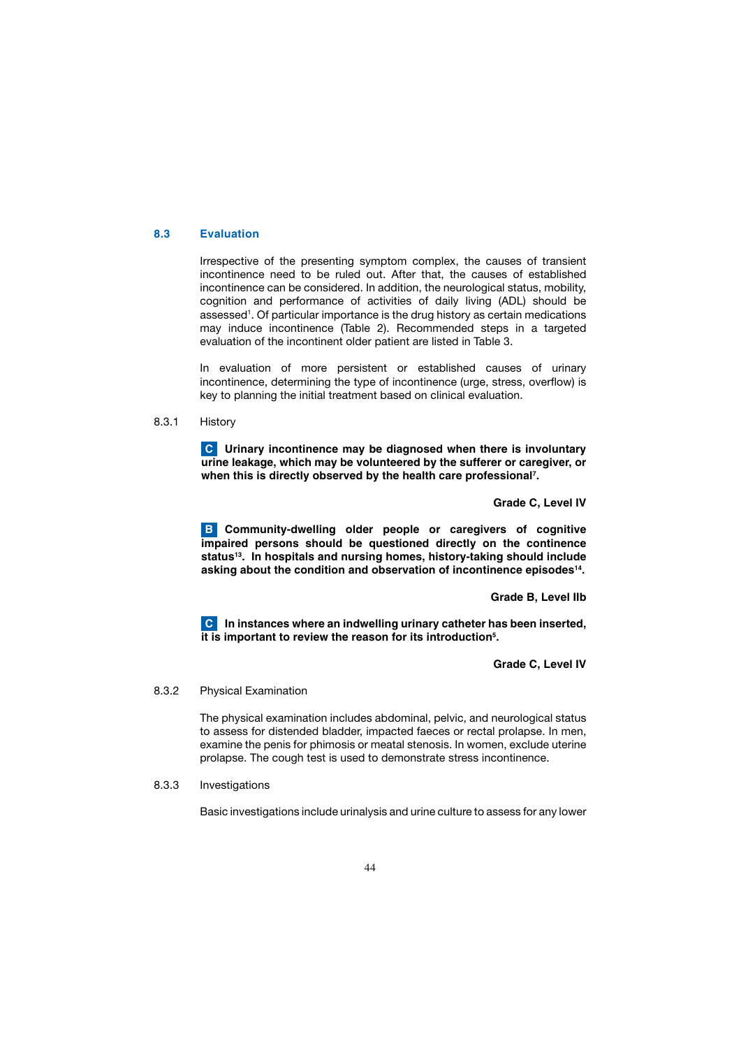### **8.3 Evaluation**

 Irrespective of the presenting symptom complex, the causes of transient incontinence need to be ruled out. After that, the causes of established incontinence can be considered. In addition, the neurological status, mobility, cognition and performance of activities of daily living (ADL) should be assessed<sup>1</sup>. Of particular importance is the drug history as certain medications may induce incontinence (Table 2). Recommended steps in a targeted evaluation of the incontinent older patient are listed in Table 3.

 In evaluation of more persistent or established causes of urinary incontinence, determining the type of incontinence (urge, stress, overflow) is key to planning the initial treatment based on clinical evaluation.

8.3.1 History

 **Urinary incontinence may be diagnosed when there is involuntary C urine leakage, which may be volunteered by the sufferer or caregiver, or when this is directly observed by the health care professional7 .** 

 **Grade C, Level IV**

 **Community-dwelling older people or caregivers of cognitive B impaired persons should be questioned directly on the continence**  status<sup>13</sup>. In hospitals and nursing homes, history-taking should include **asking about the condition and observation of incontinence episodes14.**

 **Grade B, Level IIb**

 **In instances where an indwelling urinary catheter has been inserted, C it is important to review the reason for its introduction5 .** 

 **Grade C, Level IV**

## 8.3.2 Physical Examination

 The physical examination includes abdominal, pelvic, and neurological status to assess for distended bladder, impacted faeces or rectal prolapse. In men, examine the penis for phimosis or meatal stenosis. In women, exclude uterine prolapse. The cough test is used to demonstrate stress incontinence.

8.3.3 Investigations

Basic investigations include urinalysis and urine culture to assess for any lower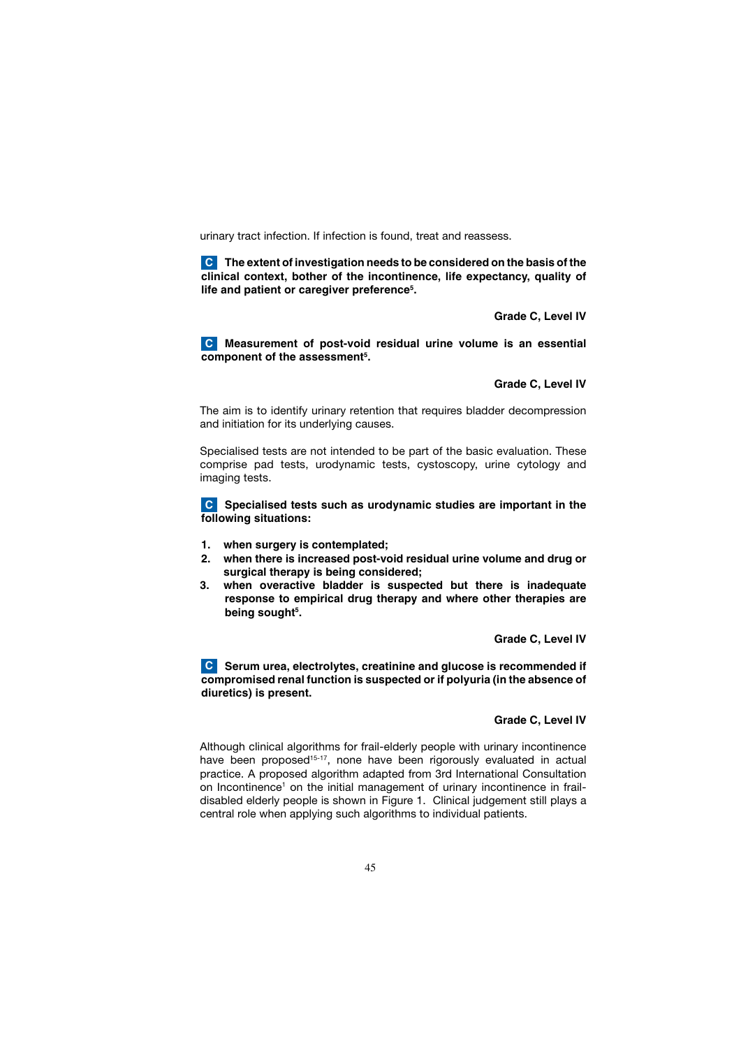urinary tract infection. If infection is found, treat and reassess.

 **The extent of investigation needs to be considered on the basis of the C clinical context, bother of the incontinence, life expectancy, quality of life and patient or caregiver preference5 .** 

 **Grade C, Level IV**

 **Measurement of post-void residual urine volume is an essential C** component of the assessment<sup>5</sup>.

 **Grade C, Level IV**

 The aim is to identify urinary retention that requires bladder decompression and initiation for its underlying causes.

 Specialised tests are not intended to be part of the basic evaluation. These comprise pad tests, urodynamic tests, cystoscopy, urine cytology and imaging tests.

**Specialised tests such as urodynamic studies are important in the C following situations:**

- **1. when surgery is contemplated;**
- **2. when there is increased post-void residual urine volume and drug or surgical therapy is being considered;**
- **3. when overactive bladder is suspected but there is inadequate response to empirical drug therapy and where other therapies are being sought5 .**

 **Grade C, Level IV**

**C** Serum urea, electrolytes, creatinine and glucose is recommended if **compromised renal function is suspected or if polyuria (in the absence of diuretics) is present.**

# **Grade C, Level IV**

 Although clinical algorithms for frail-elderly people with urinary incontinence have been proposed<sup>15-17</sup>, none have been rigorously evaluated in actual practice. A proposed algorithm adapted from 3rd International Consultation on Incontinence<sup>1</sup> on the initial management of urinary incontinence in fraildisabled elderly people is shown in Figure 1. Clinical judgement still plays a central role when applying such algorithms to individual patients.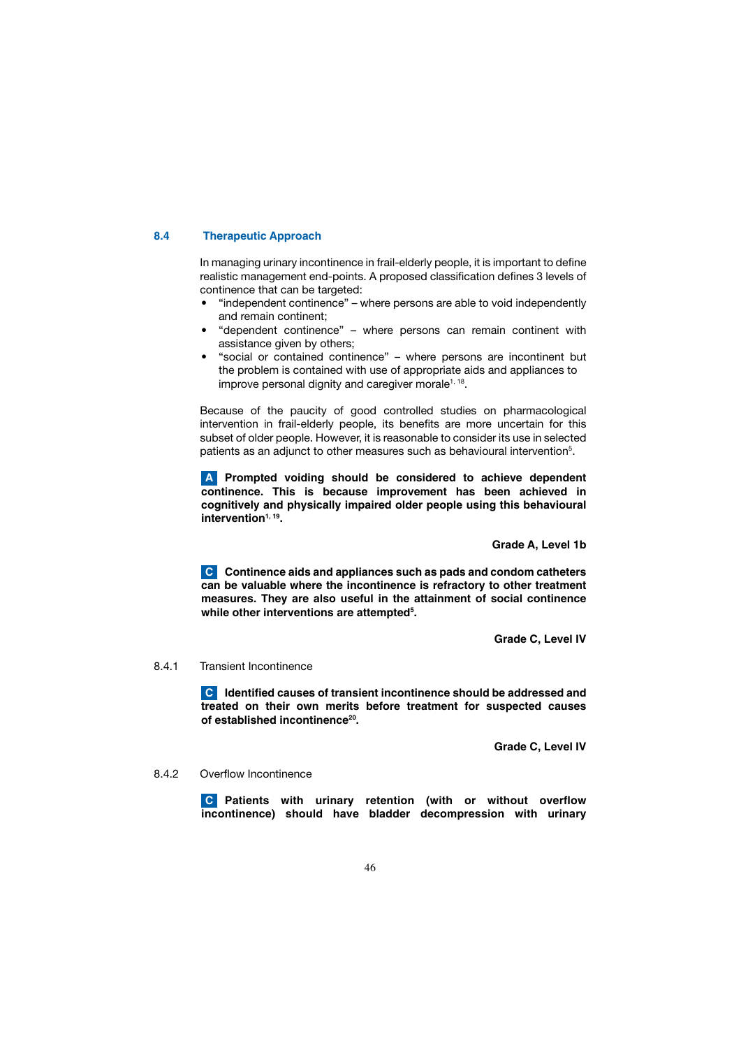## **8.4 Therapeutic Approach**

 In managing urinary incontinence in frail-elderly people, it is important to define realistic management end-points. A proposed classification defines 3 levels of continence that can be targeted:

- "independent continence" where persons are able to void independently and remain continent;
- "dependent continence" where persons can remain continent with assistance given by others;
- "social or contained continence" where persons are incontinent but the problem is contained with use of appropriate aids and appliances to improve personal dignity and caregiver morale $1, 18$ .

 Because of the paucity of good controlled studies on pharmacological intervention in frail-elderly people, its benefits are more uncertain for this subset of older people. However, it is reasonable to consider its use in selected patients as an adjunct to other measures such as behavioural intervention<sup>5</sup>.

 **Prompted voiding should be considered to achieve dependent A continence. This is because improvement has been achieved in cognitively and physically impaired older people using this behavioural**  intervention<sup>1, 19</sup>.

 **Grade A, Level 1b**

**C** Continence aids and appliances such as pads and condom catheters **can be valuable where the incontinence is refractory to other treatment measures. They are also useful in the attainment of social continence while other interventions are attempted5 .** 

 **Grade C, Level IV**

# 8.4.1 Transient Incontinence

 **Identified causes of transient incontinence should be addressed and C treated on their own merits before treatment for suspected causes of established incontinence20.** 

 **Grade C, Level IV**

# 8.4.2 Overflow Incontinence

 **Patients with urinary retention (with or without overflow C incontinence) should have bladder decompression with urinary**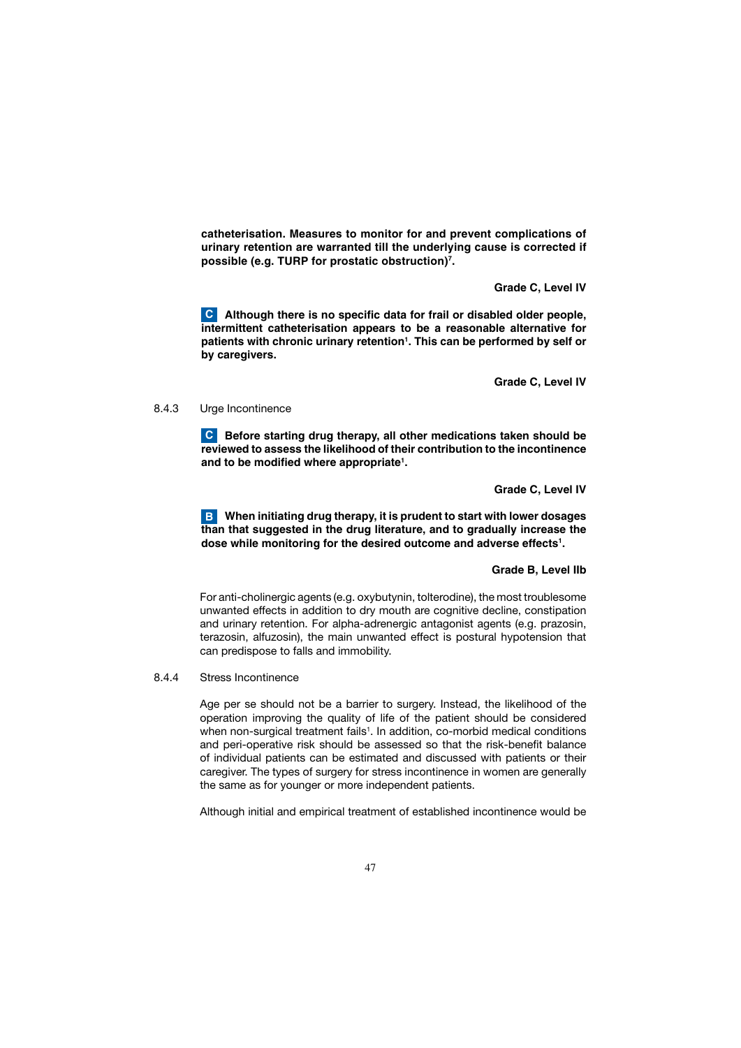**catheterisation. Measures to monitor for and prevent complications of urinary retention are warranted till the underlying cause is corrected if possible (e.g. TURP for prostatic obstruction)7 .**

 **Grade C, Level IV**

 **Although there is no specific data for frail or disabled older people, C intermittent catheterisation appears to be a reasonable alternative for patients with chronic urinary retention1 . This can be performed by self or by caregivers.**

 **Grade C, Level IV**

#### 8.4.3 Urge Incontinence

**C** Before starting drug therapy, all other medications taken should be **reviewed to assess the likelihood of their contribution to the incontinence and to be modified where appropriate1 .**

 **Grade C, Level IV**

**B** When initiating drug therapy, it is prudent to start with lower dosages **than that suggested in the drug literature, and to gradually increase the dose while monitoring for the desired outcome and adverse effects1 .** 

# **Grade B, Level IIb**

 For anti-cholinergic agents (e.g. oxybutynin, tolterodine), the most troublesome unwanted effects in addition to dry mouth are cognitive decline, constipation and urinary retention. For alpha-adrenergic antagonist agents (e.g. prazosin, terazosin, alfuzosin), the main unwanted effect is postural hypotension that can predispose to falls and immobility.

8.4.4 Stress Incontinence

 Age per se should not be a barrier to surgery. Instead, the likelihood of the operation improving the quality of life of the patient should be considered when non-surgical treatment fails<sup>1</sup>. In addition, co-morbid medical conditions and peri-operative risk should be assessed so that the risk-benefit balance of individual patients can be estimated and discussed with patients or their caregiver. The types of surgery for stress incontinence in women are generally the same as for younger or more independent patients.

Although initial and empirical treatment of established incontinence would be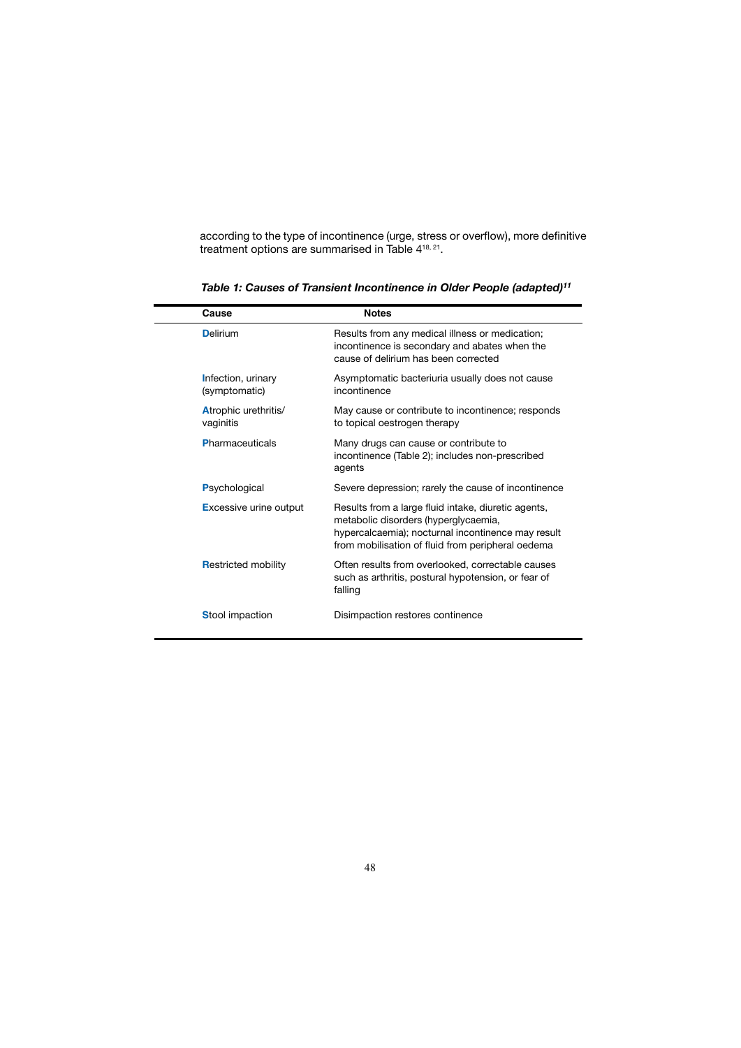according to the type of incontinence (urge, stress or overflow), more definitive treatment options are summarised in Table 4<sup>18, 21</sup>.

| Cause                               | <b>Notes</b>                                                                                                                                                                                           |
|-------------------------------------|--------------------------------------------------------------------------------------------------------------------------------------------------------------------------------------------------------|
| <b>Delirium</b>                     | Results from any medical illness or medication;<br>incontinence is secondary and abates when the<br>cause of delirium has been corrected                                                               |
| Infection, urinary<br>(symptomatic) | Asymptomatic bacteriuria usually does not cause<br>incontinence                                                                                                                                        |
| Atrophic urethritis/<br>vaginitis   | May cause or contribute to incontinence; responds<br>to topical oestrogen therapy                                                                                                                      |
| <b>Pharmaceuticals</b>              | Many drugs can cause or contribute to<br>incontinence (Table 2); includes non-prescribed<br>agents                                                                                                     |
| Psychological                       | Severe depression; rarely the cause of incontinence                                                                                                                                                    |
| <b>Excessive urine output</b>       | Results from a large fluid intake, diuretic agents,<br>metabolic disorders (hyperglycaemia,<br>hypercalcaemia); nocturnal incontinence may result<br>from mobilisation of fluid from peripheral oedema |
| <b>Restricted mobility</b>          | Often results from overlooked, correctable causes<br>such as arthritis, postural hypotension, or fear of<br>falling                                                                                    |
| <b>Stool impaction</b>              | Disimpaction restores continence                                                                                                                                                                       |

 *Table 1: Causes of Transient Incontinence in Older People (adapted)11*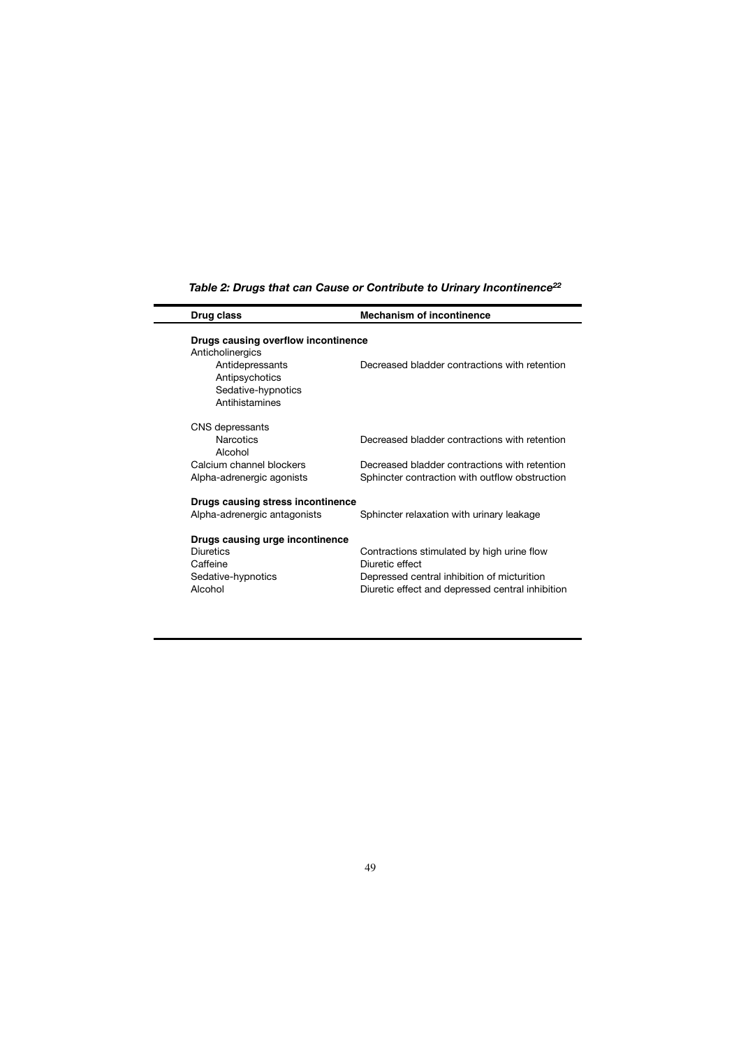| Drug class                                                                | <b>Mechanism of incontinence</b>                                                                |  |  |  |
|---------------------------------------------------------------------------|-------------------------------------------------------------------------------------------------|--|--|--|
| Drugs causing overflow incontinence<br>Anticholinergics                   |                                                                                                 |  |  |  |
| Antidepressants<br>Antipsychotics<br>Sedative-hypnotics<br>Antihistamines | Decreased bladder contractions with retention                                                   |  |  |  |
| CNS depressants                                                           |                                                                                                 |  |  |  |
| Narcotics<br>Alcohol                                                      | Decreased bladder contractions with retention                                                   |  |  |  |
| Calcium channel blockers<br>Alpha-adrenergic agonists                     | Decreased bladder contractions with retention<br>Sphincter contraction with outflow obstruction |  |  |  |
| Drugs causing stress incontinence                                         |                                                                                                 |  |  |  |
| Alpha-adrenergic antagonists                                              | Sphincter relaxation with urinary leakage                                                       |  |  |  |
| Drugs causing urge incontinence                                           |                                                                                                 |  |  |  |
| Diuretics                                                                 | Contractions stimulated by high urine flow                                                      |  |  |  |
| Caffeine                                                                  | Diuretic effect                                                                                 |  |  |  |
| Sedative-hypnotics                                                        | Depressed central inhibition of micturition                                                     |  |  |  |
| Alcohol                                                                   | Diuretic effect and depressed central inhibition                                                |  |  |  |
|                                                                           |                                                                                                 |  |  |  |

# *Table 2: Drugs that can Cause or Contribute to Urinary Incontinence22*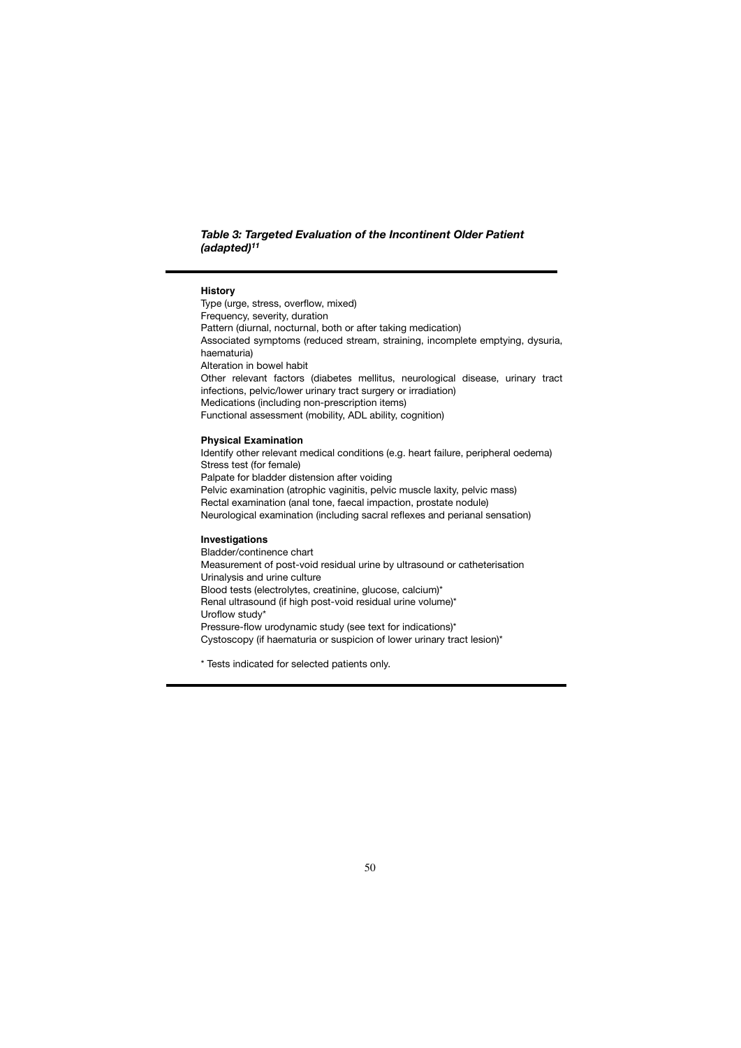*Table 3: Targeted Evaluation of the Incontinent Older Patient (adapted)11*

## **History**

Type (urge, stress, overflow, mixed) Frequency, severity, duration Pattern (diurnal, nocturnal, both or after taking medication) Associated symptoms (reduced stream, straining, incomplete emptying, dysuria, haematuria) Alteration in bowel habit Other relevant factors (diabetes mellitus, neurological disease, urinary tract infections, pelvic/lower urinary tract surgery or irradiation) Medications (including non-prescription items) Functional assessment (mobility, ADL ability, cognition)

### **Physical Examination**

Identify other relevant medical conditions (e.g. heart failure, peripheral oedema) Stress test (for female) Palpate for bladder distension after voiding Pelvic examination (atrophic vaginitis, pelvic muscle laxity, pelvic mass) Rectal examination (anal tone, faecal impaction, prostate nodule) Neurological examination (including sacral reflexes and perianal sensation)

# **Investigations**

Bladder/continence chart Measurement of post-void residual urine by ultrasound or catheterisation Urinalysis and urine culture Blood tests (electrolytes, creatinine, glucose, calcium)\* Renal ultrasound (if high post-void residual urine volume)\* Uroflow study\* Pressure-flow urodynamic study (see text for indications)\* Cystoscopy (if haematuria or suspicion of lower urinary tract lesion)\*

\* Tests indicated for selected patients only.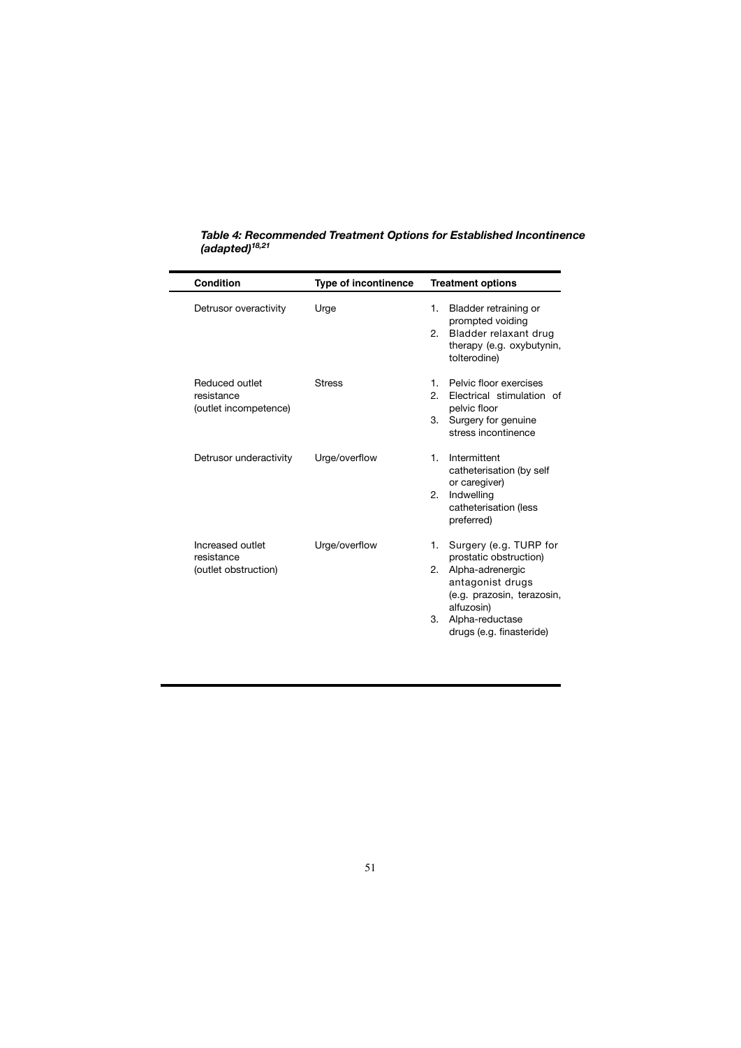| Condition                                              | Type of incontinence | <b>Treatment options</b>                                                                                                                                                                              |
|--------------------------------------------------------|----------------------|-------------------------------------------------------------------------------------------------------------------------------------------------------------------------------------------------------|
| Detrusor overactivity                                  | Urge                 | 1.<br>Bladder retraining or<br>prompted voiding<br>2. Bladder relaxant drug<br>therapy (e.g. oxybutynin,<br>tolterodine)                                                                              |
| Reduced outlet<br>resistance<br>(outlet incompetence)  | <b>Stress</b>        | Pelvic floor exercises<br>1.<br>Electrical stimulation of<br>2.<br>pelvic floor<br>Surgery for genuine<br>3.<br>stress incontinence                                                                   |
| Detrusor underactivity                                 | Urge/overflow        | Intermittent<br>$\mathbf{1}_{\cdot}$<br>catheterisation (by self<br>or caregiver)<br>Indwelling<br>2.<br>catheterisation (less<br>preferred)                                                          |
| Increased outlet<br>resistance<br>(outlet obstruction) | Urge/overflow        | Surgery (e.g. TURP for<br>1.<br>prostatic obstruction)<br>Alpha-adrenergic<br>2.<br>antagonist drugs<br>(e.g. prazosin, terazosin,<br>alfuzosin)<br>Alpha-reductase<br>3.<br>drugs (e.g. finasteride) |

*Table 4: Recommended Treatment Options for Established Incontinence (adapted)18,21*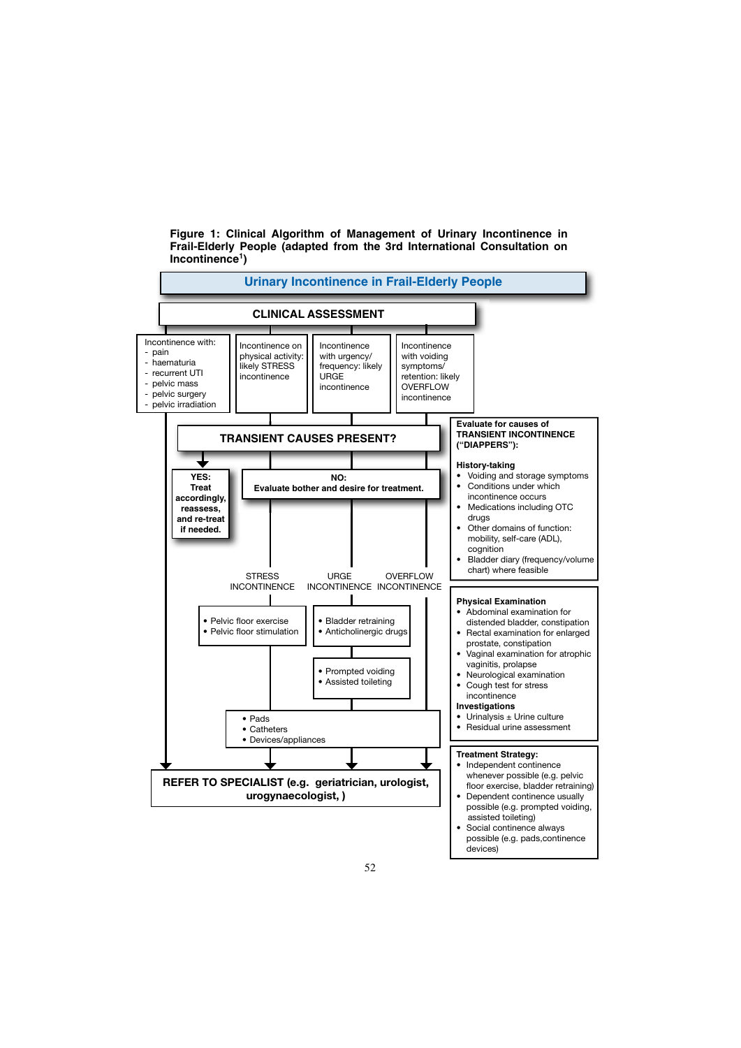**Figure 1: Clinical Algorithm of Management of Urinary Incontinence in Frail-Elderly People (adapted from the 3rd International Consultation on Incontinence1)**

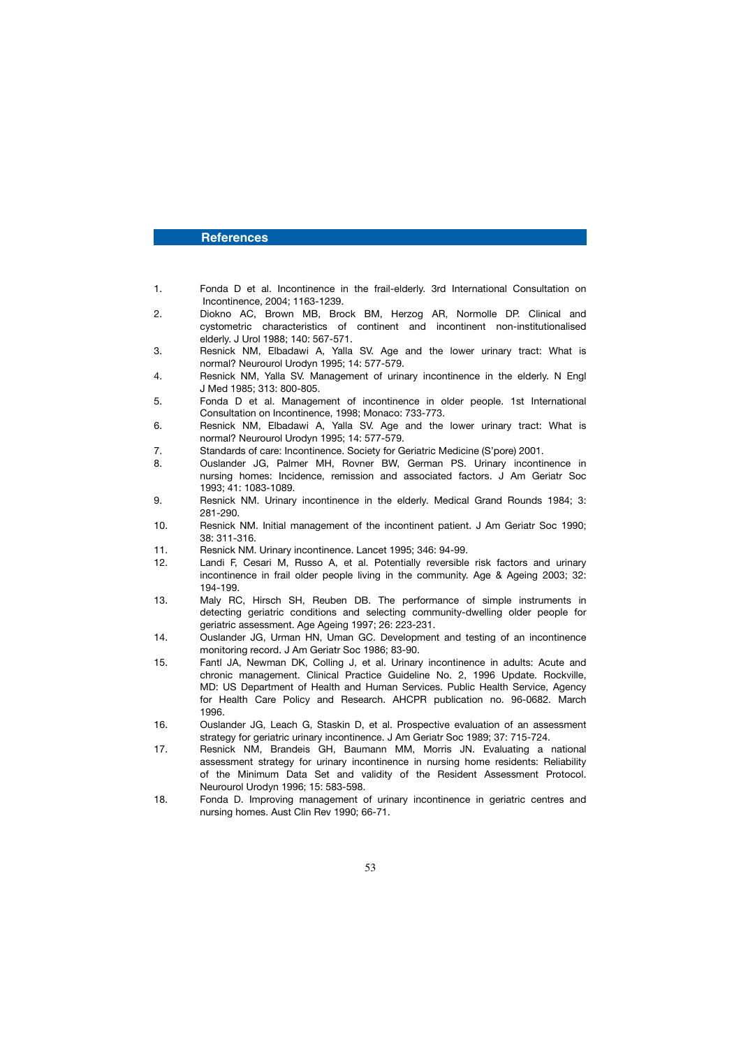### **References**

- 1. Fonda D et al. Incontinence in the frail-elderly. 3rd International Consultation on Incontinence, 2004; 1163-1239.
- 2. Diokno AC, Brown MB, Brock BM, Herzog AR, Normolle DP. Clinical and cystometric characteristics of continent and incontinent non-institutionalised elderly. J Urol 1988; 140: 567-571.
- 3. Resnick NM, Elbadawi A, Yalla SV. Age and the lower urinary tract: What is normal? Neurourol Urodyn 1995; 14: 577-579.
- 4. Resnick NM, Yalla SV. Management of urinary incontinence in the elderly. N Engl J Med 1985; 313: 800-805.
- 5. Fonda D et al. Management of incontinence in older people. 1st International Consultation on Incontinence, 1998; Monaco: 733-773.
- 6. Resnick NM, Elbadawi A, Yalla SV. Age and the lower urinary tract: What is normal? Neurourol Urodyn 1995; 14: 577-579.
- 7. Standards of care: Incontinence. Society for Geriatric Medicine (S'pore) 2001.
- 8. Ouslander JG, Palmer MH, Rovner BW, German PS. Urinary incontinence in nursing homes: Incidence, remission and associated factors. J Am Geriatr Soc 1993; 41: 1083-1089.<br>
9. Besnick NM. Urinary
- 9. Resnick NM. Urinary incontinence in the elderly. Medical Grand Rounds 1984; 3: 281-290.
- 10. Resnick NM. Initial management of the incontinent patient. J Am Geriatr Soc 1990; 38: 311-316.
- 11. Resnick NM. Urinary incontinence. Lancet 1995; 346: 94-99.
- Landi F, Cesari M, Russo A, et al. Potentially reversible risk factors and urinary incontinence in frail older people living in the community. Age & Ageing 2003; 32: 194-199.
- 13. Maly RC, Hirsch SH, Reuben DB. The performance of simple instruments in detecting geriatric conditions and selecting community-dwelling older people for geriatric assessment. Age Ageing 1997; 26: 223-231.
- 14. Ouslander JG, Urman HN, Uman GC. Development and testing of an incontinence monitoring record. J Am Geriatr Soc 1986; 83-90.
- 15. Fantl JA, Newman DK, Colling J, et al. Urinary incontinence in adults: Acute and chronic management. Clinical Practice Guideline No. 2, 1996 Update. Rockville, MD: US Department of Health and Human Services. Public Health Service, Agency for Health Care Policy and Research. AHCPR publication no. 96-0682. March 1996.
- 16. Ouslander JG, Leach G, Staskin D, et al. Prospective evaluation of an assessment strategy for geriatric urinary incontinence. J Am Geriatr Soc 1989; 37: 715-724.
- 17. Resnick NM, Brandeis GH, Baumann MM, Morris JN. Evaluating a national assessment strategy for urinary incontinence in nursing home residents: Reliability of the Minimum Data Set and validity of the Resident Assessment Protocol. Neurourol Urodyn 1996; 15: 583-598.
- 18. Fonda D. Improving management of urinary incontinence in geriatric centres and nursing homes. Aust Clin Rev 1990; 66-71.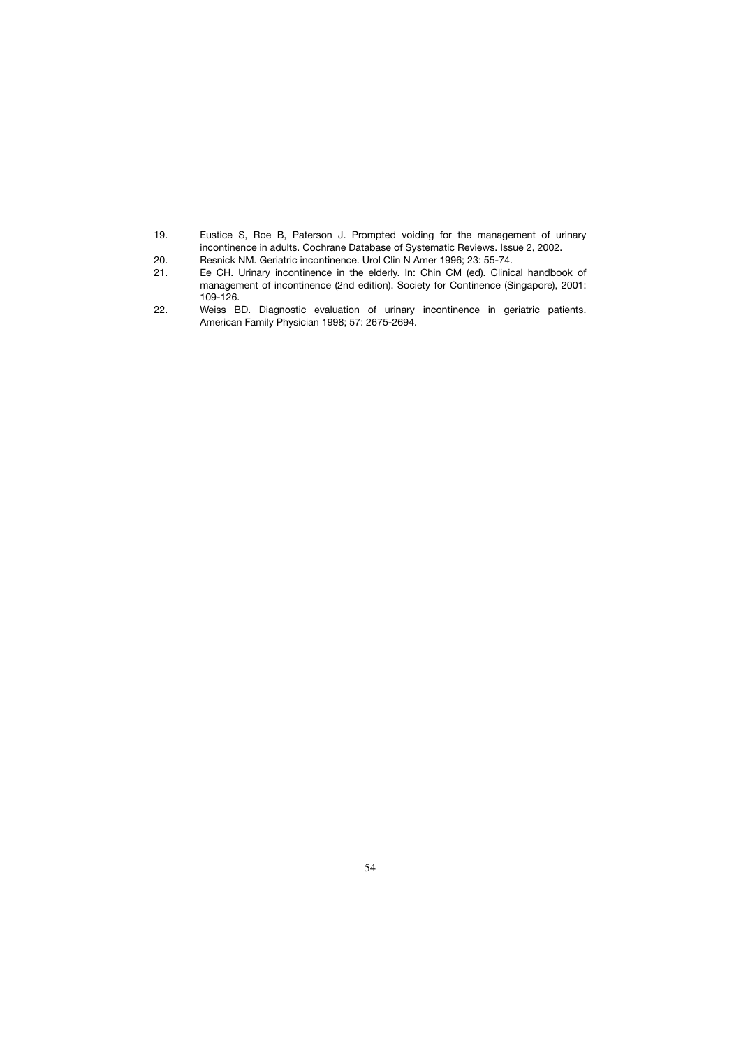- 19. Eustice S, Roe B, Paterson J. Prompted voiding for the management of urinary incontinence in adults. Cochrane Database of Systematic Reviews. Issue 2, 2002.<br>20. Resnick NM. Geriatric incontinence. Urol Clin N Amer 1996; 23: 55-74.
- Resnick NM. Geriatric incontinence. Urol Clin N Amer 1996; 23: 55-74.
- 21. Ee CH. Urinary incontinence in the elderly. In: Chin CM (ed). Clinical handbook of management of incontinence (2nd edition). Society for Continence (Singapore), 2001: 109-126.<br>22. Weiss B
- Weiss BD. Diagnostic evaluation of urinary incontinence in geriatric patients. American Family Physician 1998; 57: 2675-2694.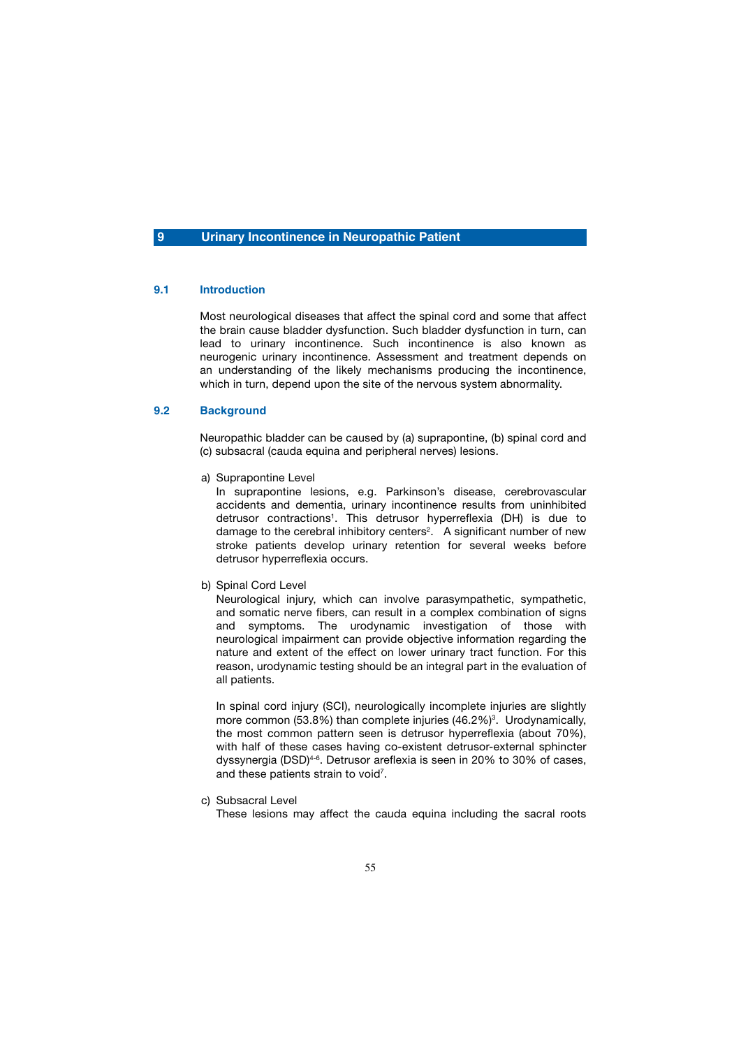# **9 Urinary Incontinence in Neuropathic Patient**

# **9.1 Introduction**

 Most neurological diseases that affect the spinal cord and some that affect the brain cause bladder dysfunction. Such bladder dysfunction in turn, can lead to urinary incontinence. Such incontinence is also known as neurogenic urinary incontinence. Assessment and treatment depends on an understanding of the likely mechanisms producing the incontinence, which in turn, depend upon the site of the nervous system abnormality.

# **9.2 Background**

 Neuropathic bladder can be caused by (a) suprapontine, (b) spinal cord and (c) subsacral (cauda equina and peripheral nerves) lesions.

a) Suprapontine Level

 In suprapontine lesions, e.g. Parkinson's disease, cerebrovascular accidents and dementia, urinary incontinence results from uninhibited detrusor contractions<sup>1</sup>. This detrusor hyperreflexia (DH) is due to damage to the cerebral inhibitory centers<sup>2</sup>. A significant number of new stroke patients develop urinary retention for several weeks before detrusor hyperreflexia occurs.

#### b) Spinal Cord Level

 Neurological injury, which can involve parasympathetic, sympathetic, and somatic nerve fibers, can result in a complex combination of signs and symptoms. The urodynamic investigation of those with neurological impairment can provide objective information regarding the nature and extent of the effect on lower urinary tract function. For this reason, urodynamic testing should be an integral part in the evaluation of all patients.

In spinal cord injury (SCI), neurologically incomplete injuries are slightly more common (53.8%) than complete injuries  $(46.2%)<sup>3</sup>$ . Urodynamically, the most common pattern seen is detrusor hyperreflexia (about 70%), with half of these cases having co-existent detrusor-external sphincter dyssynergia (DSD)4-6. Detrusor areflexia is seen in 20% to 30% of cases, and these patients strain to void<sup>7</sup>.

c) Subsacral Level

These lesions may affect the cauda equina including the sacral roots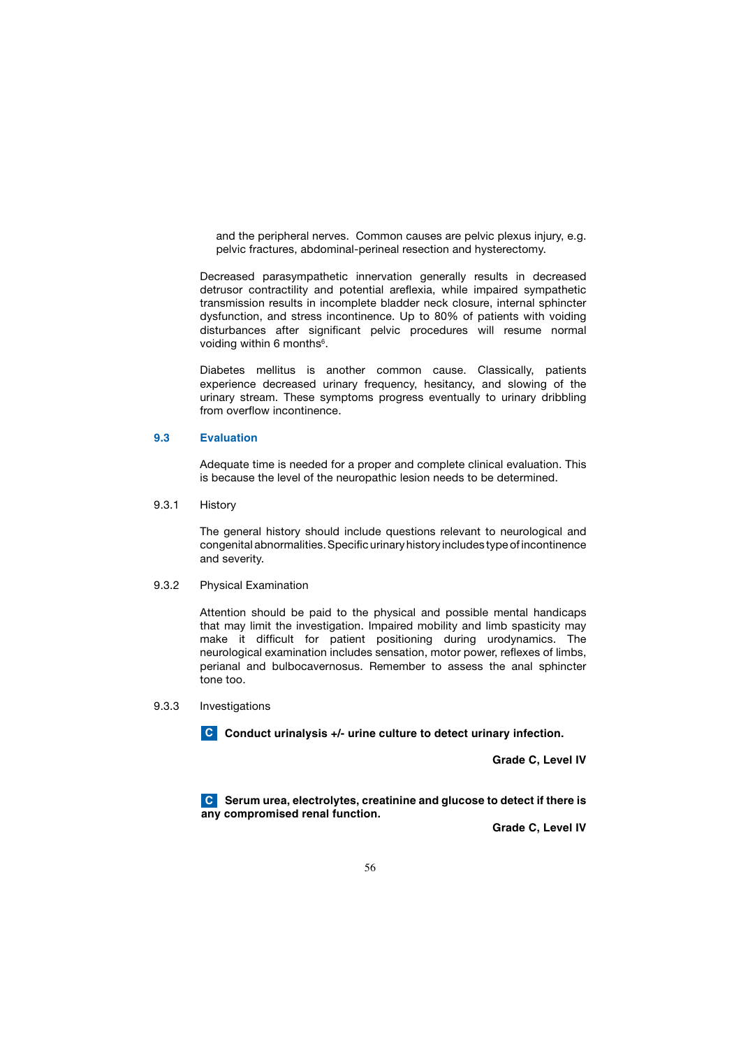and the peripheral nerves. Common causes are pelvic plexus injury, e.g. pelvic fractures, abdominal-perineal resection and hysterectomy.

 Decreased parasympathetic innervation generally results in decreased detrusor contractility and potential areflexia, while impaired sympathetic transmission results in incomplete bladder neck closure, internal sphincter dysfunction, and stress incontinence. Up to 80% of patients with voiding disturbances after significant pelvic procedures will resume normal voiding within 6 months<sup>6</sup>.

 Diabetes mellitus is another common cause. Classically, patients experience decreased urinary frequency, hesitancy, and slowing of the urinary stream. These symptoms progress eventually to urinary dribbling from overflow incontinence.

### **9.3 Evaluation**

 Adequate time is needed for a proper and complete clinical evaluation. This is because the level of the neuropathic lesion needs to be determined.

9.3.1 History

 The general history should include questions relevant to neurological and congenital abnormalities. Specific urinary history includes type of incontinence and severity.

9.3.2 Physical Examination

 Attention should be paid to the physical and possible mental handicaps that may limit the investigation. Impaired mobility and limb spasticity may make it difficult for patient positioning during urodynamics. The neurological examination includes sensation, motor power, reflexes of limbs, perianal and bulbocavernosus. Remember to assess the anal sphincter tone too.

9.3.3 Investigations

**Conduct urinalysis +/- urine culture to detect urinary infection. C**

 **Grade C, Level IV**

**C** Serum urea, electrolytes, creatinine and glucose to detect if there is **any compromised renal function.**

**Grade C, Level IV**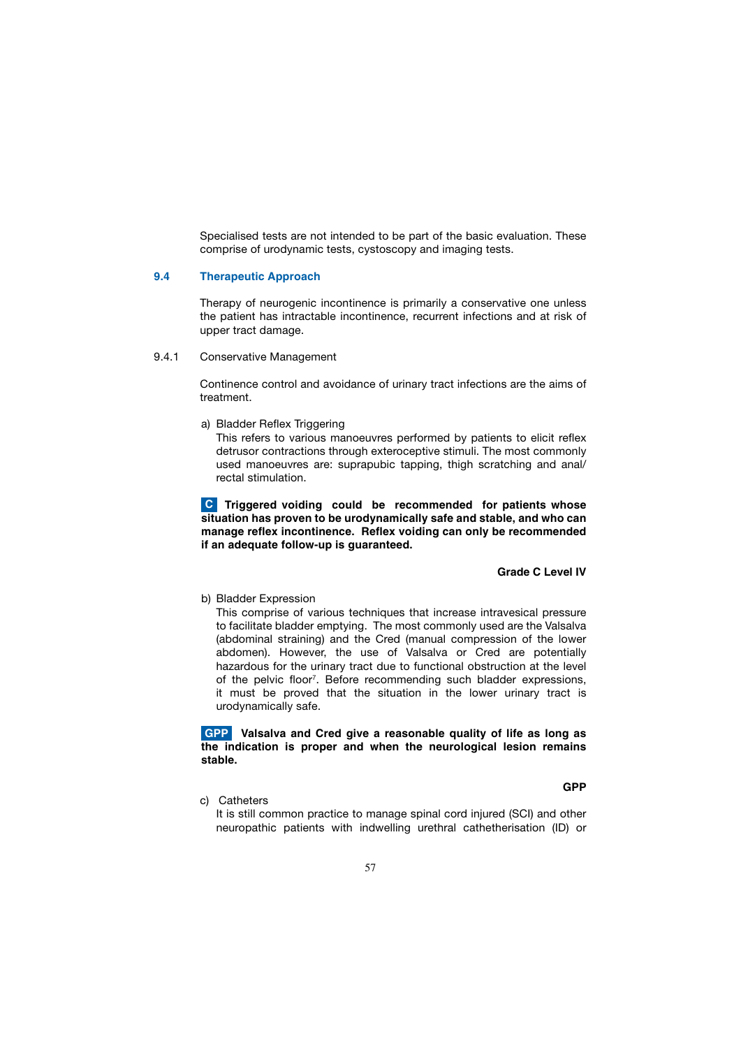Specialised tests are not intended to be part of the basic evaluation. These comprise of urodynamic tests, cystoscopy and imaging tests.

### **9.4 Therapeutic Approach**

 Therapy of neurogenic incontinence is primarily a conservative one unless the patient has intractable incontinence, recurrent infections and at risk of upper tract damage.

## 9.4.1 Conservative Management

 Continence control and avoidance of urinary tract infections are the aims of treatment.

a) Bladder Reflex Triggering

 This refers to various manoeuvres performed by patients to elicit reflex detrusor contractions through exteroceptive stimuli. The most commonly used manoeuvres are: suprapubic tapping, thigh scratching and anal/ rectal stimulation.

 **Triggered voiding could be recommended for patients whose C situation has proven to be urodynamically safe and stable, and who can manage reflex incontinence. Reflex voiding can only be recommended if an adequate follow-up is guaranteed.** 

## **Grade C Level IV**

b) Bladder Expression

 This comprise of various techniques that increase intravesical pressure to facilitate bladder emptying. The most commonly used are the Valsalva (abdominal straining) and the Cred (manual compression of the lower abdomen). However, the use of Valsalva or Cred are potentially hazardous for the urinary tract due to functional obstruction at the level of the pelvic floor<sup>7</sup>. Before recommending such bladder expressions, it must be proved that the situation in the lower urinary tract is urodynamically safe.

# **Valsalva and Cred give a reasonable quality of life as long as GPP the indication is proper and when the neurological lesion remains stable.**

c) Catheters

 It is still common practice to manage spinal cord injured (SCI) and other neuropathic patients with indwelling urethral cathetherisation (ID) or

**GPP**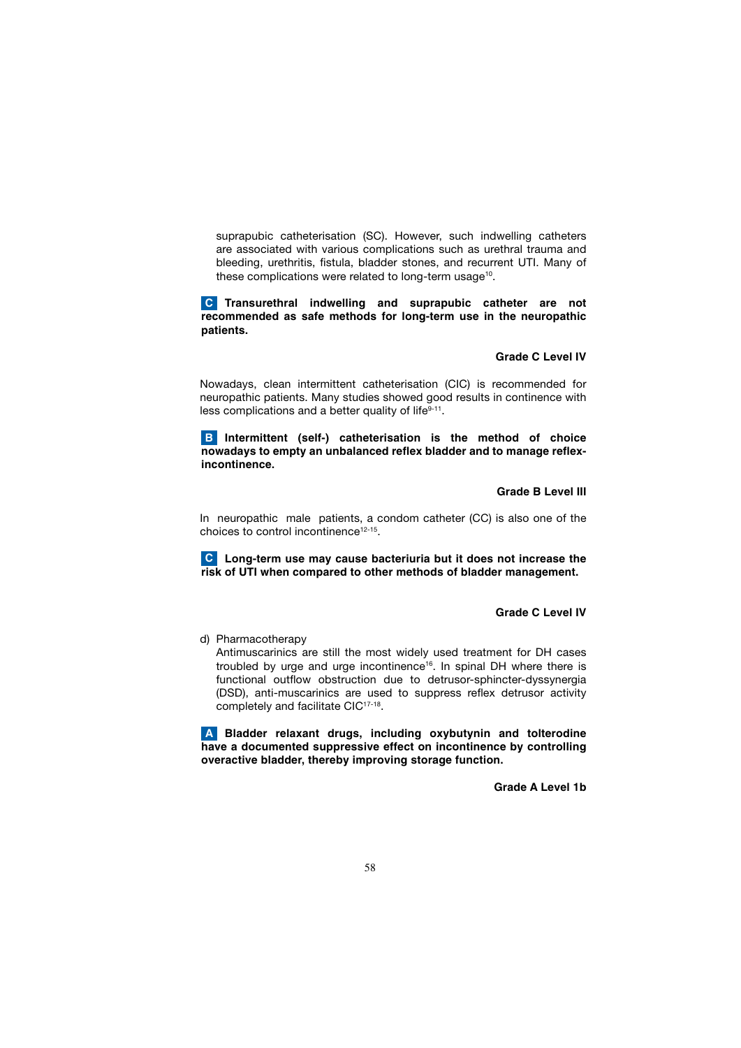suprapubic catheterisation (SC). However, such indwelling catheters are associated with various complications such as urethral trauma and bleeding, urethritis, fistula, bladder stones, and recurrent UTI. Many of these complications were related to long-term usage<sup>10</sup>.

**C** Transurethral indwelling and suprapubic catheter are not **recommended as safe methods for long-term use in the neuropathic patients.** 

### **Grade C Level IV**

 Nowadays, clean intermittent catheterisation (CIC) is recommended for neuropathic patients. Many studies showed good results in continence with less complications and a better quality of life<sup>9-11</sup>.

**B** Intermittent (self-) catheterisation is the method of choice **nowadays to empty an unbalanced reflex bladder and to manage reflexincontinence.**

### **Grade B Level III**

 In neuropathic male patients, a condom catheter (CC) is also one of the choices to control incontinence<sup>12-15</sup>.

 **Long-term use may cause bacteriuria but it does not increase the C risk of UTI when compared to other methods of bladder management.** 

# **Grade C Level IV**

d) Pharmacotherapy

 Antimuscarinics are still the most widely used treatment for DH cases troubled by urge and urge incontinence<sup>16</sup>. In spinal DH where there is functional outflow obstruction due to detrusor-sphincter-dyssynergia (DSD), anti-muscarinics are used to suppress reflex detrusor activity completely and facilitate CIC<sup>17-18</sup>.

 **Bladder relaxant drugs, including oxybutynin and tolterodine Ahave a documented suppressive effect on incontinence by controlling overactive bladder, thereby improving storage function.** 

**Grade A Level 1b**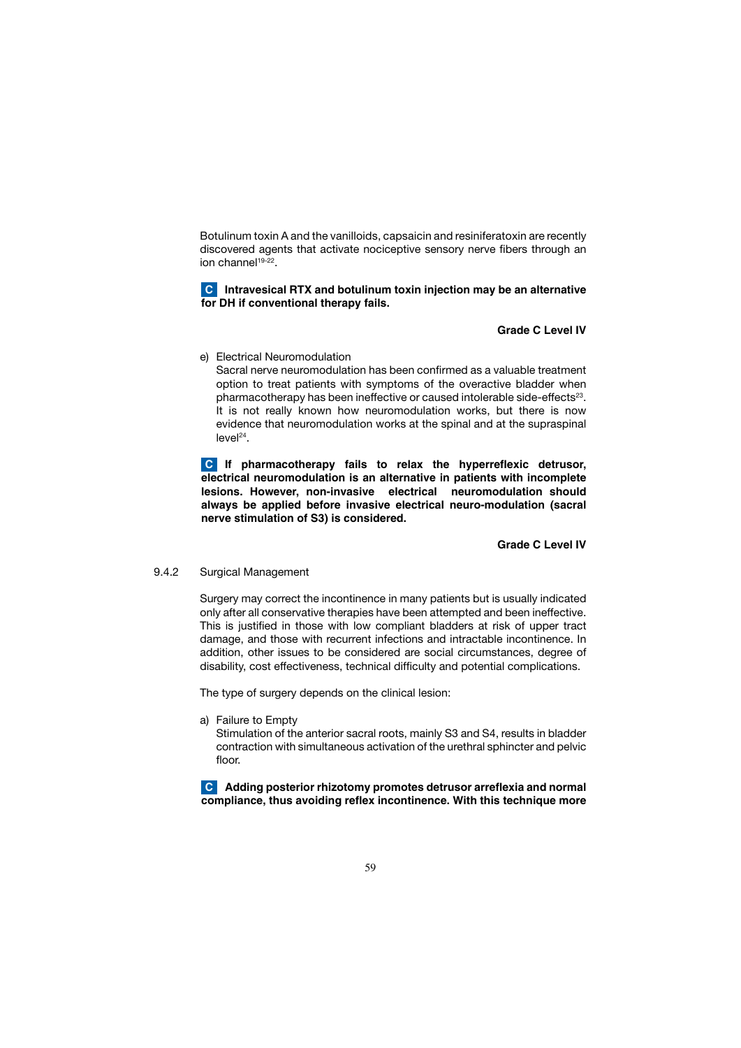Botulinum toxin A and the vanilloids, capsaicin and resiniferatoxin are recently discovered agents that activate nociceptive sensory nerve fibers through an ion channel<sup>19-22</sup>.

# **C** Intravesical RTX and botulinum toxin injection may be an alternative **for DH if conventional therapy fails.**

# **Grade C Level IV**

e) Electrical Neuromodulation

 Sacral nerve neuromodulation has been confirmed as a valuable treatment option to treat patients with symptoms of the overactive bladder when pharmacotherapy has been ineffective or caused intolerable side-effects<sup>23</sup>. It is not really known how neuromodulation works, but there is now evidence that neuromodulation works at the spinal and at the supraspinal  $level<sup>24</sup>$ .

 **If pharmacotherapy fails to relax the hyperreflexic detrusor, C electrical neuromodulation is an alternative in patients with incomplete lesions. However, non-invasive electrical neuromodulation should always be applied before invasive electrical neuro-modulation (sacral nerve stimulation of S3) is considered.** 

 **Grade C Level IV**

9.4.2 Surgical Management

 Surgery may correct the incontinence in many patients but is usually indicated only after all conservative therapies have been attempted and been ineffective. This is justified in those with low compliant bladders at risk of upper tract damage, and those with recurrent infections and intractable incontinence. In addition, other issues to be considered are social circumstances, degree of disability, cost effectiveness, technical difficulty and potential complications.

The type of surgery depends on the clinical lesion:

a) Failure to Empty

 Stimulation of the anterior sacral roots, mainly S3 and S4, results in bladder contraction with simultaneous activation of the urethral sphincter and pelvic floor.

 **Adding posterior rhizotomy promotes detrusor arreflexia and normal C compliance, thus avoiding reflex incontinence. With this technique more**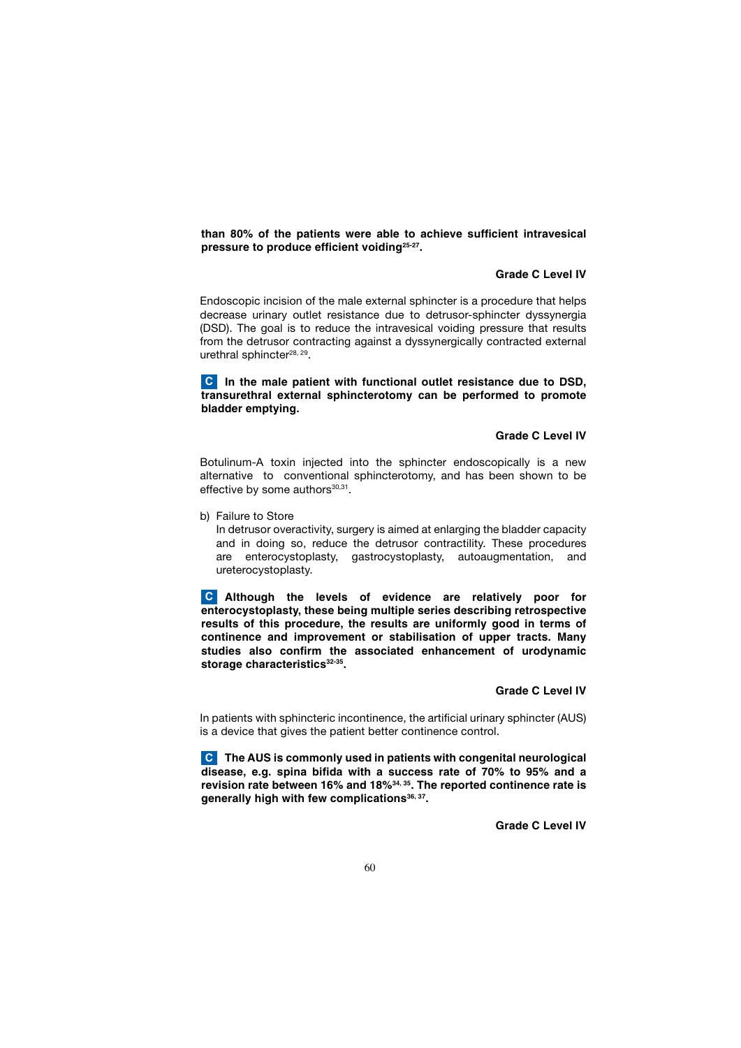**than 80% of the patients were able to achieve sufficient intravesical pressure to produce efficient voiding25-27.**

# **Grade C Level IV**

 Endoscopic incision of the male external sphincter is a procedure that helps decrease urinary outlet resistance due to detrusor-sphincter dyssynergia (DSD). The goal is to reduce the intravesical voiding pressure that results from the detrusor contracting against a dyssynergically contracted external urethral sphincter<sup>28, 29</sup>.

**C** In the male patient with functional outlet resistance due to DSD, **transurethral external sphincterotomy can be performed to promote bladder emptying.** 

# **Grade C Level IV**

 Botulinum-A toxin injected into the sphincter endoscopically is a new alternative to conventional sphincterotomy, and has been shown to be effective by some authors $30,31$ .

b) Failure to Store

 In detrusor overactivity, surgery is aimed at enlarging the bladder capacity and in doing so, reduce the detrusor contractility. These procedures are enterocystoplasty, gastrocystoplasty, autoaugmentation, and ureterocystoplasty.

 **Although the levels of evidence are relatively poor for C enterocystoplasty, these being multiple series describing retrospective results of this procedure, the results are uniformly good in terms of continence and improvement or stabilisation of upper tracts. Many studies also confirm the associated enhancement of urodynamic**  storage characteristics<sup>32-35</sup>.

### **Grade C Level IV**

 In patients with sphincteric incontinence, the artificial urinary sphincter (AUS) is a device that gives the patient better continence control.

 **The AUS is commonly used in patients with congenital neurological C disease, e.g. spina bifida with a success rate of 70% to 95% and a revision rate between 16% and 18%34, 35. The reported continence rate is**  generally high with few complications<sup>36, 37</sup>.

 **Grade C Level IV**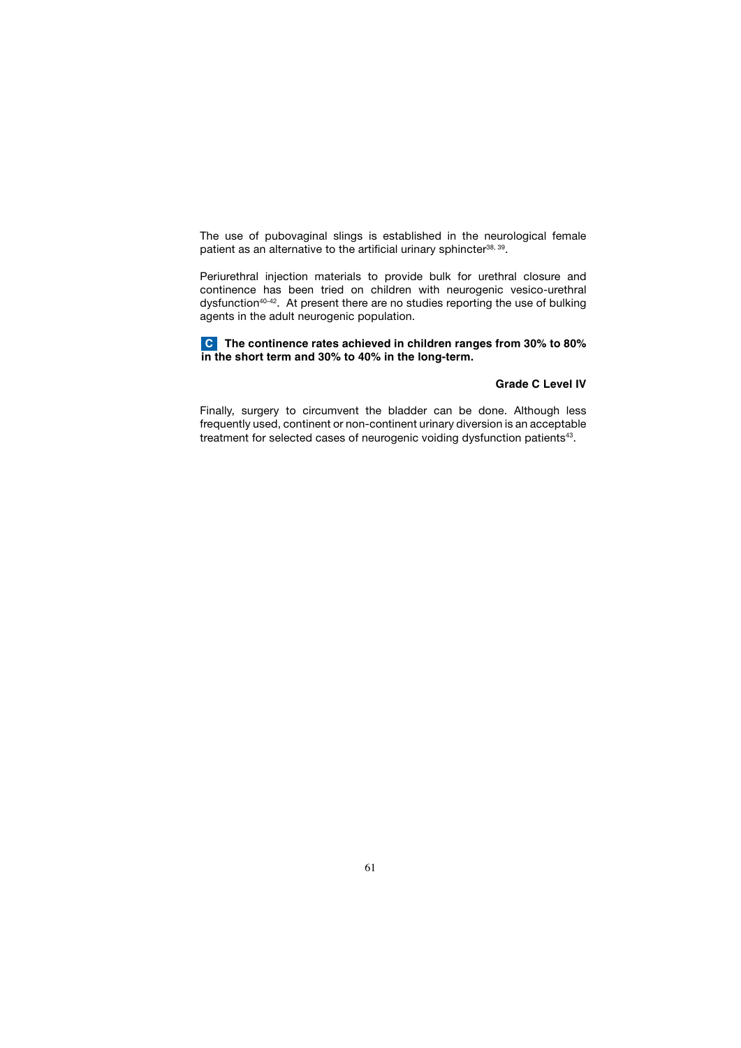The use of pubovaginal slings is established in the neurological female patient as an alternative to the artificial urinary sphincter<sup>38, 39</sup>.

 Periurethral injection materials to provide bulk for urethral closure and continence has been tried on children with neurogenic vesico-urethral dysfunction<sup>40-42</sup>. At present there are no studies reporting the use of bulking agents in the adult neurogenic population.

 **The continence rates achieved in children ranges from 30% to 80% C in the short term and 30% to 40% in the long-term.** 

# **Grade C Level IV**

 Finally, surgery to circumvent the bladder can be done. Although less frequently used, continent or non-continent urinary diversion is an acceptable treatment for selected cases of neurogenic voiding dysfunction patients<sup>43</sup>.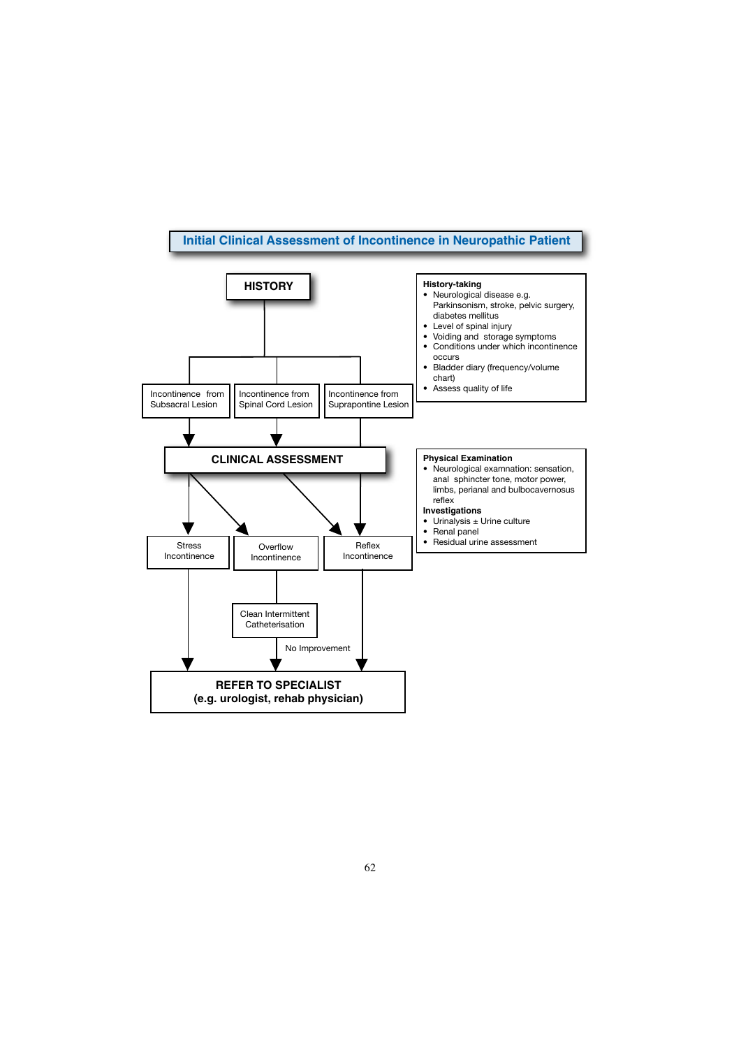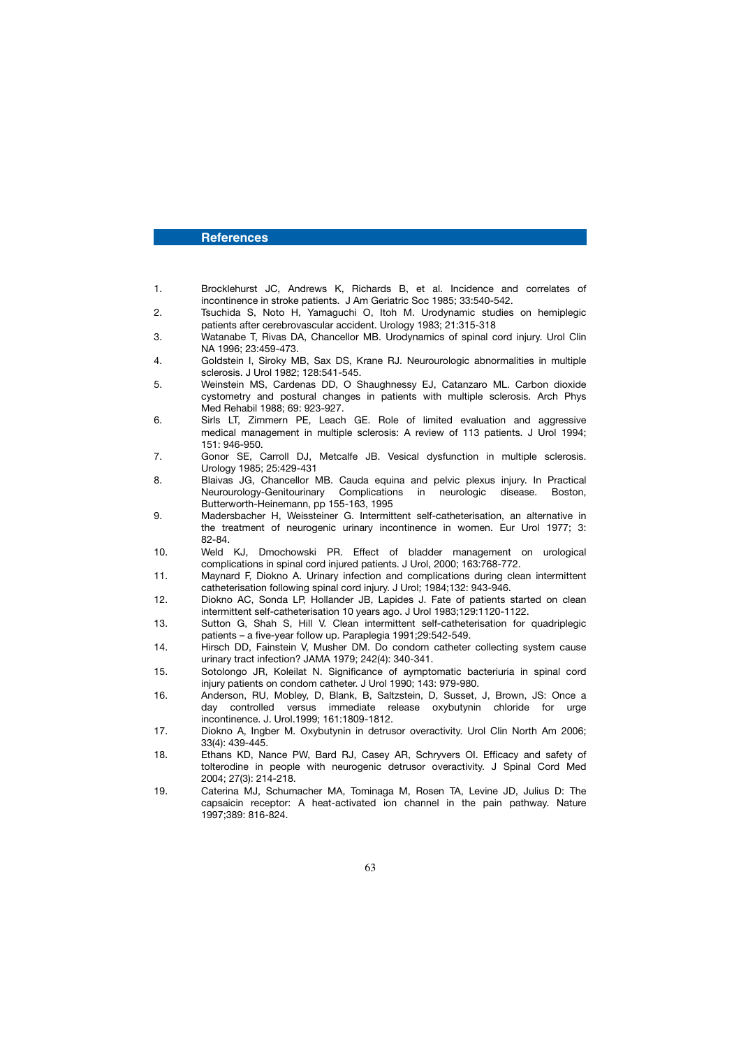### **References**

- 1. Brocklehurst JC, Andrews K, Richards B, et al. Incidence and correlates of incontinence in stroke patients. J Am Geriatric Soc 1985; 33:540-542.
- 2. Tsuchida S, Noto H, Yamaguchi O, Itoh M. Urodynamic studies on hemiplegic patients after cerebrovascular accident. Urology 1983; 21:315-318
- 3. Watanabe T, Rivas DA, Chancellor MB. Urodynamics of spinal cord injury. Urol Clin NA 1996; 23:459-473.<br>4. Goldstein I. Siroky M
- 4. Goldstein I, Siroky MB, Sax DS, Krane RJ. Neurourologic abnormalities in multiple sclerosis. J Urol 1982; 128:541-545.
- 5. Weinstein MS, Cardenas DD, O Shaughnessy EJ, Catanzaro ML. Carbon dioxide cystometry and postural changes in patients with multiple sclerosis. Arch Phys Med Rehabil 1988; 69: 923-927.
- 6. Sirls LT, Zimmern PE, Leach GE. Role of limited evaluation and aggressive medical management in multiple sclerosis: A review of 113 patients. J Urol 1994; 151: 946-950.
- 7. Gonor SE, Carroll DJ, Metcalfe JB. Vesical dysfunction in multiple sclerosis. Urology 1985; 25:429-431
- 8. Blaivas JG, Chancellor MB. Cauda equina and pelvic plexus injury. In Practical Neurourology-Genitourinary Complications in neurologic disease. Boston, Butterworth-Heinemann, pp 155-163, 1995
- 9. Madersbacher H, Weissteiner G. Intermittent self-catheterisation, an alternative in the treatment of neurogenic urinary incontinence in women. Eur Urol 1977; 3: 82-84.<br>10. Weld
- Weld KJ, Dmochowski PR. Effect of bladder management on urological complications in spinal cord injured patients. J Urol, 2000; 163:768-772.
- 11. Maynard F, Diokno A. Urinary infection and complications during clean intermittent catheterisation following spinal cord injury. J Urol; 1984;132: 943-946.<br>The Diokno AC Sonda LP Hollander JB Lapides J Fate of patients
- Diokno AC, Sonda LP, Hollander JB, Lapides J. Fate of patients started on clean intermittent self-catheterisation 10 years ago. J Urol 1983;129:1120-1122.
- 13. Sutton G, Shah S, Hill V. Clean intermittent self-catheterisation for quadriplegic patients – a five-year follow up. Paraplegia 1991;29:542-549.
- 14. Hirsch DD, Fainstein V, Musher DM. Do condom catheter collecting system cause urinary tract infection? JAMA 1979; 242(4): 340-341.
- 15. Sotolongo JR, Koleilat N. Significance of aymptomatic bacteriuria in spinal cord injury patients on condom catheter. J Urol 1990; 143: 979-980.
- 16. Anderson, RU, Mobley, D, Blank, B, Saltzstein, D, Susset, J, Brown, JS: Once a day controlled versus immediate release oxybutynin chloride for urge incontinence. J. Urol.1999; 161:1809-1812.<br>17. Diokno A. Ingber M. Oxybutynin in detrus
- Diokno A, Ingber M. Oxybutynin in detrusor overactivity. Urol Clin North Am 2006; 33(4): 439-445.<br>18. Ethans KD, Na
- Ethans KD, Nance PW, Bard RJ, Casey AR, Schryvers OI. Efficacy and safety of tolterodine in people with neurogenic detrusor overactivity. J Spinal Cord Med 2004; 27(3): 214-218.
- 19. Caterina MJ, Schumacher MA, Tominaga M, Rosen TA, Levine JD, Julius D: The capsaicin receptor: A heat-activated ion channel in the pain pathway. Nature 1997;389: 816-824.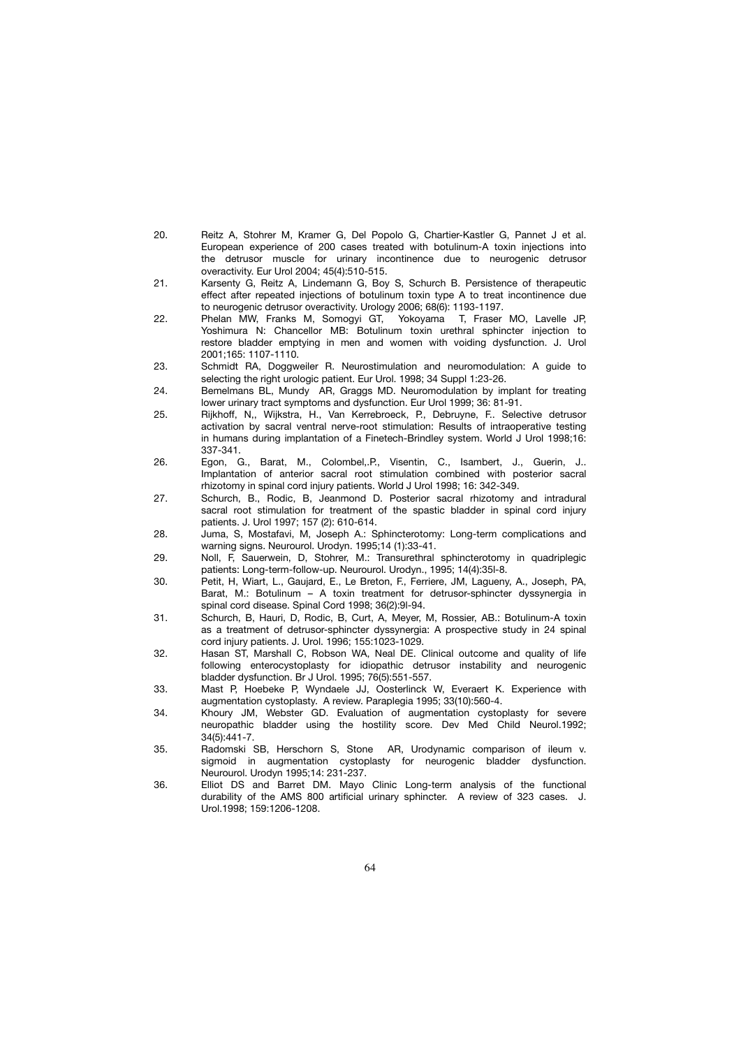- 20. Reitz A, Stohrer M, Kramer G, Del Popolo G, Chartier-Kastler G, Pannet J et al. European experience of 200 cases treated with botulinum-A toxin injections into the detrusor muscle for urinary incontinence due to neurogenic detrusor overactivity. Eur Urol 2004; 45(4):510-515.
- 21. Karsenty G, Reitz A, Lindemann G, Boy S, Schurch B. Persistence of therapeutic effect after repeated injections of botulinum toxin type A to treat incontinence due to neurogenic detrusor overactivity. Urology 2006; 68(6): 1193-1197.<br>Phelan MW, Franks M, Somogyi GT, Yokovama, T, Fraser
- Phelan MW, Franks M, Somogyi GT, Yokoyama T, Fraser MO, Lavelle JP, Yoshimura N: Chancellor MB: Botulinum toxin urethral sphincter injection to restore bladder emptying in men and women with voiding dysfunction. J. Urol 2001;165: 1107-1110.
- 23. Schmidt RA, Doggweiler R. Neurostimulation and neuromodulation: A guide to selecting the right urologic patient. Eur Urol. 1998; 34 Suppl 1:23-26.
- 24. Bemelmans BL, Mundy AR, Graggs MD. Neuromodulation by implant for treating lower urinary tract symptoms and dysfunction. Eur Urol 1999; 36: 81-91.
- 25. Rijkhoff, N,, Wijkstra, H., Van Kerrebroeck, P., Debruyne, F.. Selective detrusor activation by sacral ventral nerve-root stimulation: Results of intraoperative testing in humans during implantation of a Finetech-Brindley system. World J Urol 1998;16: 337-341.<br>26. Egon. C
- Egon, G., Barat, M., Colombel,.P., Visentin, C., Isambert, J., Guerin, J.. Implantation of anterior sacral root stimulation combined with posterior sacral rhizotomy in spinal cord injury patients. World J Urol 1998; 16: 342-349.
- 27. Schurch, B., Rodic, B, Jeanmond D. Posterior sacral rhizotomy and intradural sacral root stimulation for treatment of the spastic bladder in spinal cord injury patients. J. Urol 1997; 157 (2): 610-614.
- 28. Juma, S, Mostafavi, M, Joseph A.: Sphincterotomy: Long-term complications and warning signs. Neurourol. Urodyn. 1995;14 (1):33-41.
- 29. Noll, F, Sauerwein, D, Stohrer, M.: Transurethral sphincterotomy in quadriplegic patients: Long-term-follow-up. Neurourol. Urodyn., 1995; 14(4):35l-8.
- 30. Petit, H, Wiart, L., Gaujard, E., Le Breton, F., Ferriere, JM, Lagueny, A., Joseph, PA, Barat, M.: Botulinum – A toxin treatment for detrusor-sphincter dyssynergia in spinal cord disease. Spinal Cord 1998; 36(2):9l-94.<br>31. Schurch, B, Hauri, D, Rodic, B, Curt, A, Meyer, I
- Schurch, B, Hauri, D, Rodic, B, Curt, A, Meyer, M, Rossier, AB.: Botulinum-A toxin as a treatment of detrusor-sphincter dyssynergia: A prospective study in 24 spinal cord injury patients. J. Urol. 1996; 155:1023-1029.
- 32. Hasan ST, Marshall C, Robson WA, Neal DE. Clinical outcome and quality of life following enterocystoplasty for idiopathic detrusor instability and neurogenic bladder dysfunction. Br J Urol. 1995; 76(5):551-557.
- 33. Mast P, Hoebeke P, Wyndaele JJ, Oosterlinck W, Everaert K. Experience with augmentation cystoplasty. A review. Paraplegia 1995; 33(10):560-4.
- Khoury JM, Webster GD. Evaluation of augmentation cystoplasty for severe neuropathic bladder using the hostility score. Dev Med Child Neurol.1992; 34(5):441-7.<br>35. Badomski
- 35. Radomski SB, Herschorn S, Stone AR, Urodynamic comparison of ileum v. sigmoid in augmentation cystoplasty for neurogenic bladder dysfunction. Neurourol. Urodyn 1995;14: 231-237.
- 36. Elliot DS and Barret DM. Mayo Clinic Long-term analysis of the functional durability of the AMS 800 artificial urinary sphincter. A review of 323 cases. J. Urol.1998; 159:1206-1208.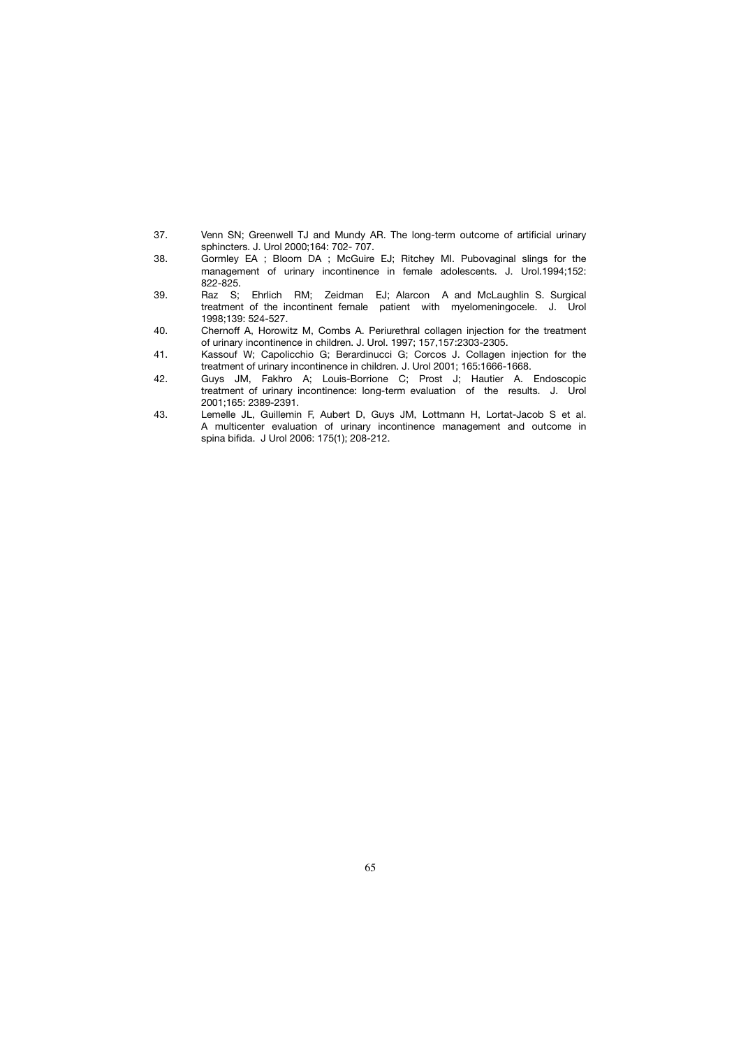- 37. Venn SN; Greenwell TJ and Mundy AR. The long-term outcome of artificial urinary sphincters. J. Urol 2000;164: 702- 707.<br>38. Gormlev EA : Bloom DA : McGuire
- Gormley EA ; Bloom DA ; McGuire EJ; Ritchey MI. Pubovaginal slings for the management of urinary incontinence in female adolescents. J. Urol.1994;152: 822-825.<br>:39. Raz S:
- Raz S; Ehrlich RM; Zeidman EJ; Alarcon A and McLaughlin S. Surgical treatment of the incontinent female patient with myelomeningocele. J. Urol 1998;139: 524-527.
- 40. Chernoff A, Horowitz M, Combs A. Periurethral collagen injection for the treatment of urinary incontinence in children. J. Urol. 1997; 157,157:2303-2305.
- 41. Kassouf W; Capolicchio G; Berardinucci G; Corcos J. Collagen injection for the treatment of urinary incontinence in children. J. Urol 2001; 165:1666-1668.
- 42. Guys JM, Fakhro A; Louis-Borrione C; Prost J; Hautier A. Endoscopic treatment of urinary incontinence: long-term evaluation of the results. J. Urol 2001;165: 2389-2391.<br>43. Lemelle JL, Guillemin
- Lemelle JL, Guillemin F, Aubert D, Guys JM, Lottmann H, Lortat-Jacob S et al. A multicenter evaluation of urinary incontinence management and outcome in spina bifida. J Urol 2006: 175(1); 208-212.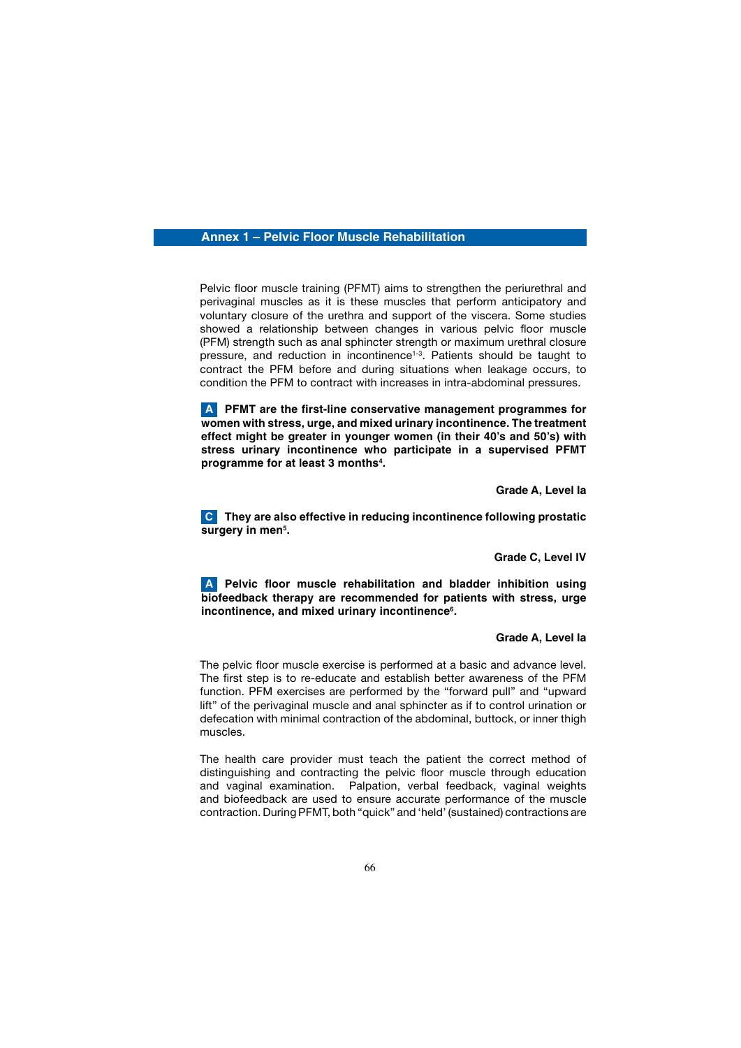## **Annex 1 – Pelvic Floor Muscle Rehabilitation**

 Pelvic floor muscle training (PFMT) aims to strengthen the periurethral and perivaginal muscles as it is these muscles that perform anticipatory and voluntary closure of the urethra and support of the viscera. Some studies showed a relationship between changes in various pelvic floor muscle (PFM) strength such as anal sphincter strength or maximum urethral closure pressure, and reduction in incontinence<sup>1-3</sup>. Patients should be taught to contract the PFM before and during situations when leakage occurs, to condition the PFM to contract with increases in intra-abdominal pressures.

 **PFMT are the first-line conservative management programmes for A women with stress, urge, and mixed urinary incontinence. The treatment effect might be greater in younger women (in their 40's and 50's) with stress urinary incontinence who participate in a supervised PFMT programme for at least 3 months4 .**

 **Grade A, Level Ia**

 **They are also effective in reducing incontinence following prostatic C** surgery in men<sup>5</sup>.

#### **Grade C, Level IV**

 **Pelvic floor muscle rehabilitation and bladder inhibition using A biofeedback therapy are recommended for patients with stress, urge**  incontinence, and mixed urinary incontinence<sup>6</sup>.

#### **Grade A, Level Ia**

 The pelvic floor muscle exercise is performed at a basic and advance level. The first step is to re-educate and establish better awareness of the PFM function. PFM exercises are performed by the "forward pull" and "upward lift" of the perivaginal muscle and anal sphincter as if to control urination or defecation with minimal contraction of the abdominal, buttock, or inner thigh muscles.

 The health care provider must teach the patient the correct method of distinguishing and contracting the pelvic floor muscle through education and vaginal examination. Palpation, verbal feedback, vaginal weights and biofeedback are used to ensure accurate performance of the muscle contraction. During PFMT, both "quick" and 'held' (sustained) contractions are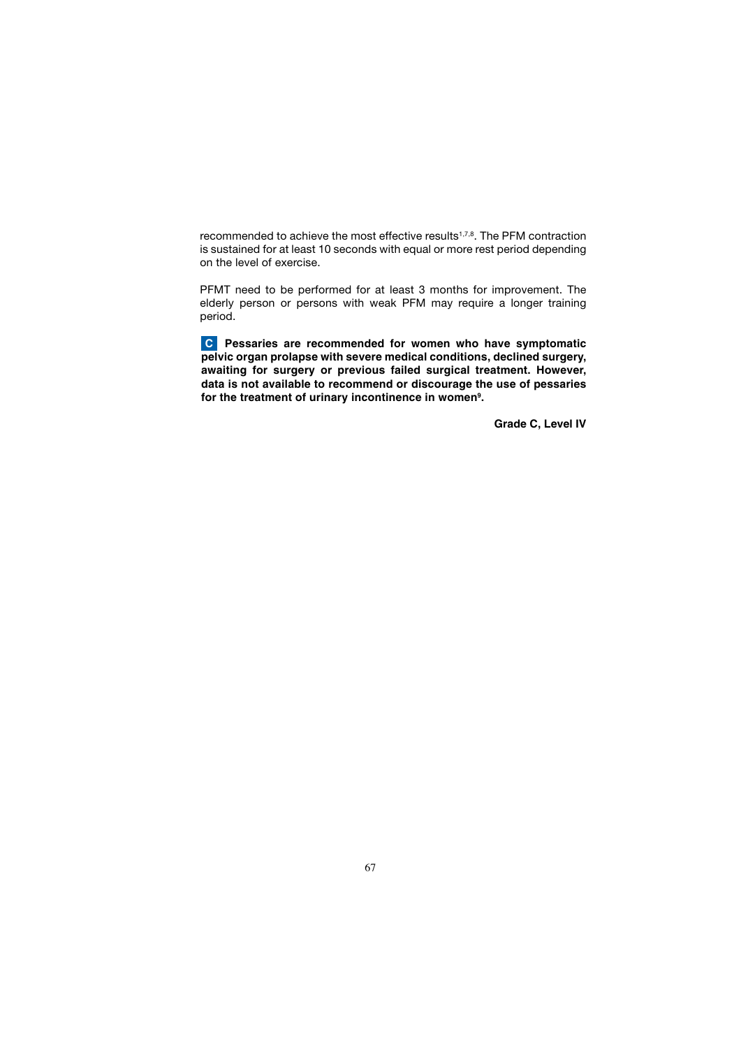recommended to achieve the most effective results<sup>1,7,8</sup>. The PFM contraction is sustained for at least 10 seconds with equal or more rest period depending on the level of exercise.

 PFMT need to be performed for at least 3 months for improvement. The elderly person or persons with weak PFM may require a longer training period.

 **Pessaries are recommended for women who have symptomatic C pelvic organ prolapse with severe medical conditions, declined surgery, awaiting for surgery or previous failed surgical treatment. However, data is not available to recommend or discourage the use of pessaries**  for the treatment of urinary incontinence in women<sup>9</sup>.

 **Grade C, Level IV**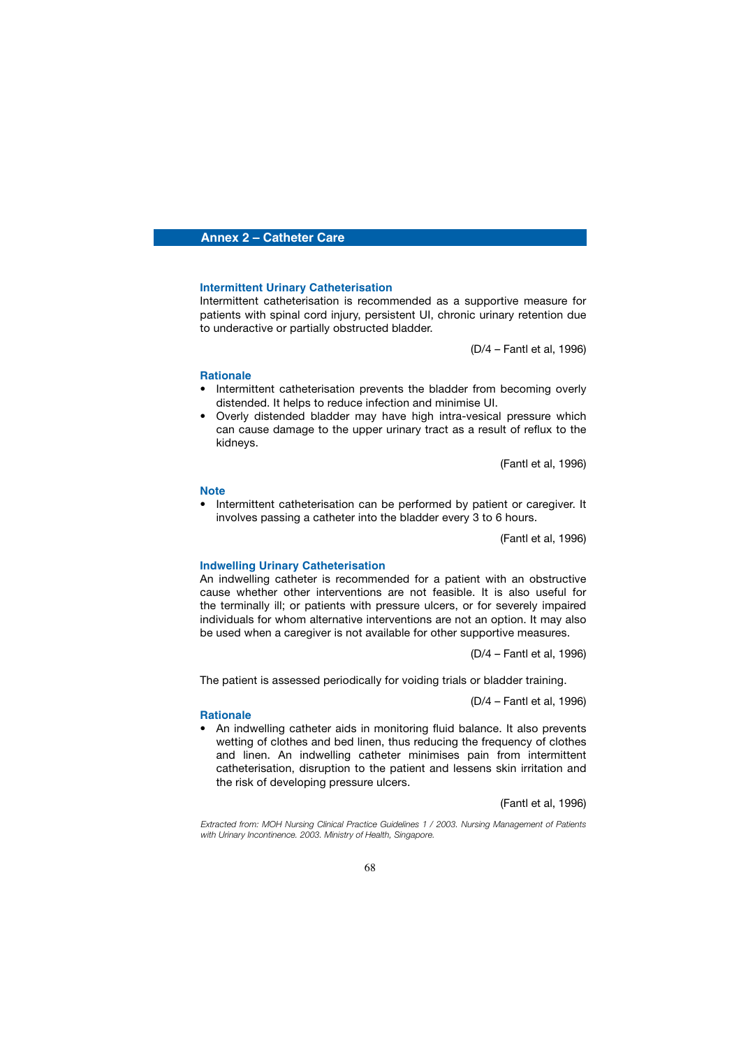## **Annex 2 – Catheter Care**

## **Intermittent Urinary Catheterisation**

 Intermittent catheterisation is recommended as a supportive measure for patients with spinal cord injury, persistent UI, chronic urinary retention due to underactive or partially obstructed bladder.

(D/4 – Fantl et al, 1996)

#### **Rationale**

- Intermittent catheterisation prevents the bladder from becoming overly distended. It helps to reduce infection and minimise UI.
- Overly distended bladder may have high intra-vesical pressure which can cause damage to the upper urinary tract as a result of reflux to the kidneys.

(Fantl et al, 1996)

#### **Note**

• Intermittent catheterisation can be performed by patient or caregiver. It involves passing a catheter into the bladder every 3 to 6 hours.

(Fantl et al, 1996)

#### **Indwelling Urinary Catheterisation**

 An indwelling catheter is recommended for a patient with an obstructive cause whether other interventions are not feasible. It is also useful for the terminally ill; or patients with pressure ulcers, or for severely impaired individuals for whom alternative interventions are not an option. It may also be used when a caregiver is not available for other supportive measures.

(D/4 – Fantl et al, 1996)

The patient is assessed periodically for voiding trials or bladder training.

(D/4 – Fantl et al, 1996)

#### **Rationale**

• An indwelling catheter aids in monitoring fluid balance. It also prevents wetting of clothes and bed linen, thus reducing the frequency of clothes and linen. An indwelling catheter minimises pain from intermittent catheterisation, disruption to the patient and lessens skin irritation and the risk of developing pressure ulcers.

(Fantl et al, 1996)

*Extracted from: MOH Nursing Clinical Practice Guidelines 1 / 2003. Nursing Management of Patients with Urinary Incontinence. 2003. Ministry of Health, Singapore.*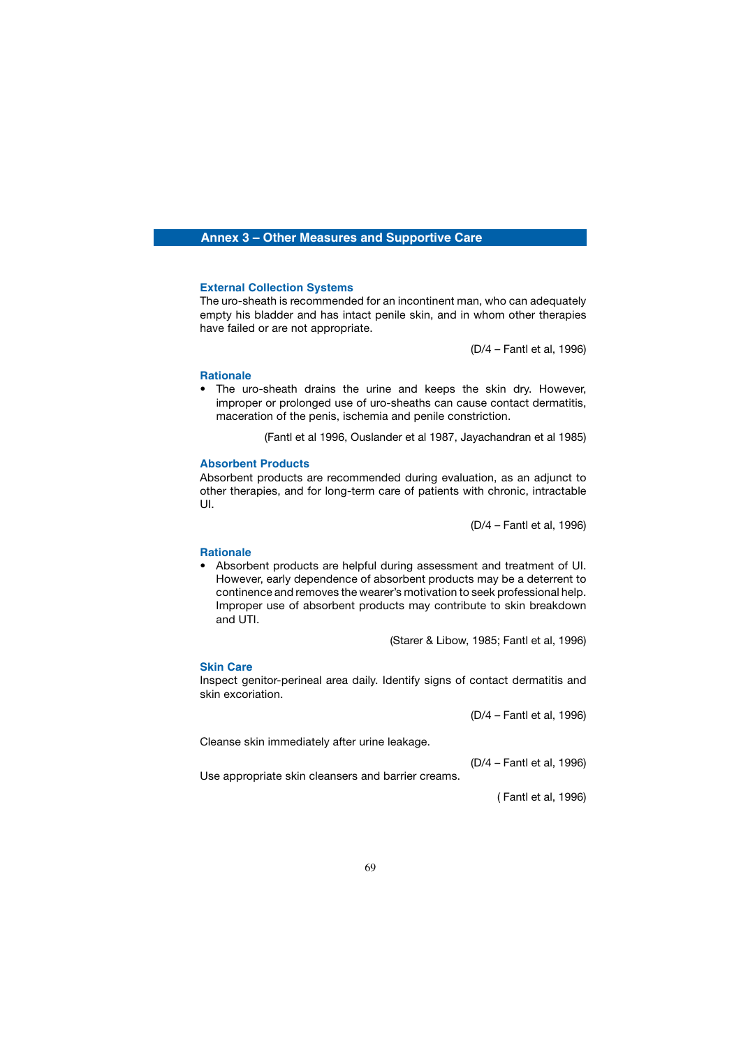## **Annex 3 – Other Measures and Supportive Care**

### **External Collection Systems**

 The uro-sheath is recommended for an incontinent man, who can adequately empty his bladder and has intact penile skin, and in whom other therapies have failed or are not appropriate.

(D/4 – Fantl et al, 1996)

## **Rationale**

The uro-sheath drains the urine and keeps the skin dry. However, improper or prolonged use of uro-sheaths can cause contact dermatitis, maceration of the penis, ischemia and penile constriction.

(Fantl et al 1996, Ouslander et al 1987, Jayachandran et al 1985)

## **Absorbent Products**

 Absorbent products are recommended during evaluation, as an adjunct to other therapies, and for long-term care of patients with chronic, intractable UI.

(D/4 – Fantl et al, 1996)

## **Rationale**

• Absorbent products are helpful during assessment and treatment of UI. However, early dependence of absorbent products may be a deterrent to continence and removes the wearer's motivation to seek professional help. Improper use of absorbent products may contribute to skin breakdown and UTI.

(Starer & Libow, 1985; Fantl et al, 1996)

## **Skin Care**

 Inspect genitor-perineal area daily. Identify signs of contact dermatitis and skin excoriation.

(D/4 – Fantl et al, 1996)

Cleanse skin immediately after urine leakage.

(D/4 – Fantl et al, 1996)

Use appropriate skin cleansers and barrier creams.

( Fantl et al, 1996)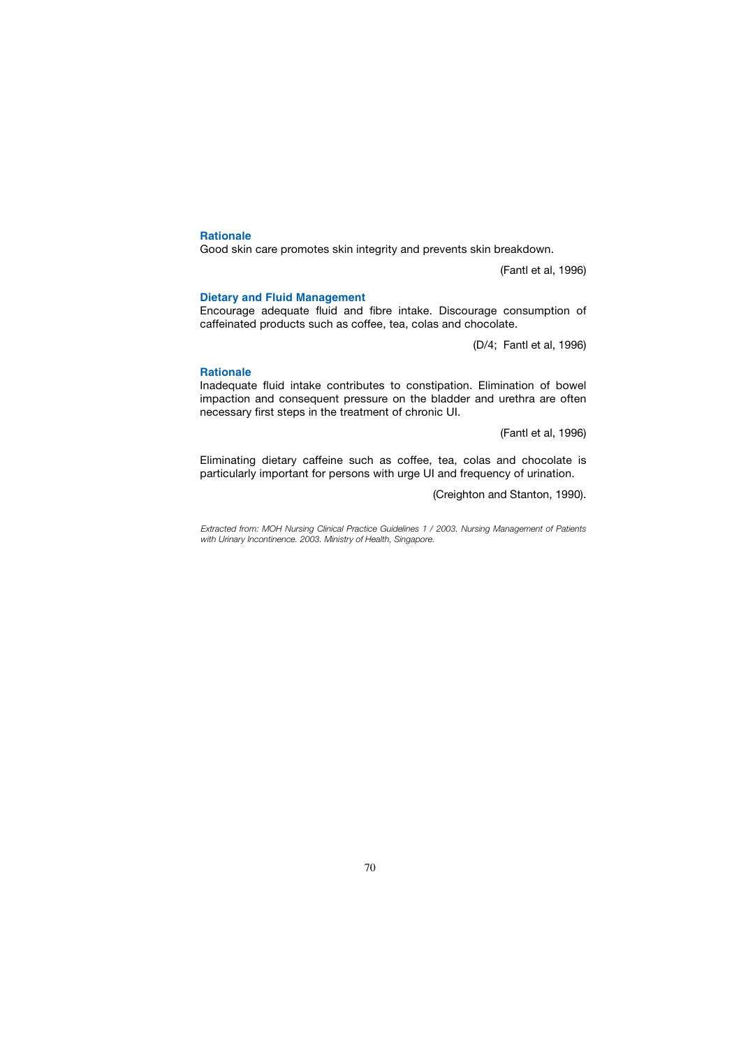## **Rationale**

Good skin care promotes skin integrity and prevents skin breakdown.

(Fantl et al, 1996)

## **Dietary and Fluid Management**

 Encourage adequate fluid and fibre intake. Discourage consumption of caffeinated products such as coffee, tea, colas and chocolate.

(D/4; Fantl et al, 1996)

## **Rationale**

 Inadequate fluid intake contributes to constipation. Elimination of bowel impaction and consequent pressure on the bladder and urethra are often necessary first steps in the treatment of chronic UI.

(Fantl et al, 1996)

 Eliminating dietary caffeine such as coffee, tea, colas and chocolate is particularly important for persons with urge UI and frequency of urination.

(Creighton and Stanton, 1990).

*Extracted from: MOH Nursing Clinical Practice Guidelines 1 / 2003. Nursing Management of Patients with Urinary Incontinence. 2003. Ministry of Health, Singapore.*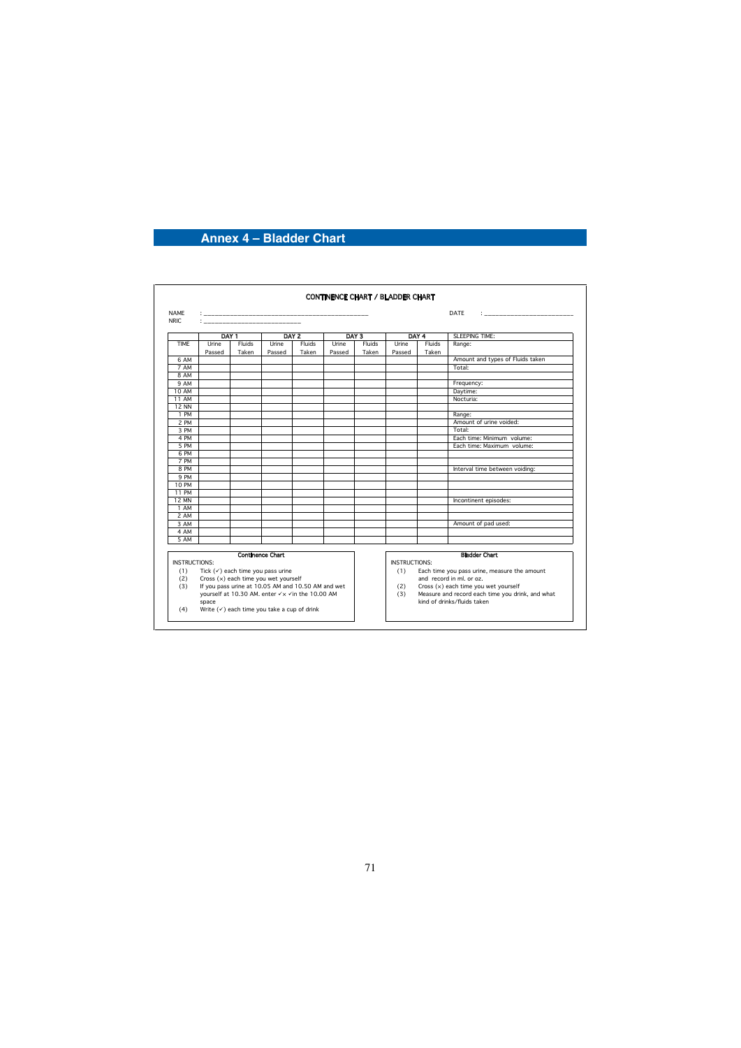# **Annex 4 – Bladder Chart**

| <b>NAMF</b><br>NRIC. | DATE<br>design and the company of the |                                                                                        |                                                 |                 |                 |                 |                                                                                                  |                 |                                                  |  |
|----------------------|---------------------------------------|----------------------------------------------------------------------------------------|-------------------------------------------------|-----------------|-----------------|-----------------|--------------------------------------------------------------------------------------------------|-----------------|--------------------------------------------------|--|
|                      | DAY <sub>1</sub>                      |                                                                                        | DAY 2                                           |                 | DAY 3           |                 | DAY 4                                                                                            |                 | <b>SLEEPING TIME:</b>                            |  |
| <b>TIMF</b>          | Urine<br>Passed                       | Fluids<br>Taken                                                                        | Urine<br>Passed                                 | Fluids<br>Taken | Urine<br>Passed | Fluids<br>Taken | Urine<br>Passed                                                                                  | Fluids<br>Taken | Range:                                           |  |
| 6 AM                 |                                       |                                                                                        |                                                 |                 |                 |                 |                                                                                                  |                 | Amount and types of Fluids taken                 |  |
| 7 AM                 |                                       |                                                                                        |                                                 |                 |                 |                 |                                                                                                  |                 | Total:                                           |  |
| 8 AM                 |                                       |                                                                                        |                                                 |                 |                 |                 |                                                                                                  |                 |                                                  |  |
| 9 AM                 |                                       |                                                                                        |                                                 |                 |                 |                 |                                                                                                  |                 | Frequency:                                       |  |
| 10 AM                |                                       |                                                                                        |                                                 |                 |                 |                 |                                                                                                  |                 | Daytime:                                         |  |
| <b>11 AM</b>         |                                       |                                                                                        |                                                 |                 |                 |                 |                                                                                                  |                 | Nocturia:                                        |  |
| <b>12 NN</b>         |                                       |                                                                                        |                                                 |                 |                 |                 |                                                                                                  |                 |                                                  |  |
| 1 PM                 |                                       |                                                                                        |                                                 |                 |                 |                 |                                                                                                  |                 | Range:                                           |  |
| 2 PM                 |                                       |                                                                                        |                                                 |                 |                 |                 |                                                                                                  |                 | Amount of urine voided:                          |  |
| 3 PM                 |                                       |                                                                                        |                                                 |                 |                 |                 |                                                                                                  |                 | Total:                                           |  |
| 4 PM                 |                                       |                                                                                        |                                                 |                 |                 |                 |                                                                                                  |                 | Each time: Minimum volume:                       |  |
| 5 PM                 |                                       |                                                                                        |                                                 |                 |                 |                 |                                                                                                  |                 | Fach time: Maximum volume:                       |  |
| 6 PM                 |                                       |                                                                                        |                                                 |                 |                 |                 |                                                                                                  |                 |                                                  |  |
| 7 PM                 |                                       |                                                                                        |                                                 |                 |                 |                 |                                                                                                  |                 |                                                  |  |
| 8 PM                 |                                       |                                                                                        |                                                 |                 |                 |                 |                                                                                                  |                 | Interval time between voiding:                   |  |
| 9 PM                 |                                       |                                                                                        |                                                 |                 |                 |                 |                                                                                                  |                 |                                                  |  |
| <b>10 PM</b>         |                                       |                                                                                        |                                                 |                 |                 |                 |                                                                                                  |                 |                                                  |  |
| 11 PM                |                                       |                                                                                        |                                                 |                 |                 |                 |                                                                                                  |                 |                                                  |  |
| <b>12 MN</b>         |                                       |                                                                                        |                                                 |                 |                 |                 |                                                                                                  |                 | Incontinent episodes:                            |  |
| 1 AM                 |                                       |                                                                                        |                                                 |                 |                 |                 |                                                                                                  |                 |                                                  |  |
| 2 AM                 |                                       |                                                                                        |                                                 |                 |                 |                 |                                                                                                  |                 |                                                  |  |
| 3 AM                 |                                       |                                                                                        |                                                 |                 |                 |                 |                                                                                                  |                 | Amount of pad used:                              |  |
| 4 AM                 |                                       |                                                                                        |                                                 |                 |                 |                 |                                                                                                  |                 |                                                  |  |
| 5 AM                 |                                       |                                                                                        |                                                 |                 |                 |                 |                                                                                                  |                 |                                                  |  |
|                      |                                       |                                                                                        | <b>Continence Chart</b>                         |                 |                 |                 |                                                                                                  |                 | <b>Bladder Chart</b>                             |  |
| <b>INSTRUCTIONS:</b> |                                       |                                                                                        |                                                 |                 |                 |                 |                                                                                                  |                 |                                                  |  |
|                      |                                       |                                                                                        |                                                 |                 |                 |                 | INSTRUCTIONS:<br>Each time you pass urine, measure the amount<br>(1)<br>and record in ml. or oz. |                 |                                                  |  |
| (1)<br>(2)           |                                       | Tick $(\checkmark)$ each time you pass urine<br>Cross $(x)$ each time you wet yourself |                                                 |                 |                 |                 |                                                                                                  |                 |                                                  |  |
| (3)                  |                                       | If you pass urine at 10.05 AM and 10.50 AM and wet                                     |                                                 |                 |                 |                 | Cross (x) each time you wet yourself<br>(2)                                                      |                 |                                                  |  |
|                      |                                       |                                                                                        | yourself at 10.30 AM. enter √x √in the 10.00 AM |                 |                 |                 | (3)                                                                                              |                 | Measure and record each time you drink, and what |  |
| (4)                  | space                                 | Write $(\checkmark)$ each time you take a cup of drink                                 |                                                 |                 |                 |                 |                                                                                                  |                 | kind of drinks/fluids taken                      |  |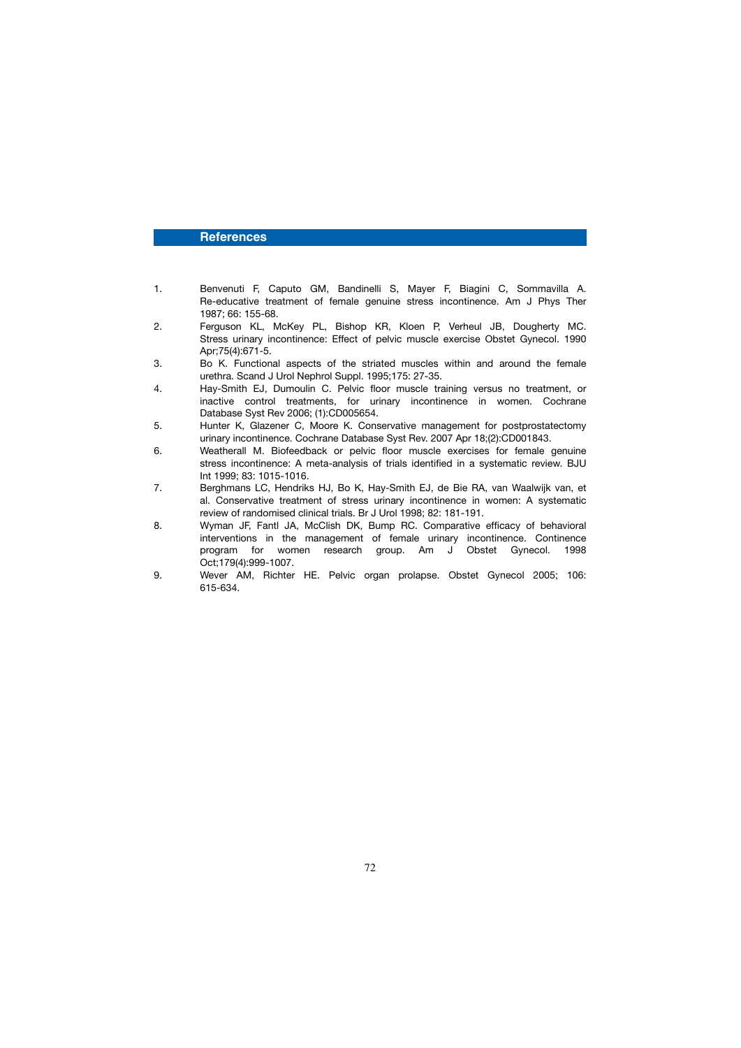## **References**

- 1. Benvenuti F, Caputo GM, Bandinelli S, Mayer F, Biagini C, Sommavilla A. Re-educative treatment of female genuine stress incontinence. Am J Phys Ther 1987; 66: 155-68.
- 2. Ferguson KL, McKey PL, Bishop KR, Kloen P, Verheul JB, Dougherty MC. Stress urinary incontinence: Effect of pelvic muscle exercise Obstet Gynecol. 1990 Apr;75(4):671-5.
- 3. Bo K. Functional aspects of the striated muscles within and around the female urethra. Scand J Urol Nephrol Suppl. 1995;175: 27-35.
- Hay-Smith EJ, Dumoulin C. Pelvic floor muscle training versus no treatment, or inactive control treatments, for urinary incontinence in women. Cochrane Database Syst Rev 2006; (1):CD005654.
- 5. Hunter K, Glazener C, Moore K. Conservative management for postprostatectomy urinary incontinence. Cochrane Database Syst Rev. 2007 Apr 18;(2):CD001843.
- 6. Weatherall M. Biofeedback or pelvic floor muscle exercises for female genuine stress incontinence: A meta-analysis of trials identified in a systematic review. BJU Int 1999; 83: 1015-1016.
- 7. Berghmans LC, Hendriks HJ, Bo K, Hay-Smith EJ, de Bie RA, van Waalwijk van, et al. Conservative treatment of stress urinary incontinence in women: A systematic review of randomised clinical trials. Br J Urol 1998; 82: 181-191.<br>R Wyman JF Fantl JA McClish DK Bump BC Comparative
- Wyman JF, Fantl JA, McClish DK, Bump RC. Comparative efficacy of behavioral interventions in the management of female urinary incontinence. Continence program for women research group. Am J Obstet Gynecol. 1998 Oct;179(4):999-1007.
- 9. Wever AM, Richter HE. Pelvic organ prolapse. Obstet Gynecol 2005; 106: 615-634.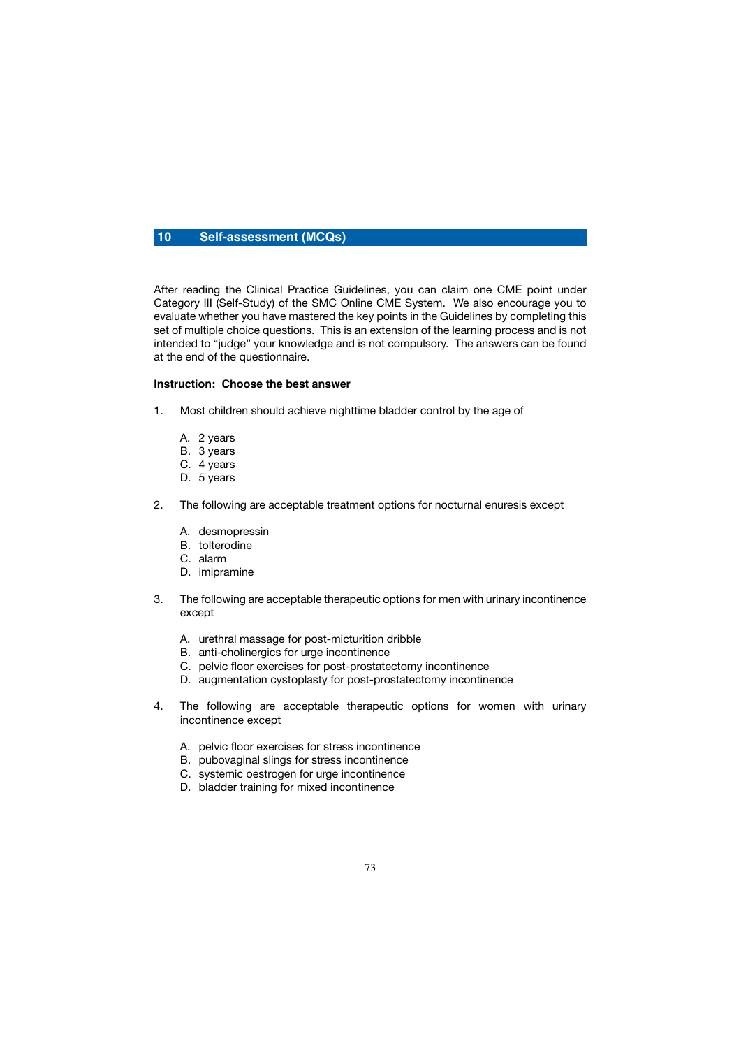## **10 Self-assessment (MCQs)**

After reading the Clinical Practice Guidelines, you can claim one CME point under Category III (Self-Study) of the SMC Online CME System. We also encourage you to evaluate whether you have mastered the key points in the Guidelines by completing this set of multiple choice questions. This is an extension of the learning process and is not intended to "judge" your knowledge and is not compulsory. The answers can be found at the end of the questionnaire.

## **Instruction: Choose the best answer**

- 1. Most children should achieve nighttime bladder control by the age of
	- A. 2 years
	- B. 3 years
	- C. 4 years
	- D. 5 years
- 2. The following are acceptable treatment options for nocturnal enuresis except
	- A. desmopressin
	- B. tolterodine
	- C. alarm
	- D. imipramine
- 3. The following are acceptable therapeutic options for men with urinary incontinence except
	- A. urethral massage for post-micturition dribble
	- B. anti-cholinergics for urge incontinence
	- C. pelvic floor exercises for post-prostatectomy incontinence
	- D. augmentation cystoplasty for post-prostatectomy incontinence
- 4. The following are acceptable therapeutic options for women with urinary incontinence except
	- A. pelvic floor exercises for stress incontinence
	- B. pubovaginal slings for stress incontinence
	- C. systemic oestrogen for urge incontinence
	- D. bladder training for mixed incontinence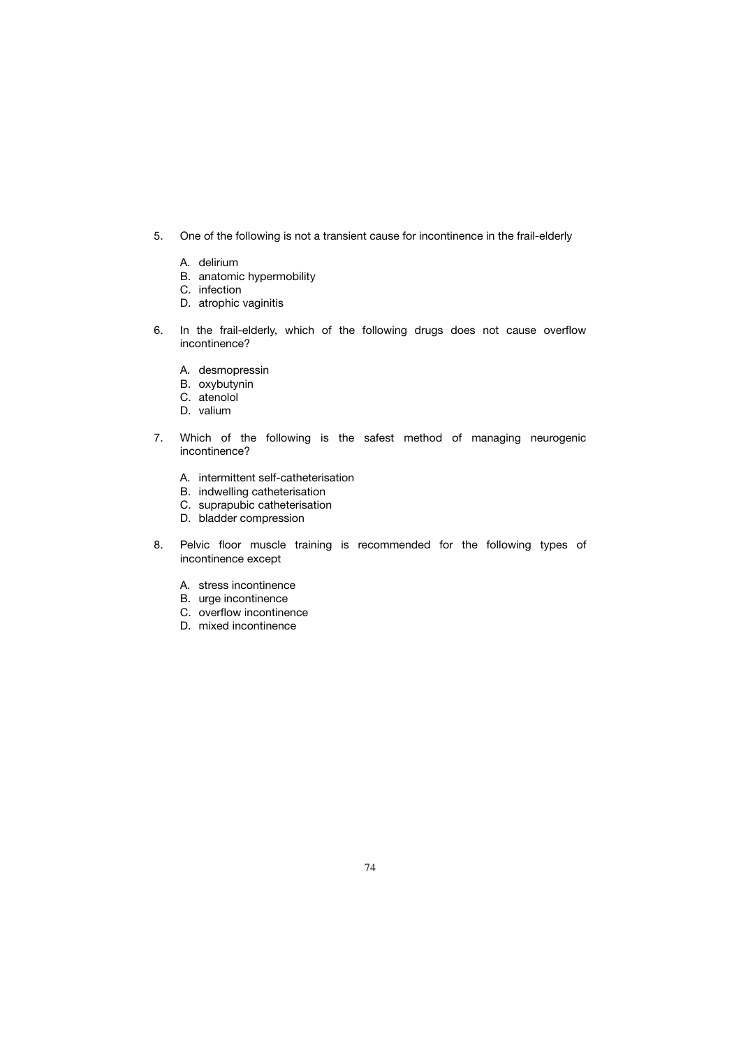- 5. One of the following is not a transient cause for incontinence in the frail-elderly
	- A. delirium
	- B. anatomic hypermobility
	- C. infection
	- D. atrophic vaginitis
- 6. In the frail-elderly, which of the following drugs does not cause overflow incontinence?
	- A. desmopressin
	- B. oxybutynin
	- C. atenolol
	- D. valium
- 7. Which of the following is the safest method of managing neurogenic incontinence?
	- A. intermittent self-catheterisation
	- B. indwelling catheterisation
	- C. suprapubic catheterisation
	- D. bladder compression
- 8. Pelvic floor muscle training is recommended for the following types of incontinence except
	- A. stress incontinence
	- B. urge incontinence
	- C. overflow incontinence
	- D. mixed incontinence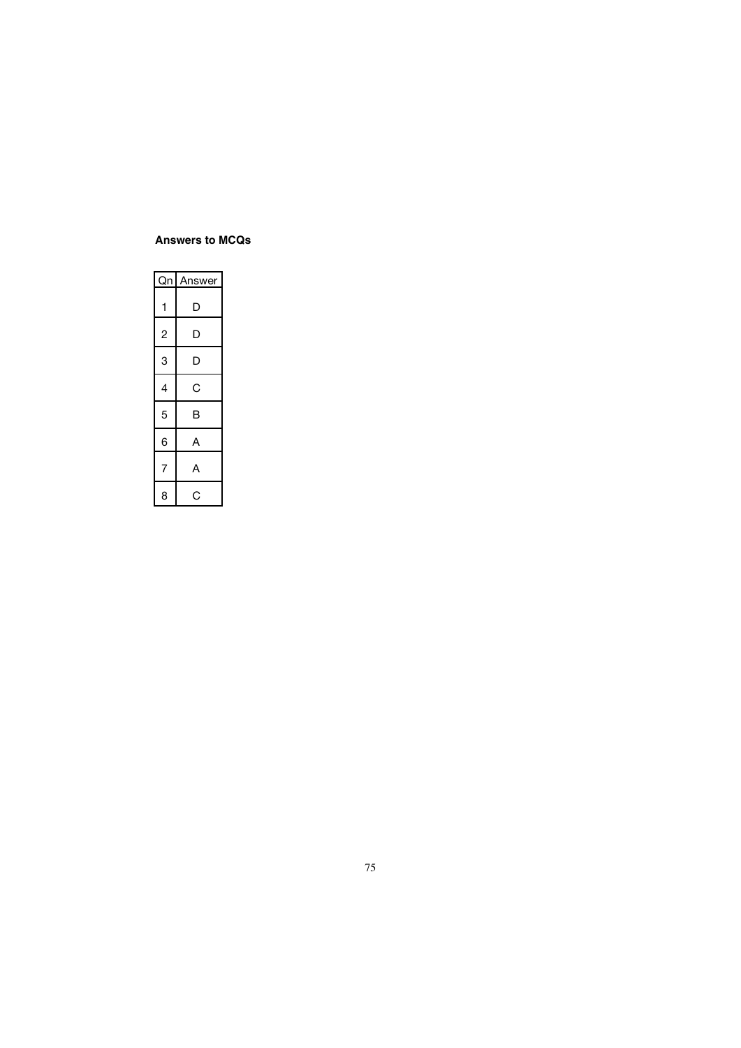## **Answers to MCQs**

|                | Qn Answer |
|----------------|-----------|
| 1              | D         |
| 2              | D         |
| 3              | D         |
| 4              | Ć         |
| 5              | B         |
| 6              | А         |
| $\overline{7}$ | А         |
| 8              | C         |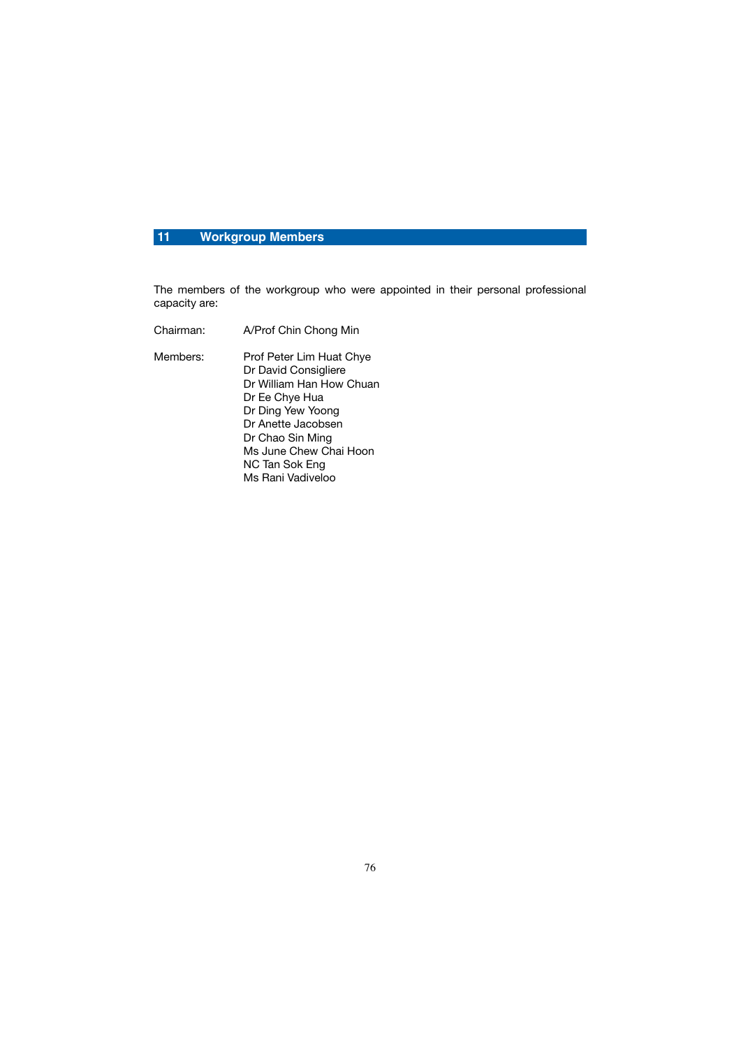## **11 Workgroup Members**

The members of the workgroup who were appointed in their personal professional capacity are:

Chairman: A/Prof Chin Chong Min Members: Prof Peter Lim Huat Chye Dr David Consigliere Dr William Han How Chuan Dr Ee Chye Hua Dr Ding Yew Yoong Dr Anette Jacobsen Dr Chao Sin Ming Ms June Chew Chai Hoon NC Tan Sok Eng Ms Rani Vadiveloo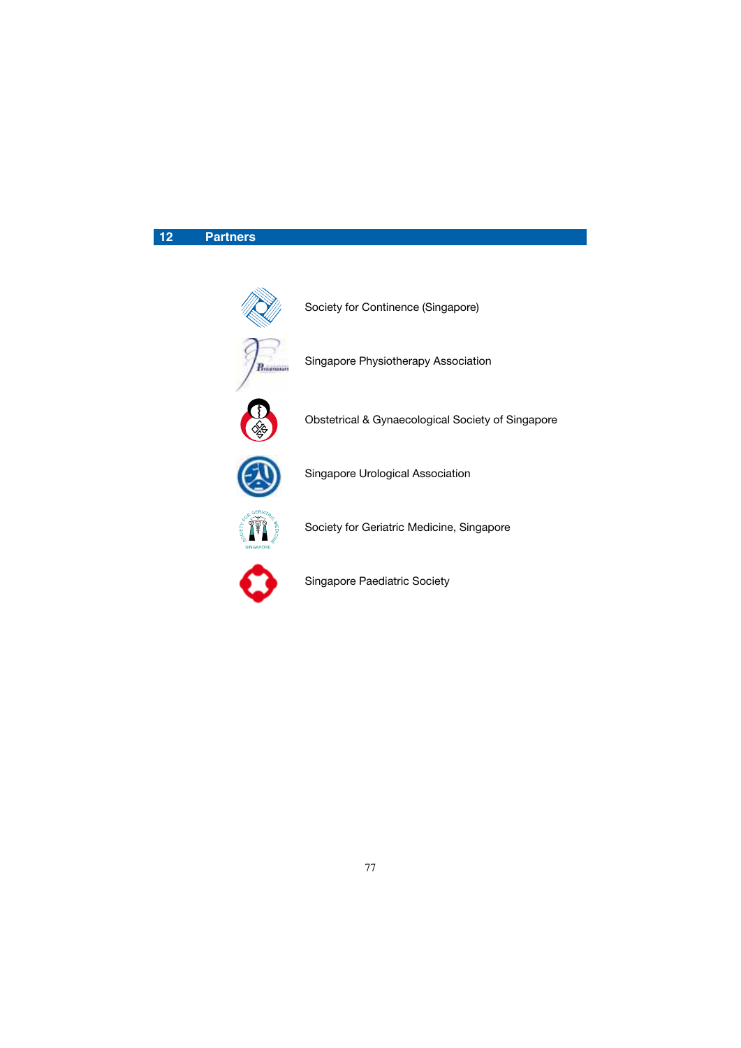# **12 Partners**



Obstetrical & Gynaecological Society of Singapore

Singapore Urological Association

Society for Geriatric Medicine, Singapore



Singapore Paediatric Society